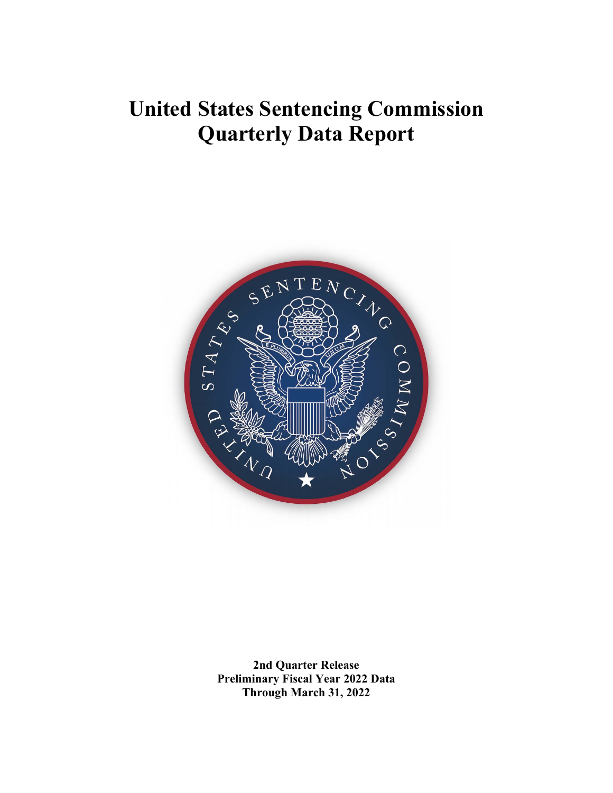# **United States Sentencing Commission Quarterly Data Report**



**2nd Quarter Release Preliminary Fiscal Year 2022 Data Through March 31, 2022**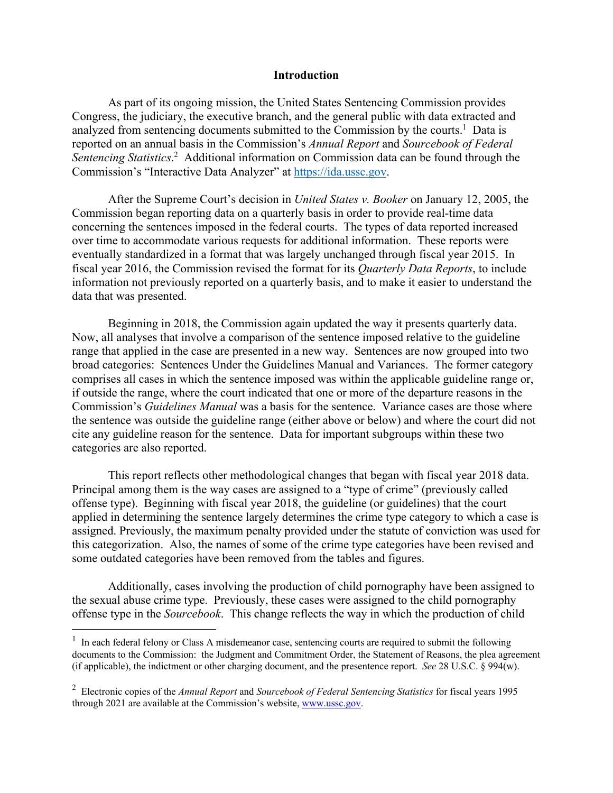### **Introduction**

As part of its ongoing mission, the United States Sentencing Commission provides Congress, the judiciary, the executive branch, and the general public with data extracted and analyzed from sentencing documents submitted to the Commission by the courts.<sup>1</sup> Data is reported on an annual basis in the Commission's *Annual Report* and *Sourcebook of Federal*  Sentencing Statistics.<sup>2</sup> Additional information on Commission data can be found through the Commission's "Interactive Data Analyzer" at https://ida.ussc.gov.

After the Supreme Court's decision in *United States v. Booker* on January 12, 2005, the Commission began reporting data on a quarterly basis in order to provide real-time data concerning the sentences imposed in the federal courts. The types of data reported increased over time to accommodate various requests for additional information. These reports were eventually standardized in a format that was largely unchanged through fiscal year 2015. In fiscal year 2016, the Commission revised the format for its *Quarterly Data Reports*, to include information not previously reported on a quarterly basis, and to make it easier to understand the data that was presented.

Beginning in 2018, the Commission again updated the way it presents quarterly data. Now, all analyses that involve a comparison of the sentence imposed relative to the guideline range that applied in the case are presented in a new way. Sentences are now grouped into two broad categories: Sentences Under the Guidelines Manual and Variances. The former category comprises all cases in which the sentence imposed was within the applicable guideline range or, if outside the range, where the court indicated that one or more of the departure reasons in the Commission's *Guidelines Manual* was a basis for the sentence. Variance cases are those where the sentence was outside the guideline range (either above or below) and where the court did not cite any guideline reason for the sentence. Data for important subgroups within these two categories are also reported.

 This report reflects other methodological changes that began with fiscal year 2018 data. Principal among them is the way cases are assigned to a "type of crime" (previously called offense type). Beginning with fiscal year 2018, the guideline (or guidelines) that the court applied in determining the sentence largely determines the crime type category to which a case is assigned. Previously, the maximum penalty provided under the statute of conviction was used for this categorization. Also, the names of some of the crime type categories have been revised and some outdated categories have been removed from the tables and figures.

 Additionally, cases involving the production of child pornography have been assigned to the sexual abuse crime type. Previously, these cases were assigned to the child pornography offense type in the *Sourcebook*. This change reflects the way in which the production of child

<sup>&</sup>lt;sup>1</sup> In each federal felony or Class A misdemeanor case, sentencing courts are required to submit the following documents to the Commission: the Judgment and Commitment Order, the Statement of Reasons, the plea agreement (if applicable), the indictment or other charging document, and the presentence report. *See* 28 U.S.C. § 994(w).

<sup>2</sup> Electronic copies of the *Annual Report* and *Sourcebook of Federal Sentencing Statistics* for fiscal years 1995 through 2021 are available at the Commission's website, www.ussc.gov.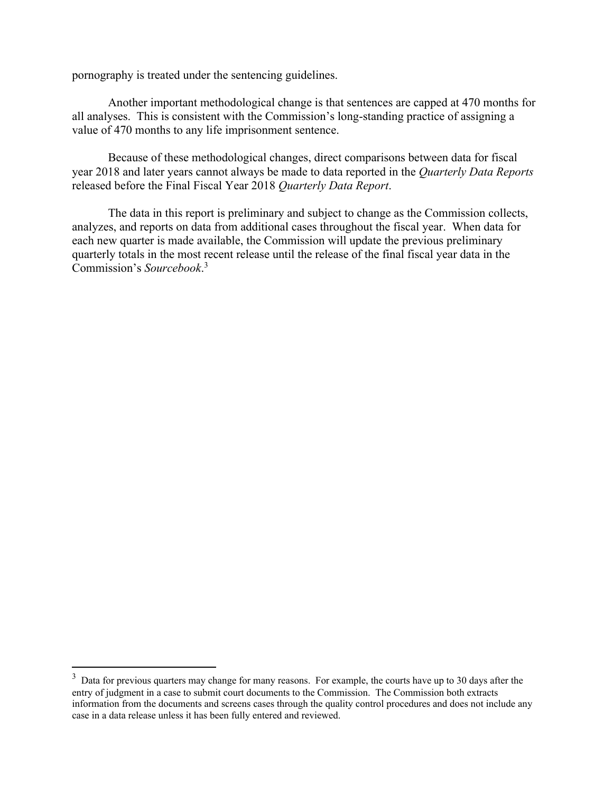pornography is treated under the sentencing guidelines.

 Another important methodological change is that sentences are capped at 470 months for all analyses. This is consistent with the Commission's long-standing practice of assigning a value of 470 months to any life imprisonment sentence.

 Because of these methodological changes, direct comparisons between data for fiscal year 2018 and later years cannot always be made to data reported in the *Quarterly Data Reports* released before the Final Fiscal Year 2018 *Quarterly Data Report*.

The data in this report is preliminary and subject to change as the Commission collects, analyzes, and reports on data from additional cases throughout the fiscal year. When data for each new quarter is made available, the Commission will update the previous preliminary quarterly totals in the most recent release until the release of the final fiscal year data in the Commission's *Sourcebook*. 3

 $3$  Data for previous quarters may change for many reasons. For example, the courts have up to 30 days after the entry of judgment in a case to submit court documents to the Commission. The Commission both extracts information from the documents and screens cases through the quality control procedures and does not include any case in a data release unless it has been fully entered and reviewed.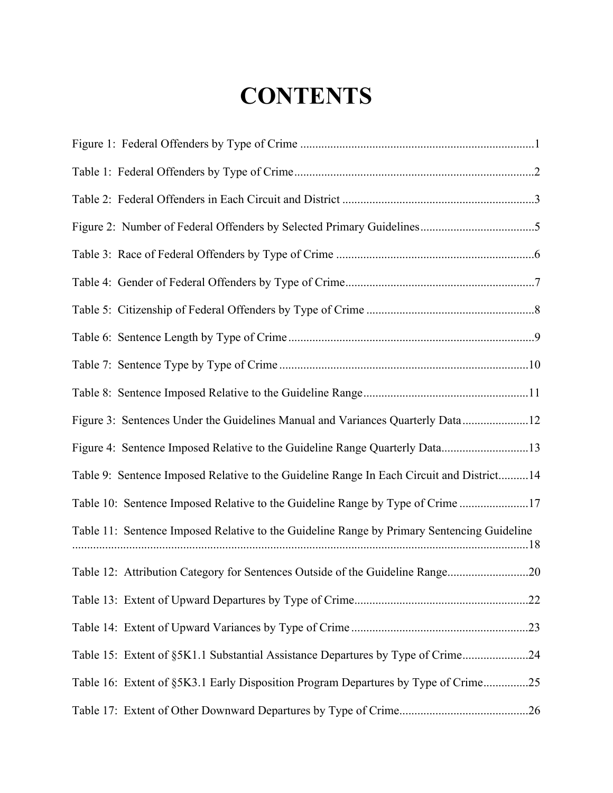# **CONTENTS**

| Figure 3: Sentences Under the Guidelines Manual and Variances Quarterly Data12             |
|--------------------------------------------------------------------------------------------|
| Figure 4: Sentence Imposed Relative to the Guideline Range Quarterly Data13                |
| Table 9: Sentence Imposed Relative to the Guideline Range In Each Circuit and District 14  |
| Table 10: Sentence Imposed Relative to the Guideline Range by Type of Crime 17             |
| Table 11: Sentence Imposed Relative to the Guideline Range by Primary Sentencing Guideline |
| Table 12: Attribution Category for Sentences Outside of the Guideline Range20              |
|                                                                                            |
|                                                                                            |
| Table 15: Extent of §5K1.1 Substantial Assistance Departures by Type of Crime24            |
| Table 16: Extent of §5K3.1 Early Disposition Program Departures by Type of Crime25         |
|                                                                                            |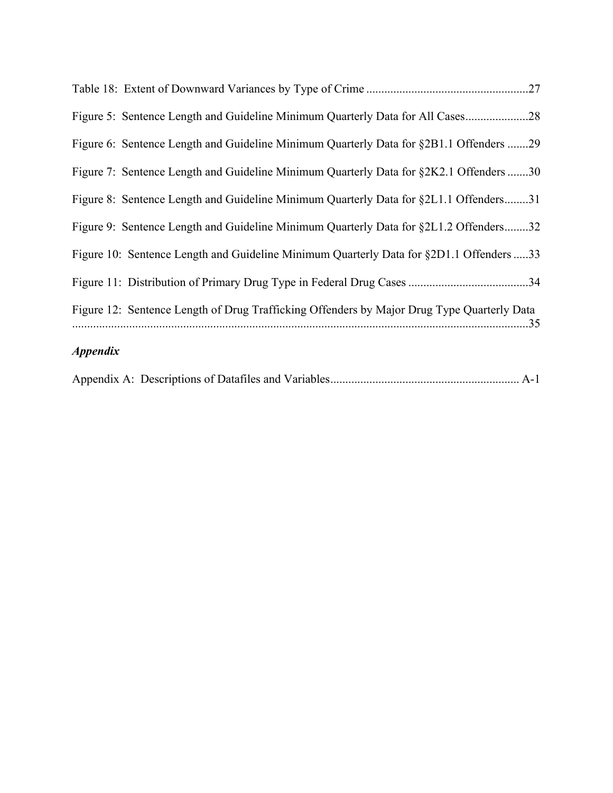| <i><b>Appendix</b></i>                                                                     |
|--------------------------------------------------------------------------------------------|
| Figure 12: Sentence Length of Drug Trafficking Offenders by Major Drug Type Quarterly Data |
|                                                                                            |
| Figure 10: Sentence Length and Guideline Minimum Quarterly Data for §2D1.1 Offenders 33    |
| Figure 9: Sentence Length and Guideline Minimum Quarterly Data for §2L1.2 Offenders32      |
| Figure 8: Sentence Length and Guideline Minimum Quarterly Data for §2L1.1 Offenders31      |
| Figure 7: Sentence Length and Guideline Minimum Quarterly Data for §2K2.1 Offenders 30     |
| Figure 6: Sentence Length and Guideline Minimum Quarterly Data for §2B1.1 Offenders 29     |
| Figure 5: Sentence Length and Guideline Minimum Quarterly Data for All Cases28             |
|                                                                                            |

|--|--|--|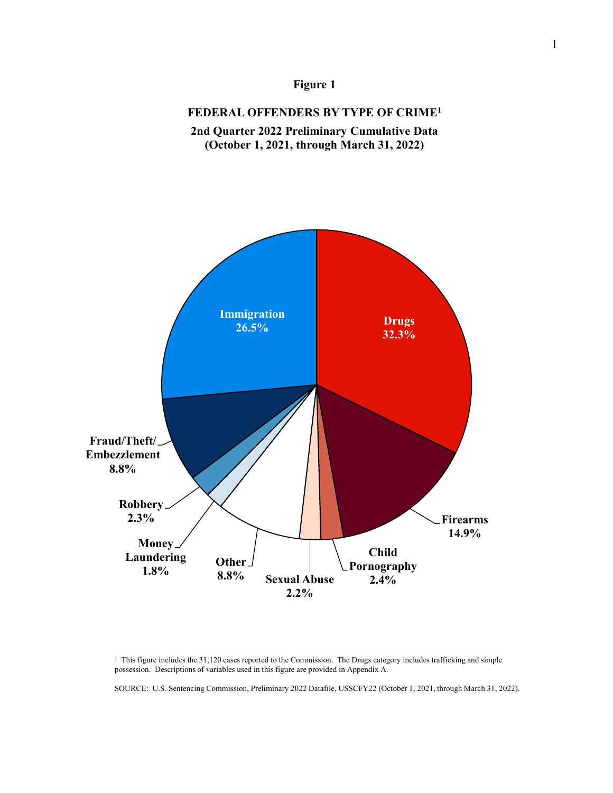

### **FEDERAL OFFENDERS BY TYPE OF CRIME1**





<sup>1</sup> This figure includes the 31,120 cases reported to the Commission. The Drugs category includes trafficking and simple possession. Descriptions of variables used in this figure are provided in Appendix A.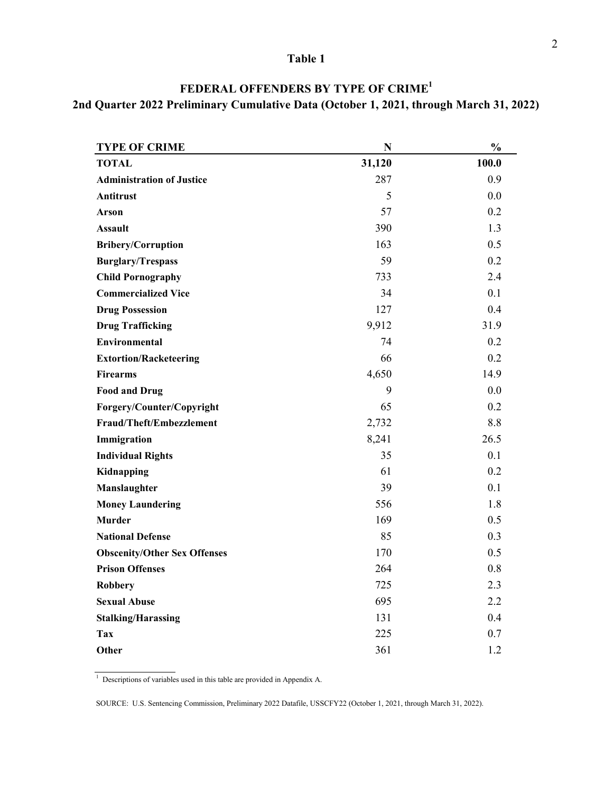| FEDERAL OFFENDERS BY TYPE OF CRIME <sup>1</sup>                                        |
|----------------------------------------------------------------------------------------|
| 2nd Quarter 2022 Preliminary Cumulative Data (October 1, 2021, through March 31, 2022) |

| <b>TYPE OF CRIME</b>                | N      | $\frac{0}{0}$ |
|-------------------------------------|--------|---------------|
| <b>TOTAL</b>                        | 31,120 | 100.0         |
| <b>Administration of Justice</b>    | 287    | 0.9           |
| <b>Antitrust</b>                    | 5      | 0.0           |
| <b>Arson</b>                        | 57     | 0.2           |
| <b>Assault</b>                      | 390    | 1.3           |
| <b>Bribery/Corruption</b>           | 163    | 0.5           |
| <b>Burglary/Trespass</b>            | 59     | 0.2           |
| <b>Child Pornography</b>            | 733    | 2.4           |
| <b>Commercialized Vice</b>          | 34     | 0.1           |
| <b>Drug Possession</b>              | 127    | 0.4           |
| <b>Drug Trafficking</b>             | 9,912  | 31.9          |
| <b>Environmental</b>                | 74     | 0.2           |
| <b>Extortion/Racketeering</b>       | 66     | 0.2           |
| <b>Firearms</b>                     | 4,650  | 14.9          |
| <b>Food and Drug</b>                | 9      | 0.0           |
| Forgery/Counter/Copyright           | 65     | 0.2           |
| Fraud/Theft/Embezzlement            | 2,732  | 8.8           |
| Immigration                         | 8,241  | 26.5          |
| <b>Individual Rights</b>            | 35     | 0.1           |
| Kidnapping                          | 61     | 0.2           |
| Manslaughter                        | 39     | 0.1           |
| <b>Money Laundering</b>             | 556    | 1.8           |
| <b>Murder</b>                       | 169    | 0.5           |
| <b>National Defense</b>             | 85     | 0.3           |
| <b>Obscenity/Other Sex Offenses</b> | 170    | 0.5           |
| <b>Prison Offenses</b>              | 264    | 0.8           |
| <b>Robbery</b>                      | 725    | 2.3           |
| <b>Sexual Abuse</b>                 | 695    | 2.2           |
| <b>Stalking/Harassing</b>           | 131    | 0.4           |
| Tax                                 | 225    | 0.7           |
| Other                               | 361    | 1.2           |

<sup>1</sup> Descriptions of variables used in this table are provided in Appendix A.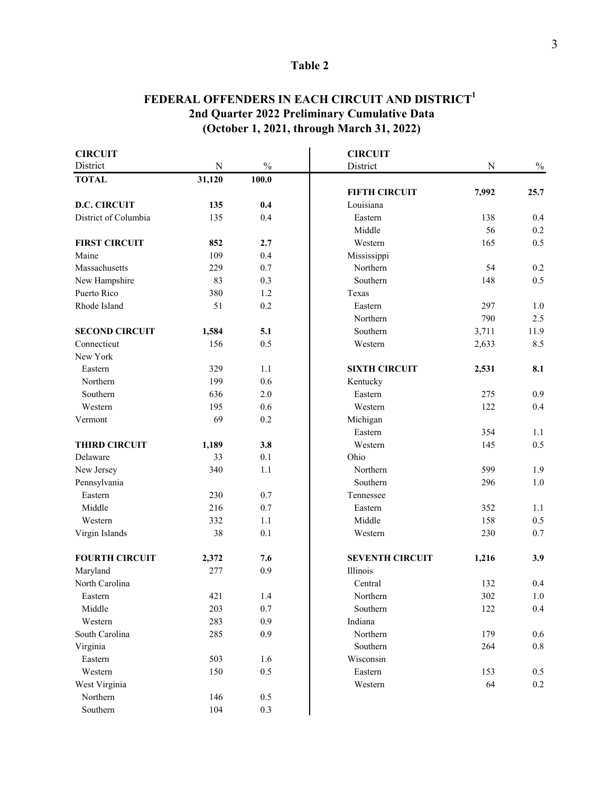## **FEDERAL OFFENDERS IN EACH CIRCUIT AND DISTRICT<sup>1</sup> 2nd Quarter 2022 Preliminary Cumulative Data (October 1, 2021, through March 31, 2022)**

| <b>CIRCUIT</b>        |           |               | <b>CIRCUIT</b>         |           |               |
|-----------------------|-----------|---------------|------------------------|-----------|---------------|
| District              | ${\bf N}$ | $\frac{0}{0}$ | District               | ${\bf N}$ | $\frac{0}{0}$ |
| <b>TOTAL</b>          | 31,120    | 100.0         |                        |           |               |
|                       |           |               | <b>FIFTH CIRCUIT</b>   | 7,992     | 25.7          |
| <b>D.C. CIRCUIT</b>   | 135       | 0.4           | Louisiana              |           |               |
| District of Columbia  | 135       | 0.4           | Eastern                | 138       | 0.4           |
|                       |           |               | Middle                 | 56        | 0.2           |
| <b>FIRST CIRCUIT</b>  | 852       | 2.7           | Western                | 165       | 0.5           |
| Maine                 | 109       | 0.4           | Mississippi            |           |               |
| Massachusetts         | 229       | 0.7           | Northern               | 54        | 0.2           |
| New Hampshire         | 83        | 0.3           | Southern               | 148       | 0.5           |
| Puerto Rico           | 380       | 1.2           | Texas                  |           |               |
| Rhode Island          | 51        | 0.2           | Eastern                | 297       | 1.0           |
|                       |           |               | Northern               | 790       | 2.5           |
| <b>SECOND CIRCUIT</b> | 1,584     | 5.1           | Southern               | 3,711     | 11.9          |
| Connecticut           | 156       | 0.5           | Western                | 2,633     | 8.5           |
| New York              |           |               |                        |           |               |
| Eastern               | 329       | 1.1           | <b>SIXTH CIRCUIT</b>   | 2,531     | 8.1           |
| Northern              | 199       | 0.6           | Kentucky               |           |               |
| Southern              | 636       | 2.0           | Eastern                | 275       | 0.9           |
| Western               | 195       | 0.6           | Western                | 122       | 0.4           |
| Vermont               | 69        | 0.2           | Michigan               |           |               |
|                       |           |               | Eastern                | 354       | 1.1           |
| <b>THIRD CIRCUIT</b>  | 1,189     | 3.8           | Western                | 145       | 0.5           |
| Delaware              | 33        | 0.1           | Ohio                   |           |               |
| New Jersey            | 340       | 1.1           | Northern               | 599       | 1.9           |
| Pennsylvania          |           |               | Southern               | 296       | 1.0           |
| Eastern               | 230       | 0.7           | Tennessee              |           |               |
| Middle                | 216       | 0.7           | Eastern                | 352       | 1.1           |
| Western               | 332       | 1.1           | Middle                 | 158       | 0.5           |
| Virgin Islands        | 38        | 0.1           | Western                | 230       | 0.7           |
| <b>FOURTH CIRCUIT</b> | 2,372     | 7.6           | <b>SEVENTH CIRCUIT</b> | 1,216     | 3.9           |
| Maryland              | 277       | 0.9           | Illinois               |           |               |
| North Carolina        |           |               | Central                | 132       | 0.4           |
| Eastern               | 421       | 1.4           | Northern               | 302       | 1.0           |
| Middle                | 203       | 0.7           | Southern               | 122       | 0.4           |
| Western               | 283       | $0.9\,$       | Indiana                |           |               |
| South Carolina        | 285       | 0.9           | Northern               | 179       | 0.6           |
| Virginia              |           |               | Southern               | 264       | $0.8\,$       |
| Eastern               | 503       | $1.6\,$       | Wisconsin              |           |               |
| Western               | 150       | $0.5\,$       | Eastern                | 153       | $0.5\,$       |
| West Virginia         |           |               | Western                | 64        | $0.2\,$       |
| Northern              | 146       | 0.5           |                        |           |               |
| Southern              | 104       | $0.3\,$       |                        |           |               |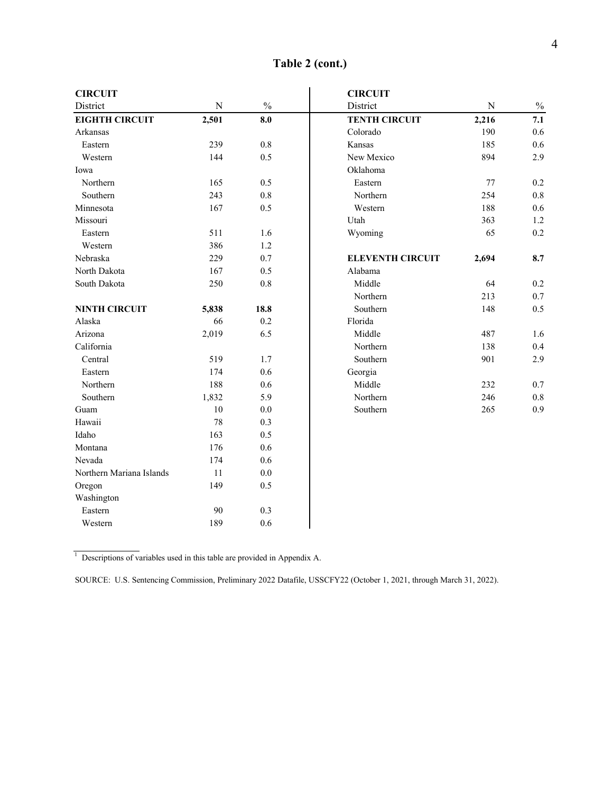| <b>CIRCUIT</b>           |             |               | <b>CIRCUIT</b>          |           |               |
|--------------------------|-------------|---------------|-------------------------|-----------|---------------|
| District                 | $\mathbf N$ | $\frac{0}{0}$ | District                | ${\bf N}$ | $\frac{0}{0}$ |
| <b>EIGHTH CIRCUIT</b>    | 2,501       | 8.0           | <b>TENTH CIRCUIT</b>    | 2,216     | 7.1           |
| Arkansas                 |             |               | Colorado                | 190       | 0.6           |
| Eastern                  | 239         | 0.8           | Kansas                  | 185       | 0.6           |
| Western                  | 144         | 0.5           | New Mexico              | 894       | 2.9           |
| Iowa                     |             |               | Oklahoma                |           |               |
| Northern                 | 165         | 0.5           | Eastern                 | 77        | 0.2           |
| Southern                 | 243         | 0.8           | Northern                | 254       | 0.8           |
| Minnesota                | 167         | 0.5           | Western                 | 188       | 0.6           |
| Missouri                 |             |               | Utah                    | 363       | 1.2           |
| Eastern                  | 511         | 1.6           | Wyoming                 | 65        | 0.2           |
| Western                  | 386         | 1.2           |                         |           |               |
| Nebraska                 | 229         | 0.7           | <b>ELEVENTH CIRCUIT</b> | 2,694     | 8.7           |
| North Dakota             | 167         | 0.5           | Alabama                 |           |               |
| South Dakota             | 250         | $0.8\,$       | Middle                  | 64        | 0.2           |
|                          |             |               | Northern                | 213       | 0.7           |
| <b>NINTH CIRCUIT</b>     | 5,838       | 18.8          | Southern                | 148       | 0.5           |
| Alaska                   | 66          | 0.2           | Florida                 |           |               |
| Arizona                  | 2,019       | 6.5           | Middle                  | 487       | 1.6           |
| California               |             |               | Northern                | 138       | 0.4           |
| Central                  | 519         | 1.7           | Southern                | 901       | 2.9           |
| Eastern                  | 174         | 0.6           | Georgia                 |           |               |
| Northern                 | 188         | 0.6           | Middle                  | 232       | 0.7           |
| Southern                 | 1,832       | 5.9           | Northern                | 246       | 0.8           |
| Guam                     | 10          | $0.0\,$       | Southern                | 265       | 0.9           |
| Hawaii                   | 78          | 0.3           |                         |           |               |
| Idaho                    | 163         | 0.5           |                         |           |               |
| Montana                  | 176         | 0.6           |                         |           |               |
| Nevada                   | 174         | 0.6           |                         |           |               |
| Northern Mariana Islands | 11          | 0.0           |                         |           |               |
| Oregon                   | 149         | 0.5           |                         |           |               |
| Washington               |             |               |                         |           |               |
| Eastern                  | 90          | 0.3           |                         |           |               |
| Western                  | 189         | 0.6           |                         |           |               |

**Table 2 (cont.)**

 $1$  Descriptions of variables used in this table are provided in Appendix A.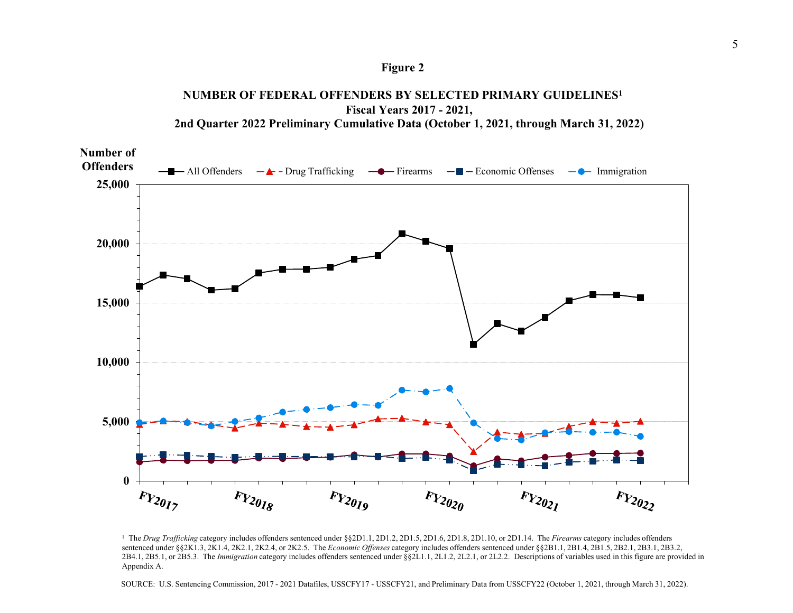

### **NUMBER OF FEDERAL OFFENDERS BY SELECTED PRIMARY GUIDELINES<sup>1</sup> Fiscal Years 2017 - 2021, 2nd Quarter 2022 Preliminary Cumulative Data (October 1, 2021, through March 31, 2022)**



<sup>1</sup> The *Drug Trafficking* category includes offenders sentenced under §§2D1.1, 2D1.2, 2D1.5, 2D1.6, 2D1.8, 2D1.10, or 2D1.14. The *Firearms* category includes offenders sentenced under §§2K1.3, 2K1.4, 2K2.1, 2K2.4, or 2K2.5. The *Economic Offenses* category includes offenders sentenced under §§2B1.1, 2B1.4, 2B1.5, 2B2.1, 2B3.1, 2B3.2, 2B4.1, 2B5.1, or 2B5.3. The *Immigration* category includes offenders sentenced under §§2L1.1, 2L1.2, 2L2.1, or 2L2.2. Descriptions of variables used in this figure are provided in Appendix A.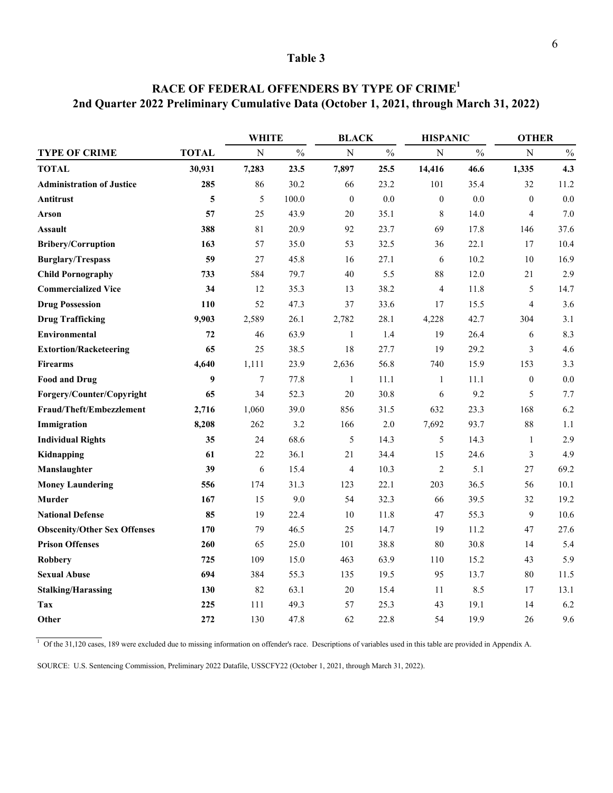|                                     |              |             | <b>WHITE</b>  |                  | <b>BLACK</b>  |                  | <b>HISPANIC</b> |                  | <b>OTHER</b>  |  |
|-------------------------------------|--------------|-------------|---------------|------------------|---------------|------------------|-----------------|------------------|---------------|--|
| <b>TYPE OF CRIME</b>                | <b>TOTAL</b> | $\mathbf N$ | $\frac{0}{0}$ | $\overline{N}$   | $\frac{0}{0}$ | $\mathbf N$      | $\frac{0}{0}$   | $\mathbf N$      | $\frac{0}{0}$ |  |
| <b>TOTAL</b>                        | 30,931       | 7,283       | 23.5          | 7,897            | 25.5          | 14,416           | 46.6            | 1,335            | 4.3           |  |
| <b>Administration of Justice</b>    | 285          | 86          | 30.2          | 66               | 23.2          | 101              | 35.4            | 32               | 11.2          |  |
| Antitrust                           | 5            | 5           | 100.0         | $\boldsymbol{0}$ | 0.0           | $\boldsymbol{0}$ | 0.0             | $\boldsymbol{0}$ | 0.0           |  |
| Arson                               | 57           | 25          | 43.9          | 20               | 35.1          | 8                | 14.0            | $\overline{4}$   | 7.0           |  |
| <b>Assault</b>                      | 388          | 81          | 20.9          | 92               | 23.7          | 69               | 17.8            | 146              | 37.6          |  |
| <b>Bribery/Corruption</b>           | 163          | 57          | 35.0          | 53               | 32.5          | 36               | 22.1            | 17               | 10.4          |  |
| <b>Burglary/Trespass</b>            | 59           | 27          | 45.8          | 16               | 27.1          | 6                | 10.2            | 10               | 16.9          |  |
| <b>Child Pornography</b>            | 733          | 584         | 79.7          | 40               | 5.5           | 88               | 12.0            | 21               | 2.9           |  |
| <b>Commercialized Vice</b>          | 34           | 12          | 35.3          | 13               | 38.2          | $\overline{4}$   | 11.8            | $\mathfrak s$    | 14.7          |  |
| <b>Drug Possession</b>              | 110          | 52          | 47.3          | 37               | 33.6          | 17               | 15.5            | $\overline{4}$   | 3.6           |  |
| <b>Drug Trafficking</b>             | 9,903        | 2,589       | 26.1          | 2,782            | 28.1          | 4,228            | 42.7            | 304              | 3.1           |  |
| Environmental                       | 72           | 46          | 63.9          | $\mathbf{1}$     | 1.4           | 19               | 26.4            | 6                | 8.3           |  |
| <b>Extortion/Racketeering</b>       | 65           | 25          | 38.5          | 18               | 27.7          | 19               | 29.2            | $\mathfrak{Z}$   | 4.6           |  |
| <b>Firearms</b>                     | 4,640        | 1,111       | 23.9          | 2,636            | 56.8          | 740              | 15.9            | 153              | 3.3           |  |
| <b>Food and Drug</b>                | 9            | $\tau$      | 77.8          | $\mathbf{1}$     | 11.1          | $\mathbf{1}$     | 11.1            | $\boldsymbol{0}$ | 0.0           |  |
| Forgery/Counter/Copyright           | 65           | 34          | 52.3          | 20               | 30.8          | 6                | 9.2             | 5                | 7.7           |  |
| Fraud/Theft/Embezzlement            | 2,716        | 1,060       | 39.0          | 856              | 31.5          | 632              | 23.3            | 168              | 6.2           |  |
| Immigration                         | 8,208        | 262         | 3.2           | 166              | 2.0           | 7,692            | 93.7            | 88               | 1.1           |  |
| <b>Individual Rights</b>            | 35           | 24          | 68.6          | 5                | 14.3          | 5                | 14.3            | $\mathbf{1}$     | 2.9           |  |
| Kidnapping                          | 61           | 22          | 36.1          | 21               | 34.4          | 15               | 24.6            | $\mathfrak{Z}$   | 4.9           |  |
| Manslaughter                        | 39           | 6           | 15.4          | $\overline{4}$   | 10.3          | $\overline{2}$   | 5.1             | 27               | 69.2          |  |
| <b>Money Laundering</b>             | 556          | 174         | 31.3          | 123              | 22.1          | 203              | 36.5            | 56               | 10.1          |  |
| <b>Murder</b>                       | 167          | 15          | 9.0           | 54               | 32.3          | 66               | 39.5            | 32               | 19.2          |  |
| <b>National Defense</b>             | 85           | 19          | 22.4          | 10               | 11.8          | 47               | 55.3            | 9                | 10.6          |  |
| <b>Obscenity/Other Sex Offenses</b> | 170          | 79          | 46.5          | 25               | 14.7          | 19               | 11.2            | 47               | 27.6          |  |
| <b>Prison Offenses</b>              | 260          | 65          | 25.0          | 101              | 38.8          | 80               | 30.8            | 14               | 5.4           |  |
| <b>Robbery</b>                      | 725          | 109         | 15.0          | 463              | 63.9          | 110              | 15.2            | 43               | 5.9           |  |
| <b>Sexual Abuse</b>                 | 694          | 384         | 55.3          | 135              | 19.5          | 95               | 13.7            | 80               | 11.5          |  |
| <b>Stalking/Harassing</b>           | 130          | 82          | 63.1          | 20               | 15.4          | 11               | 8.5             | 17               | 13.1          |  |
| Tax                                 | 225          | 111         | 49.3          | 57               | 25.3          | 43               | 19.1            | 14               | 6.2           |  |
| Other                               | 272          | 130         | 47.8          | 62               | 22.8          | 54               | 19.9            | 26               | 9.6           |  |

# **RACE OF FEDERAL OFFENDERS BY TYPE OF CRIME<sup>1</sup> 2nd Quarter 2022 Preliminary Cumulative Data (October 1, 2021, through March 31, 2022)**

 $1$  Of the 31,120 cases, 189 were excluded due to missing information on offender's race. Descriptions of variables used in this table are provided in Appendix A.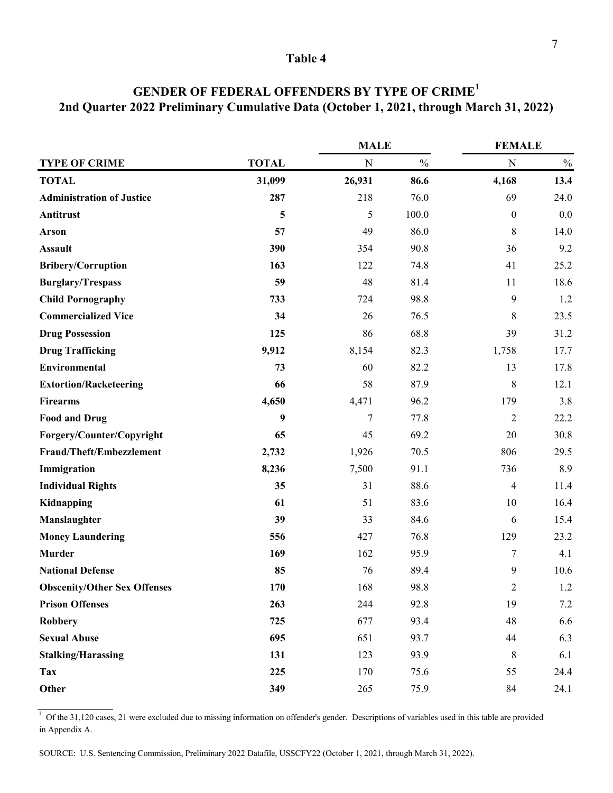|                                     |              | <b>MALE</b> |               | <b>FEMALE</b>           |               |  |
|-------------------------------------|--------------|-------------|---------------|-------------------------|---------------|--|
| <b>TYPE OF CRIME</b>                | <b>TOTAL</b> | ${\bf N}$   | $\frac{0}{0}$ | ${\bf N}$               | $\frac{0}{0}$ |  |
| <b>TOTAL</b>                        | 31,099       | 26,931      | 86.6          | 4,168                   | 13.4          |  |
| <b>Administration of Justice</b>    | 287          | 218         | 76.0          | 69                      | 24.0          |  |
| Antitrust                           | 5            | 5           | 100.0         | $\boldsymbol{0}$        | 0.0           |  |
| <b>Arson</b>                        | 57           | 49          | 86.0          | 8                       | 14.0          |  |
| <b>Assault</b>                      | 390          | 354         | 90.8          | 36                      | 9.2           |  |
| <b>Bribery/Corruption</b>           | 163          | 122         | 74.8          | 41                      | 25.2          |  |
| <b>Burglary/Trespass</b>            | 59           | 48          | 81.4          | 11                      | 18.6          |  |
| <b>Child Pornography</b>            | 733          | 724         | 98.8          | $\boldsymbol{9}$        | 1.2           |  |
| <b>Commercialized Vice</b>          | 34           | 26          | 76.5          | 8                       | 23.5          |  |
| <b>Drug Possession</b>              | 125          | 86          | 68.8          | 39                      | 31.2          |  |
| <b>Drug Trafficking</b>             | 9,912        | 8,154       | 82.3          | 1,758                   | 17.7          |  |
| Environmental                       | 73           | 60          | 82.2          | 13                      | 17.8          |  |
| <b>Extortion/Racketeering</b>       | 66           | 58          | 87.9          | 8                       | 12.1          |  |
| <b>Firearms</b>                     | 4,650        | 4,471       | 96.2          | 179                     | 3.8           |  |
| <b>Food and Drug</b>                | 9            | 7           | 77.8          | $\overline{2}$          | 22.2          |  |
| Forgery/Counter/Copyright           | 65           | 45          | 69.2          | 20                      | 30.8          |  |
| Fraud/Theft/Embezzlement            | 2,732        | 1,926       | 70.5          | 806                     | 29.5          |  |
| Immigration                         | 8,236        | 7,500       | 91.1          | 736                     | 8.9           |  |
| <b>Individual Rights</b>            | 35           | 31          | 88.6          | $\overline{\mathbf{4}}$ | 11.4          |  |
| Kidnapping                          | 61           | 51          | 83.6          | 10                      | 16.4          |  |
| Manslaughter                        | 39           | 33          | 84.6          | 6                       | 15.4          |  |
| <b>Money Laundering</b>             | 556          | 427         | 76.8          | 129                     | 23.2          |  |
| <b>Murder</b>                       | 169          | 162         | 95.9          | 7                       | 4.1           |  |
| <b>National Defense</b>             | 85           | 76          | 89.4          | 9                       | 10.6          |  |
| <b>Obscenity/Other Sex Offenses</b> | 170          | 168         | 98.8          | 2                       | 1.2           |  |
| <b>Prison Offenses</b>              | 263          | 244         | 92.8          | 19                      | 7.2           |  |
| Robbery                             | 725          | 677         | 93.4          | 48                      | 6.6           |  |
| <b>Sexual Abuse</b>                 | 695          | 651         | 93.7          | 44                      | 6.3           |  |
| <b>Stalking/Harassing</b>           | 131          | 123         | 93.9          | 8                       | 6.1           |  |
| <b>Tax</b>                          | 225          | 170         | 75.6          | 55                      | 24.4          |  |
| Other                               | 349          | 265         | 75.9          | 84                      | 24.1          |  |

# **GENDER OF FEDERAL OFFENDERS BY TYPE OF CRIME<sup>1</sup> 2nd Quarter 2022 Preliminary Cumulative Data (October 1, 2021, through March 31, 2022)**

 $1$  Of the 31,120 cases, 21 were excluded due to missing information on offender's gender. Descriptions of variables used in this table are provided in Appendix A.

SOURCE: U.S. Sentencing Commission, Preliminary 2022 Datafile, USSCFY22 (October 1, 2021, through March 31, 2022).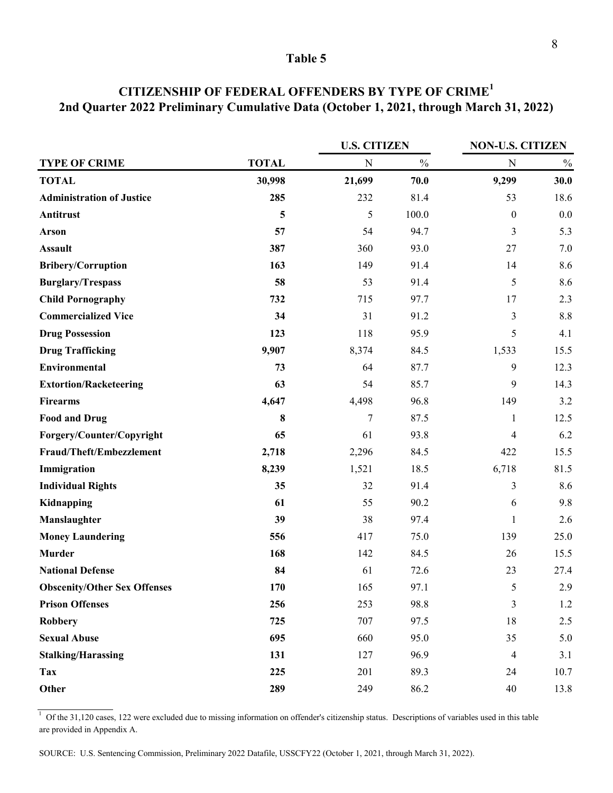|                                     |              | <b>U.S. CITIZEN</b> |               | <b>NON-U.S. CITIZEN</b> |               |  |
|-------------------------------------|--------------|---------------------|---------------|-------------------------|---------------|--|
| <b>TYPE OF CRIME</b>                | <b>TOTAL</b> | $\mathbf N$         | $\frac{0}{0}$ | ${\bf N}$               | $\frac{0}{0}$ |  |
| <b>TOTAL</b>                        | 30,998       | 21,699              | 70.0          | 9,299                   | 30.0          |  |
| <b>Administration of Justice</b>    | 285          | 232                 | 81.4          | 53                      | 18.6          |  |
| Antitrust                           | 5            | 5                   | 100.0         | $\boldsymbol{0}$        | 0.0           |  |
| <b>Arson</b>                        | 57           | 54                  | 94.7          | 3                       | 5.3           |  |
| <b>Assault</b>                      | 387          | 360                 | 93.0          | 27                      | 7.0           |  |
| <b>Bribery/Corruption</b>           | 163          | 149                 | 91.4          | 14                      | 8.6           |  |
| <b>Burglary/Trespass</b>            | 58           | 53                  | 91.4          | 5                       | 8.6           |  |
| <b>Child Pornography</b>            | 732          | 715                 | 97.7          | 17                      | 2.3           |  |
| <b>Commercialized Vice</b>          | 34           | 31                  | 91.2          | $\mathfrak{Z}$          | 8.8           |  |
| <b>Drug Possession</b>              | 123          | 118                 | 95.9          | 5                       | 4.1           |  |
| <b>Drug Trafficking</b>             | 9,907        | 8,374               | 84.5          | 1,533                   | 15.5          |  |
| <b>Environmental</b>                | 73           | 64                  | 87.7          | 9                       | 12.3          |  |
| <b>Extortion/Racketeering</b>       | 63           | 54                  | 85.7          | 9                       | 14.3          |  |
| <b>Firearms</b>                     | 4,647        | 4,498               | 96.8          | 149                     | 3.2           |  |
| <b>Food and Drug</b>                | 8            | $\boldsymbol{7}$    | 87.5          | $\mathbf{1}$            | 12.5          |  |
| Forgery/Counter/Copyright           | 65           | 61                  | 93.8          | $\overline{4}$          | 6.2           |  |
| Fraud/Theft/Embezzlement            | 2,718        | 2,296               | 84.5          | 422                     | 15.5          |  |
| Immigration                         | 8,239        | 1,521               | 18.5          | 6,718                   | 81.5          |  |
| <b>Individual Rights</b>            | 35           | 32                  | 91.4          | 3                       | 8.6           |  |
| Kidnapping                          | 61           | 55                  | 90.2          | 6                       | 9.8           |  |
| Manslaughter                        | 39           | 38                  | 97.4          | $\mathbf{1}$            | 2.6           |  |
| <b>Money Laundering</b>             | 556          | 417                 | 75.0          | 139                     | 25.0          |  |
| <b>Murder</b>                       | 168          | 142                 | 84.5          | 26                      | 15.5          |  |
| <b>National Defense</b>             | 84           | 61                  | 72.6          | 23                      | 27.4          |  |
| <b>Obscenity/Other Sex Offenses</b> | 170          | 165                 | 97.1          | 5                       | 2.9           |  |
| <b>Prison Offenses</b>              | 256          | 253                 | 98.8          | $\mathfrak{Z}$          | 1.2           |  |
| <b>Robbery</b>                      | 725          | 707                 | 97.5          | 18                      | 2.5           |  |
| <b>Sexual Abuse</b>                 | 695          | 660                 | 95.0          | 35                      | 5.0           |  |
| <b>Stalking/Harassing</b>           | 131          | 127                 | 96.9          | 4                       | 3.1           |  |
| <b>Tax</b>                          | 225          | 201                 | 89.3          | 24                      | 10.7          |  |
| Other                               | 289          | 249                 | 86.2          | 40                      | 13.8          |  |

# **CITIZENSHIP OF FEDERAL OFFENDERS BY TYPE OF CRIME<sup>1</sup> 2nd Quarter 2022 Preliminary Cumulative Data (October 1, 2021, through March 31, 2022)**

 $1$  Of the 31,120 cases, 122 were excluded due to missing information on offender's citizenship status. Descriptions of variables used in this table are provided in Appendix A.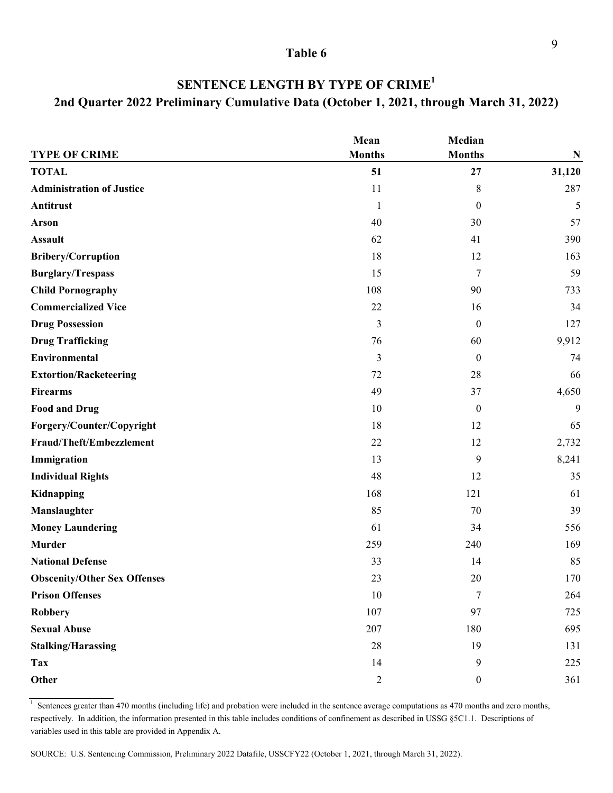| <b>TYPE OF CRIME</b>                | Mean<br><b>Months</b> | Median<br><b>Months</b> | N      |
|-------------------------------------|-----------------------|-------------------------|--------|
| <b>TOTAL</b>                        | 51                    | 27                      | 31,120 |
| <b>Administration of Justice</b>    | 11                    | 8                       | 287    |
| Antitrust                           | $\mathbf{1}$          | $\theta$                | 5      |
| Arson                               | 40                    | 30                      | 57     |
| <b>Assault</b>                      | 62                    | 41                      | 390    |
| <b>Bribery/Corruption</b>           | 18                    | 12                      | 163    |
| <b>Burglary/Trespass</b>            | 15                    | 7                       | 59     |
| <b>Child Pornography</b>            | 108                   | 90                      | 733    |
| <b>Commercialized Vice</b>          | 22                    | 16                      | 34     |
| <b>Drug Possession</b>              | 3                     | $\boldsymbol{0}$        | 127    |
| <b>Drug Trafficking</b>             | 76                    | 60                      | 9,912  |
| Environmental                       | $\mathfrak{Z}$        | $\boldsymbol{0}$        | 74     |
| <b>Extortion/Racketeering</b>       | 72                    | 28                      | 66     |
| <b>Firearms</b>                     | 49                    | 37                      | 4,650  |
| <b>Food and Drug</b>                | 10                    | $\mathbf{0}$            | 9      |
| Forgery/Counter/Copyright           | 18                    | 12                      | 65     |
| Fraud/Theft/Embezzlement            | 22                    | 12                      | 2,732  |
| Immigration                         | 13                    | 9                       | 8,241  |
| <b>Individual Rights</b>            | 48                    | 12                      | 35     |
| Kidnapping                          | 168                   | 121                     | 61     |
| Manslaughter                        | 85                    | 70                      | 39     |
| <b>Money Laundering</b>             | 61                    | 34                      | 556    |
| <b>Murder</b>                       | 259                   | 240                     | 169    |
| <b>National Defense</b>             | 33                    | 14                      | 85     |
| <b>Obscenity/Other Sex Offenses</b> | 23                    | 20                      | 170    |
| <b>Prison Offenses</b>              | 10                    | 7                       | 264    |
| <b>Robbery</b>                      | 107                   | 97                      | 725    |
| <b>Sexual Abuse</b>                 | 207                   | 180                     | 695    |

# **SENTENCE LENGTH BY TYPE OF CRIME1 2nd Quarter 2022 Preliminary Cumulative Data (October 1, 2021, through March 31, 2022)**

1 Sentences greater than 470 months (including life) and probation were included in the sentence average computations as 470 months and zero months, respectively. In addition, the information presented in this table includes conditions of confinement as described in USSG §5C1.1. Descriptions of variables used in this table are provided in Appendix A.

**Stalking/Harassing** 28 19 131 **Tax** 14 9 225 **Other** 2 0 361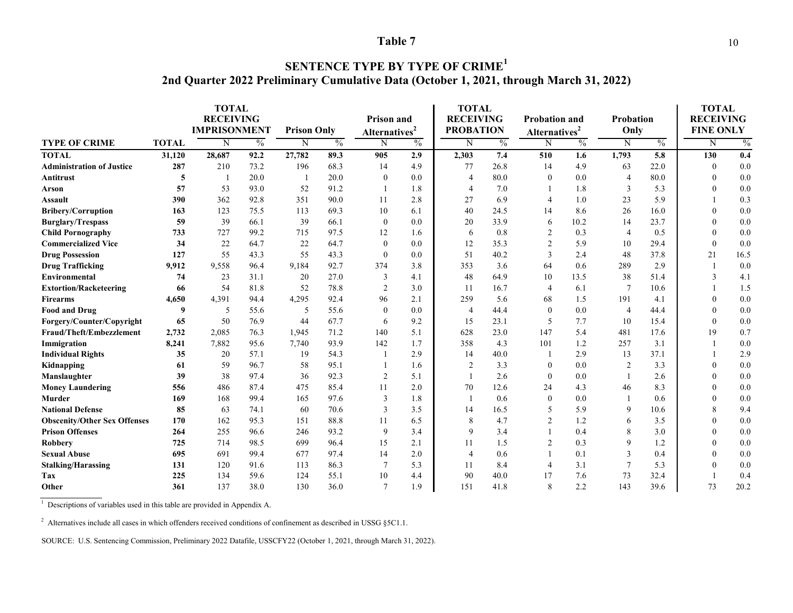### **SENTENCE TYPE BY TYPE OF CRIME<sup>1</sup> 2nd Quarter 2022 Preliminary Cumulative Data (October 1, 2021, through March 31, 2022)**

|                                     | <b>TOTAL</b><br><b>RECEIVING</b><br><b>IMPRISONMENT</b> |        | <b>Prison Only</b> |        | <b>Prison and</b><br>Alternatives <sup>2</sup> |                          | <b>TOTAL</b><br><b>RECEIVING</b><br><b>PROBATION</b> |                | <b>Probation and</b><br>Alternatives <sup>2</sup> |                | <b>Probation</b><br>Only |                 | <b>TOTAL</b><br><b>RECEIVING</b><br><b>FINE ONLY</b> |              |               |
|-------------------------------------|---------------------------------------------------------|--------|--------------------|--------|------------------------------------------------|--------------------------|------------------------------------------------------|----------------|---------------------------------------------------|----------------|--------------------------|-----------------|------------------------------------------------------|--------------|---------------|
| <b>TYPE OF CRIME</b>                | <b>TOTAL</b>                                            | N      | $\frac{0}{0}$      | N      | $\frac{0}{0}$                                  | Ñ                        | $\frac{0}{0}$                                        | N              | $\frac{0}{0}$                                     | N              | $\frac{0}{0}$            | N               | $\frac{0}{0}$                                        | N            | $\frac{0}{0}$ |
| <b>TOTAL</b>                        | 31,120                                                  | 28,687 | 92.2               | 27,782 | 89.3                                           | 905                      | 2.9                                                  | 2,303          | 7.4                                               | 510            | 1.6                      | 1,793           | 5.8                                                  | 130          | 0.4           |
| <b>Administration of Justice</b>    | 287                                                     | 210    | 73.2               | 196    | 68.3                                           | 14                       | 4.9                                                  | 77             | 26.8                                              | 14             | 4.9                      | 63              | 22.0                                                 | $\theta$     | 0.0           |
| Antitrust                           | 5                                                       |        | 20.0               |        | 20.0                                           | $\mathbf{0}$             | 0.0                                                  | $\overline{4}$ | 80.0                                              | $\mathbf{0}$   | 0.0                      | $\overline{4}$  | 80.0                                                 | $\mathbf{0}$ | 0.0           |
| Arson                               | 57                                                      | 53     | 93.0               | 52     | 91.2                                           | 1                        | 1.8                                                  | $\overline{4}$ | 7.0                                               |                | 1.8                      | 3               | 5.3                                                  | $\mathbf{0}$ | 0.0           |
| <b>Assault</b>                      | 390                                                     | 362    | 92.8               | 351    | 90.0                                           | 11                       | 2.8                                                  | 27             | 6.9                                               | 4              | 1.0                      | 23              | 5.9                                                  |              | 0.3           |
| <b>Bribery/Corruption</b>           | 163                                                     | 123    | 75.5               | 113    | 69.3                                           | 10                       | 6.1                                                  | 40             | 24.5                                              | 14             | 8.6                      | 26              | 16.0                                                 | $\theta$     | 0.0           |
| <b>Burglary/Trespass</b>            | 59                                                      | 39     | 66.1               | 39     | 66.1                                           | $\mathbf{0}$             | 0.0                                                  | 20             | 33.9                                              | 6              | 10.2                     | 14              | 23.7                                                 | $\mathbf{0}$ | 0.0           |
| <b>Child Pornography</b>            | 733                                                     | 727    | 99.2               | 715    | 97.5                                           | 12                       | 1.6                                                  | 6              | 0.8                                               | $\overline{c}$ | 0.3                      | $\overline{4}$  | 0.5                                                  | $\theta$     | 0.0           |
| <b>Commercialized Vice</b>          | 34                                                      | 22     | 64.7               | 22     | 64.7                                           | $\mathbf{0}$             | 0.0                                                  | 12             | 35.3                                              | $\overline{2}$ | 5.9                      | 10              | 29.4                                                 | $\theta$     | 0.0           |
| <b>Drug Possession</b>              | 127                                                     | 55     | 43.3               | 55     | 43.3                                           | $\mathbf{0}$             | 0.0                                                  | 51             | 40.2                                              | 3              | 2.4                      | 48              | 37.8                                                 | 21           | 16.5          |
| <b>Drug Trafficking</b>             | 9,912                                                   | 9,558  | 96.4               | 9,184  | 92.7                                           | 374                      | 3.8                                                  | 353            | 3.6                                               | 64             | 0.6                      | 289             | 2.9                                                  |              | 0.0           |
| <b>Environmental</b>                | 74                                                      | 23     | 31.1               | 20     | 27.0                                           | 3                        | 4.1                                                  | 48             | 64.9                                              | 10             | 13.5                     | 38              | 51.4                                                 | 3            | 4.1           |
| <b>Extortion/Racketeering</b>       | 66                                                      | 54     | 81.8               | 52     | 78.8                                           | $\overline{c}$           | 3.0                                                  | 11             | 16.7                                              | 4              | 6.1                      | $7\phantom{.0}$ | 10.6                                                 |              | 1.5           |
| Firearms                            | 4,650                                                   | 4,391  | 94.4               | 4,295  | 92.4                                           | 96                       | 2.1                                                  | 259            | 5.6                                               | 68             | 1.5                      | 191             | 4.1                                                  | $\mathbf{0}$ | 0.0           |
| <b>Food and Drug</b>                | 9                                                       | 5      | 55.6               | 5      | 55.6                                           | $\mathbf{0}$             | 0.0                                                  | $\overline{4}$ | 44.4                                              | $\mathbf{0}$   | 0.0                      | $\overline{4}$  | 44.4                                                 | $\mathbf{0}$ | 0.0           |
| Forgery/Counter/Copyright           | 65                                                      | 50     | 76.9               | 44     | 67.7                                           | 6                        | 9.2                                                  | 15             | 23.1                                              | 5              | 7.7                      | 10              | 15.4                                                 | $\theta$     | 0.0           |
| Fraud/Theft/Embezzlement            | 2,732                                                   | 2,085  | 76.3               | 1,945  | 71.2                                           | 140                      | 5.1                                                  | 628            | 23.0                                              | 147            | 5.4                      | 481             | 17.6                                                 | 19           | 0.7           |
| Immigration                         | 8,241                                                   | 7,882  | 95.6               | 7,740  | 93.9                                           | 142                      | 1.7                                                  | 358            | 4.3                                               | 101            | 1.2                      | 257             | 3.1                                                  |              | 0.0           |
| <b>Individual Rights</b>            | 35                                                      | 20     | 57.1               | 19     | 54.3                                           | $\overline{\phantom{a}}$ | 2.9                                                  | 14             | 40.0                                              |                | 2.9                      | 13              | 37.1                                                 |              | 2.9           |
| Kidnapping                          | 61                                                      | 59     | 96.7               | 58     | 95.1                                           |                          | 1.6                                                  | $\overline{2}$ | 3.3                                               | $\Omega$       | 0.0                      | $\overline{2}$  | 3.3                                                  | $\theta$     | 0.0           |
| Manslaughter                        | 39                                                      | 38     | 97.4               | 36     | 92.3                                           | $\overline{2}$           | 5.1                                                  |                | 2.6                                               | $\Omega$       | 0.0                      |                 | 2.6                                                  | $\theta$     | 0.0           |
| <b>Money Laundering</b>             | 556                                                     | 486    | 87.4               | 475    | 85.4                                           | 11                       | 2.0                                                  | 70             | 12.6                                              | 24             | 4.3                      | 46              | 8.3                                                  | $\theta$     | 0.0           |
| Murder                              | 169                                                     | 168    | 99.4               | 165    | 97.6                                           | 3                        | 1.8                                                  | -1             | 0.6                                               | $\mathbf{0}$   | 0.0                      |                 | 0.6                                                  | $\mathbf{0}$ | 0.0           |
| <b>National Defense</b>             | 85                                                      | 63     | 74.1               | 60     | 70.6                                           | 3                        | 3.5                                                  | 14             | 16.5                                              | 5              | 5.9                      | 9               | 10.6                                                 | 8            | 9.4           |
| <b>Obscenity/Other Sex Offenses</b> | 170                                                     | 162    | 95.3               | 151    | 88.8                                           | 11                       | 6.5                                                  | 8              | 4.7                                               | $\overline{2}$ | 1.2                      | 6               | 3.5                                                  | $\theta$     | 0.0           |
| <b>Prison Offenses</b>              | 264                                                     | 255    | 96.6               | 246    | 93.2                                           | 9                        | 3.4                                                  | 9              | 3.4                                               |                | 0.4                      | 8               | 3.0                                                  | $\theta$     | 0.0           |
| Robbery                             | 725                                                     | 714    | 98.5               | 699    | 96.4                                           | 15                       | 2.1                                                  | 11             | 1.5                                               | $\overline{2}$ | 0.3                      | 9               | 1.2                                                  | $\Omega$     | 0.0           |
| <b>Sexual Abuse</b>                 | 695                                                     | 691    | 99.4               | 677    | 97.4                                           | 14                       | 2.0                                                  | $\overline{4}$ | 0.6                                               |                | 0.1                      | 3               | 0.4                                                  | $\theta$     | 0.0           |
| <b>Stalking/Harassing</b>           | 131                                                     | 120    | 91.6               | 113    | 86.3                                           | $\overline{7}$           | 5.3                                                  | 11             | 8.4                                               | $\overline{4}$ | 3.1                      |                 | 5.3                                                  | $\theta$     | 0.0           |
| Tax                                 | 225                                                     | 134    | 59.6               | 124    | 55.1                                           | 10                       | 4.4                                                  | 90             | 40.0                                              | 17             | 7.6                      | 73              | 32.4                                                 |              | 0.4           |
| Other                               | 361                                                     | 137    | 38.0               | 130    | 36.0                                           | $\tau$                   | 1.9                                                  | 151            | 41.8                                              | 8              | 2.2                      | 143             | 39.6                                                 | 73           | 20.2          |

<sup>1</sup> Descriptions of variables used in this table are provided in Appendix A.

<sup>2</sup> Alternatives include all cases in which offenders received conditions of confinement as described in USSG §5C1.1.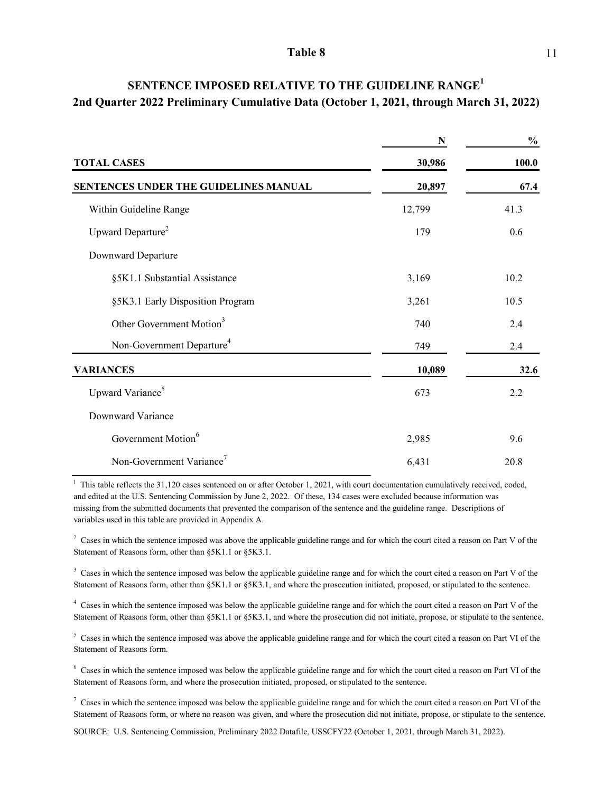|                                       | N      | $\frac{0}{0}$ |
|---------------------------------------|--------|---------------|
| <b>TOTAL CASES</b>                    | 30,986 | 100.0         |
| SENTENCES UNDER THE GUIDELINES MANUAL | 20,897 | 67.4          |
| Within Guideline Range                | 12,799 | 41.3          |
| Upward Departure <sup>2</sup>         | 179    | 0.6           |
| Downward Departure                    |        |               |
| §5K1.1 Substantial Assistance         | 3,169  | 10.2          |
| §5K3.1 Early Disposition Program      | 3,261  | 10.5          |
| Other Government Motion <sup>3</sup>  | 740    | 2.4           |
| Non-Government Departure <sup>4</sup> | 749    | 2.4           |
| <b>VARIANCES</b>                      | 10,089 | 32.6          |
| Upward Variance <sup>5</sup>          | 673    | 2.2           |
| Downward Variance                     |        |               |
| Government Motion <sup>6</sup>        | 2,985  | 9.6           |
| Non-Government Variance <sup>7</sup>  | 6,431  | 20.8          |

# **2nd Quarter 2022 Preliminary Cumulative Data (October 1, 2021, through March 31, 2022) SENTENCE IMPOSED RELATIVE TO THE GUIDELINE RANGE<sup>1</sup>**

 $1$  This table reflects the 31,120 cases sentenced on or after October 1, 2021, with court documentation cumulatively received, coded, and edited at the U.S. Sentencing Commission by June 2, 2022. Of these, 134 cases were excluded because information was missing from the submitted documents that prevented the comparison of the sentence and the guideline range. Descriptions of variables used in this table are provided in Appendix A.

<sup>2</sup> Cases in which the sentence imposed was above the applicable guideline range and for which the court cited a reason on Part V of the Statement of Reasons form, other than §5K1.1 or §5K3.1.

 $3$  Cases in which the sentence imposed was below the applicable guideline range and for which the court cited a reason on Part V of the Statement of Reasons form, other than §5K1.1 or §5K3.1, and where the prosecution initiated, proposed, or stipulated to the sentence.

<sup>4</sup> Cases in which the sentence imposed was below the applicable guideline range and for which the court cited a reason on Part V of the Statement of Reasons form, other than §5K1.1 or §5K3.1, and where the prosecution did not initiate, propose, or stipulate to the sentence.

 $5$  Cases in which the sentence imposed was above the applicable guideline range and for which the court cited a reason on Part VI of the Statement of Reasons form.

<sup>6</sup> Cases in which the sentence imposed was below the applicable guideline range and for which the court cited a reason on Part VI of the Statement of Reasons form, and where the prosecution initiated, proposed, or stipulated to the sentence.

 $^7$  Cases in which the sentence imposed was below the applicable guideline range and for which the court cited a reason on Part VI of the Statement of Reasons form, or where no reason was given, and where the prosecution did not initiate, propose, or stipulate to the sentence.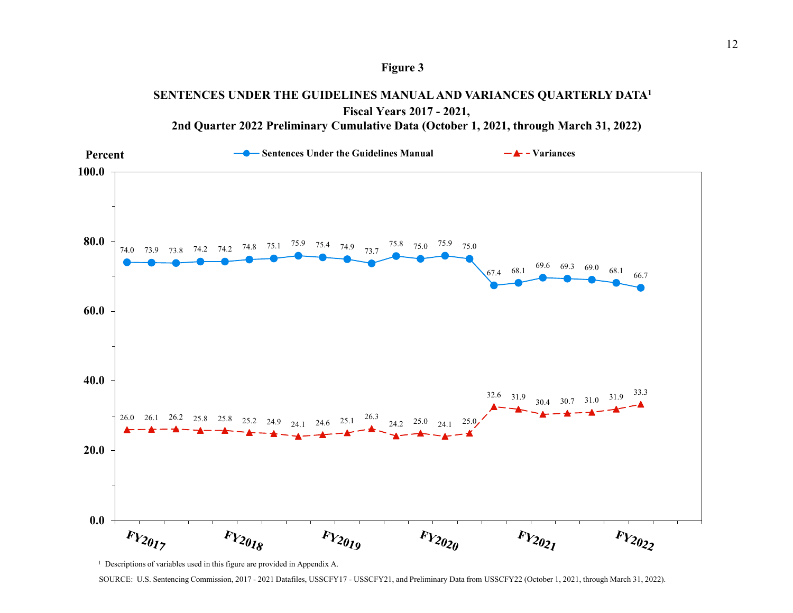

# **SENTENCES UNDER THE GUIDELINES MANUAL AND VARIANCES QUARTERLY DATA1**



**Fiscal Years 2017 - 2021, 2nd Quarter 2022 Preliminary Cumulative Data (October 1, 2021, through March 31, 2022)**

<sup>1</sup> Descriptions of variables used in this figure are provided in Appendix A.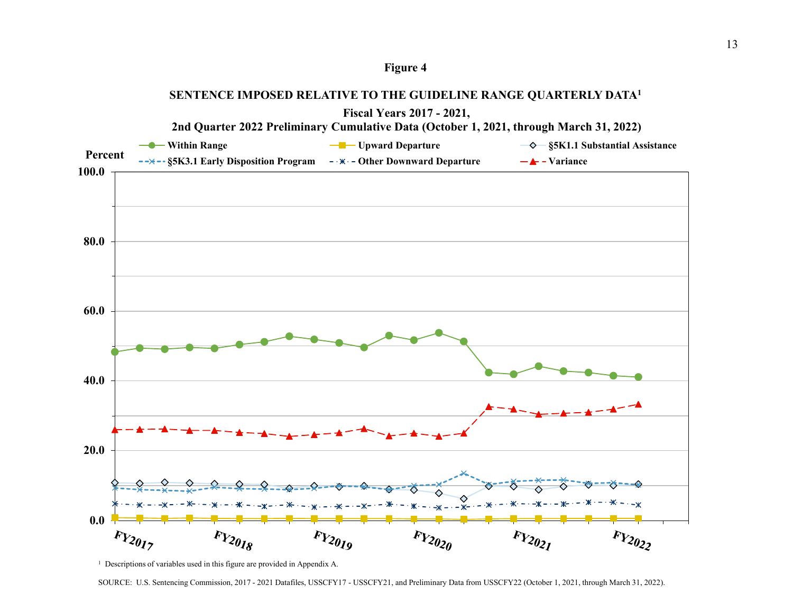



<sup>&</sup>lt;sup>1</sup> Descriptions of variables used in this figure are provided in Appendix A.

SOURCE: U.S. Sentencing Commission, 2017 - 2021 Datafiles, USSCFY17 - USSCFY21, and Preliminary Data from USSCFY22 (October 1, 2021, through March 31, 2022).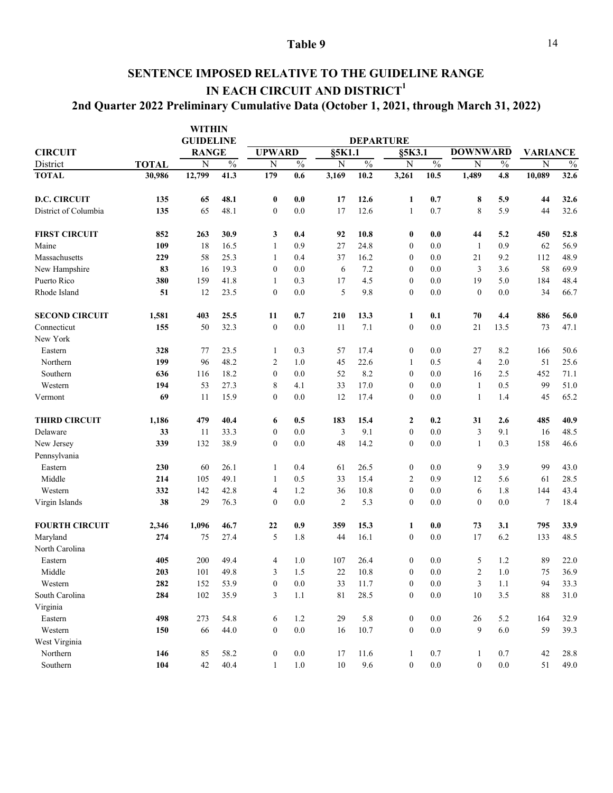## **SENTENCE IMPOSED RELATIVE TO THE GUIDELINE RANGE IN EACH CIRCUIT AND DISTRICT<sup>1</sup> 2nd Quarter 2022 Preliminary Cumulative Data (October 1, 2021, through March 31, 2022)**

|                       |              | <b>WITHIN</b><br><b>GUIDELINE</b> |                          |                  |         |             | <b>DEPARTURE</b>         |                  |               |                  |               |                  |      |
|-----------------------|--------------|-----------------------------------|--------------------------|------------------|---------|-------------|--------------------------|------------------|---------------|------------------|---------------|------------------|------|
| <b>CIRCUIT</b>        |              | <b>RANGE</b>                      |                          | <b>UPWARD</b>    |         | §5K1.1      |                          | §5K3.1           |               | <b>DOWNWARD</b>  |               | <b>VARIANCE</b>  |      |
| District              | <b>TOTAL</b> | $\overline{N}$                    | $\overline{\frac{0}{0}}$ | $\mathbf N$      | $\%$    | $\mathbf N$ | $\overline{\frac{0}{0}}$ | $\mathbf N$      | $\frac{0}{6}$ | ${\bf N}$        | $\frac{0}{0}$ | N                | $\%$ |
| <b>TOTAL</b>          | 30,986       | 12,799                            | 41.3                     | 179              | 0.6     | 3,169       | 10.2                     | 3,261            | 10.5          | 1,489            | 4.8           | 10,089           | 32.6 |
| <b>D.C. CIRCUIT</b>   | 135          | 65                                | 48.1                     | $\bf{0}$         | 0.0     | 17          | 12.6                     | 1                | 0.7           | 8                | 5.9           | 44               | 32.6 |
| District of Columbia  | 135          | 65                                | 48.1                     | $\boldsymbol{0}$ | 0.0     | 17          | 12.6                     | $\mathbf{1}$     | 0.7           | 8                | 5.9           | 44               | 32.6 |
| <b>FIRST CIRCUIT</b>  | 852          | 263                               | 30.9                     | 3                | 0.4     | 92          | 10.8                     | $\bf{0}$         | 0.0           | 44               | 5.2           | 450              | 52.8 |
| Maine                 | 109          | 18                                | 16.5                     | 1                | 0.9     | 27          | 24.8                     | $\boldsymbol{0}$ | 0.0           | 1                | 0.9           | 62               | 56.9 |
| Massachusetts         | 229          | 58                                | 25.3                     | 1                | 0.4     | 37          | 16.2                     | $\boldsymbol{0}$ | 0.0           | 21               | 9.2           | 112              | 48.9 |
| New Hampshire         | 83           | 16                                | 19.3                     | $\boldsymbol{0}$ | 0.0     | 6           | 7.2                      | $\boldsymbol{0}$ | 0.0           | 3                | 3.6           | 58               | 69.9 |
| Puerto Rico           | 380          | 159                               | 41.8                     | 1                | 0.3     | 17          | 4.5                      | $\boldsymbol{0}$ | 0.0           | 19               | 5.0           | 184              | 48.4 |
| Rhode Island          | 51           | 12                                | 23.5                     | $\mathbf{0}$     | 0.0     | 5           | 9.8                      | $\boldsymbol{0}$ | 0.0           | $\mathbf{0}$     | 0.0           | 34               | 66.7 |
| <b>SECOND CIRCUIT</b> | 1,581        | 403                               | 25.5                     | 11               | 0.7     | 210         | 13.3                     | 1                | 0.1           | 70               | 4.4           | 886              | 56.0 |
| Connecticut           | 155          | 50                                | 32.3                     | $\boldsymbol{0}$ | 0.0     | 11          | 7.1                      | $\mathbf{0}$     | 0.0           | 21               | 13.5          | 73               | 47.1 |
| New York              |              |                                   |                          |                  |         |             |                          |                  |               |                  |               |                  |      |
| Eastern               | 328          | 77                                | 23.5                     | 1                | 0.3     | 57          | 17.4                     | $\boldsymbol{0}$ | 0.0           | 27               | 8.2           | 166              | 50.6 |
| Northern              | 199          | 96                                | 48.2                     | 2                | 1.0     | 45          | 22.6                     | $\mathbf{1}$     | 0.5           | $\overline{4}$   | 2.0           | 51               | 25.6 |
| Southern              | 636          | 116                               | 18.2                     | $\mathbf{0}$     | 0.0     | 52          | 8.2                      | $\boldsymbol{0}$ | 0.0           | 16               | 2.5           | 452              | 71.1 |
| Western               | 194          | 53                                | 27.3                     | 8                | 4.1     | 33          | 17.0                     | $\boldsymbol{0}$ | 0.0           | $\mathbf{1}$     | 0.5           | 99               | 51.0 |
| Vermont               | 69           | 11                                | 15.9                     | $\mathbf{0}$     | 0.0     | 12          | 17.4                     | $\boldsymbol{0}$ | 0.0           | 1                | 1.4           | 45               | 65.2 |
| <b>THIRD CIRCUIT</b>  | 1,186        | 479                               | 40.4                     | 6                | 0.5     | 183         | 15.4                     | $\boldsymbol{2}$ | 0.2           | 31               | 2.6           | 485              | 40.9 |
| Delaware              | 33           | 11                                | 33.3                     | $\boldsymbol{0}$ | 0.0     | 3           | 9.1                      | $\boldsymbol{0}$ | 0.0           | 3                | 9.1           | 16               | 48.5 |
| New Jersey            | 339          | 132                               | 38.9                     | $\boldsymbol{0}$ | 0.0     | 48          | 14.2                     | $\boldsymbol{0}$ | 0.0           | 1                | 0.3           | 158              | 46.6 |
| Pennsylvania          |              |                                   |                          |                  |         |             |                          |                  |               |                  |               |                  |      |
| Eastern               | 230          | 60                                | 26.1                     | 1                | 0.4     | 61          | 26.5                     | $\boldsymbol{0}$ | 0.0           | 9                | 3.9           | 99               | 43.0 |
| Middle                | 214          | 105                               | 49.1                     | 1                | 0.5     | 33          | 15.4                     | $\sqrt{2}$       | 0.9           | 12               | 5.6           | 61               | 28.5 |
| Western               | 332          | 142                               | 42.8                     | 4                | 1.2     | 36          | 10.8                     | $\boldsymbol{0}$ | 0.0           | 6                | 1.8           | 144              | 43.4 |
| Virgin Islands        | 38           | 29                                | 76.3                     | $\mathbf{0}$     | 0.0     | 2           | 5.3                      | $\boldsymbol{0}$ | 0.0           | $\boldsymbol{0}$ | 0.0           | $\boldsymbol{7}$ | 18.4 |
| <b>FOURTH CIRCUIT</b> | 2,346        | 1,096                             | 46.7                     | 22               | 0.9     | 359         | 15.3                     | 1                | 0.0           | 73               | 3.1           | 795              | 33.9 |
| Maryland              | 274          | 75                                | 27.4                     | 5                | 1.8     | 44          | 16.1                     | $\boldsymbol{0}$ | 0.0           | 17               | 6.2           | 133              | 48.5 |
| North Carolina        |              |                                   |                          |                  |         |             |                          |                  |               |                  |               |                  |      |
| Eastern               | 405          | 200                               | 49.4                     | 4                | 1.0     | 107         | 26.4                     | $\boldsymbol{0}$ | 0.0           | 5                | 1.2           | 89               | 22.0 |
| Middle                | 203          | 101                               | 49.8                     | 3                | 1.5     | $22\,$      | 10.8                     | $\boldsymbol{0}$ | $0.0\,$       | $\sqrt{2}$       | 1.0           | 75               | 36.9 |
| Western               | 282          | 152                               | 53.9                     | $\boldsymbol{0}$ | $0.0\,$ | 33          | 11.7                     | $\boldsymbol{0}$ | $0.0\,$       | $\mathfrak{Z}$   | 1.1           | 94               | 33.3 |
| South Carolina        | 284          | 102                               | 35.9                     | 3                | 1.1     | 81          | 28.5                     | $\boldsymbol{0}$ | $0.0\,$       | 10               | 3.5           | $88\,$           | 31.0 |
| Virginia              |              |                                   |                          |                  |         |             |                          |                  |               |                  |               |                  |      |
| Eastern               | 498          | 273                               | 54.8                     | 6                | 1.2     | 29          | 5.8                      | $\boldsymbol{0}$ | $0.0\,$       | 26               | 5.2           | 164              | 32.9 |
| Western               | 150          | 66                                | 44.0                     | $\boldsymbol{0}$ | $0.0\,$ | 16          | 10.7                     | $\boldsymbol{0}$ | 0.0           | 9                | 6.0           | 59               | 39.3 |
| West Virginia         |              |                                   |                          |                  |         |             |                          |                  |               |                  |               |                  |      |
| Northern              | 146          | 85                                | 58.2                     | $\boldsymbol{0}$ | $0.0\,$ | 17          | 11.6                     | $\mathbf{1}$     | 0.7           | $\mathbf{1}$     | 0.7           | 42               | 28.8 |
| Southern              |              |                                   |                          |                  |         | $10\,$      |                          |                  |               |                  |               |                  | 49.0 |
|                       | 104          | 42                                | 40.4                     | $\mathbf{1}$     | 1.0     |             | 9.6                      | $\boldsymbol{0}$ | $0.0\,$       | $\boldsymbol{0}$ | $0.0\,$       | 51               |      |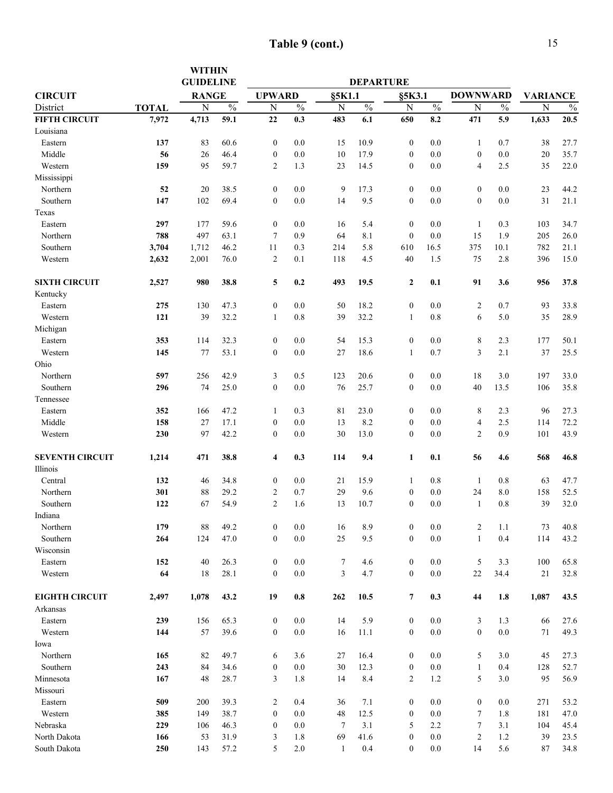|                                  |              | <b>WITHIN</b><br><b>GUIDELINE</b> |               |                  |               |                | <b>DEPARTURE</b> |                          |               |                  |               |                                   |               |
|----------------------------------|--------------|-----------------------------------|---------------|------------------|---------------|----------------|------------------|--------------------------|---------------|------------------|---------------|-----------------------------------|---------------|
| <b>CIRCUIT</b>                   |              | <b>RANGE</b>                      |               | <b>UPWARD</b>    |               | §5K1.1         |                  |                          |               | <b>DOWNWARD</b>  |               |                                   |               |
| District                         | <b>TOTAL</b> | $\overline{N}$                    | $\frac{0}{0}$ | N                | $\frac{0}{0}$ | ${\bf N}$      | $\frac{0}{0}$    | §5K3.1<br>$\overline{N}$ | $\frac{0}{0}$ | $\mathbf N$      | $\frac{0}{0}$ | <b>VARIANCE</b><br>$\overline{N}$ | $\frac{0}{0}$ |
| <b>FIFTH CIRCUIT</b>             | 7,972        | 4,713                             | 59.1          | 22               | 0.3           | 483            | 6.1              | 650                      | 8.2           | 471              | 5.9           | 1,633                             | 20.5          |
| Louisiana                        |              |                                   |               |                  |               |                |                  |                          |               |                  |               |                                   |               |
| Eastern                          | 137          | 83                                | 60.6          | $\boldsymbol{0}$ | 0.0           | 15             | 10.9             | $\boldsymbol{0}$         | 0.0           | $\mathbf{1}$     | 0.7           | 38                                | 27.7          |
| Middle                           | 56           | 26                                | 46.4          | $\boldsymbol{0}$ | 0.0           | 10             | 17.9             | $\boldsymbol{0}$         | 0.0           | $\boldsymbol{0}$ | 0.0           | 20                                | 35.7          |
| Western                          | 159          | 95                                | 59.7          | $\overline{c}$   | 1.3           | 23             | 14.5             | $\boldsymbol{0}$         | 0.0           | $\overline{4}$   | 2.5           | 35                                | 22.0          |
| Mississippi                      |              |                                   |               |                  |               |                |                  |                          |               |                  |               |                                   |               |
| Northern                         | 52           | 20                                | 38.5          | $\boldsymbol{0}$ | 0.0           | 9              | 17.3             | $\boldsymbol{0}$         | 0.0           | $\boldsymbol{0}$ | 0.0           | 23                                | 44.2          |
| Southern                         | 147          | 102                               | 69.4          | $\boldsymbol{0}$ | 0.0           | 14             | 9.5              | $\boldsymbol{0}$         | 0.0           | $\mathbf{0}$     | $0.0\,$       | 31                                | 21.1          |
| Texas                            |              |                                   |               |                  |               |                |                  |                          |               |                  |               |                                   |               |
| Eastern                          | 297          | 177                               | 59.6          | $\boldsymbol{0}$ | 0.0           | 16             | 5.4              | $\boldsymbol{0}$         | 0.0           | 1                | 0.3           | 103                               | 34.7          |
| Northern                         | 788          | 497                               | 63.1          | 7                | 0.9           | 64             | 8.1              | $\boldsymbol{0}$         | 0.0           | 15               | 1.9           | 205                               | 26.0          |
| Southern                         | 3,704        | 1,712                             | 46.2          | 11               | 0.3           | 214            | 5.8              | 610                      | 16.5          | 375              | 10.1          | 782                               | 21.1          |
| Western                          | 2,632        | 2,001                             | 76.0          | $\overline{2}$   | 0.1           | 118            | 4.5              | 40                       | 1.5           | 75               | 2.8           | 396                               | 15.0          |
|                                  |              |                                   |               |                  |               |                |                  |                          |               |                  |               |                                   |               |
| <b>SIXTH CIRCUIT</b><br>Kentucky | 2,527        | 980                               | 38.8          | 5                | 0.2           | 493            | 19.5             | $\boldsymbol{2}$         | 0.1           | 91               | 3.6           | 956                               | 37.8          |
| Eastern                          | 275          | 130                               | 47.3          | $\boldsymbol{0}$ | 0.0           | 50             | 18.2             | $\boldsymbol{0}$         | 0.0           | $\overline{c}$   | 0.7           | 93                                | 33.8          |
| Western                          | 121          | 39                                | 32.2          | $\mathbf{1}$     | 0.8           | 39             | 32.2             | $\mathbf{1}$             | 0.8           | 6                | 5.0           | 35                                | 28.9          |
| Michigan                         |              |                                   |               |                  |               |                |                  |                          |               |                  |               |                                   |               |
| Eastern                          | 353          | 114                               | 32.3          | $\boldsymbol{0}$ | 0.0           | 54             | 15.3             | $\boldsymbol{0}$         | 0.0           | 8                | 2.3           | 177                               | 50.1          |
| Western                          | 145          | 77                                | 53.1          | $\boldsymbol{0}$ | 0.0           | 27             | 18.6             | $\mathbf{1}$             | 0.7           | 3                | 2.1           | 37                                | 25.5          |
| Ohio                             |              |                                   |               |                  |               |                |                  |                          |               |                  |               |                                   |               |
| Northern                         | 597          | 256                               | 42.9          | 3                | 0.5           | 123            | 20.6             | $\boldsymbol{0}$         | 0.0           | 18               | 3.0           | 197                               | 33.0          |
| Southern                         | 296          | 74                                | 25.0          | $\boldsymbol{0}$ | 0.0           | 76             | 25.7             | $\boldsymbol{0}$         | 0.0           | 40               | 13.5          | 106                               | 35.8          |
| Tennessee                        |              |                                   |               |                  |               |                |                  |                          |               |                  |               |                                   |               |
| Eastern                          | 352          | 166                               | 47.2          | 1                | 0.3           | 81             | 23.0             | $\boldsymbol{0}$         | 0.0           | 8                | 2.3           | 96                                | 27.3          |
| Middle                           | 158          | 27                                | 17.1          | $\boldsymbol{0}$ | 0.0           | 13             | 8.2              | $\boldsymbol{0}$         | 0.0           | $\overline{4}$   | 2.5           | 114                               | 72.2          |
| Western                          | 230          | 97                                | 42.2          | $\boldsymbol{0}$ | 0.0           | 30             | 13.0             | $\boldsymbol{0}$         | 0.0           | $\overline{2}$   | 0.9           | 101                               | 43.9          |
|                                  |              |                                   |               |                  |               |                |                  |                          |               |                  |               |                                   |               |
| <b>SEVENTH CIRCUIT</b>           | 1,214        | 471                               | 38.8          | 4                | 0.3           | 114            | 9.4              | $\mathbf{1}$             | 0.1           | 56               | 4.6           | 568                               | 46.8          |
| Illinois                         |              |                                   |               |                  |               |                |                  |                          |               |                  |               |                                   |               |
| Central                          | 132          | 46                                | 34.8          | $\boldsymbol{0}$ | 0.0           | 21             | 15.9             | 1                        | 0.8           | $\mathbf{1}$     | $0.8\,$       | 63                                | 47.7          |
| Northern                         | 301          | 88                                | 29.2          | $\overline{c}$   | 0.7           | 29             | 9.6              | $\boldsymbol{0}$         | 0.0           | 24               | 8.0           | 158                               | 52.5          |
| Southern                         | 122          | 67                                | 54.9          | $\overline{c}$   | 1.6           | 13             | 10.7             | $\mathbf{0}$             | 0.0           | $\mathbf{1}$     | 0.8           | 39                                | 32.0          |
| Indiana                          |              |                                   |               |                  |               |                |                  |                          |               |                  |               |                                   |               |
| Northern                         | 179          | 88                                | 49.2          | $\boldsymbol{0}$ | 0.0           | 16             | 8.9              | $\boldsymbol{0}$         | 0.0           | $\overline{c}$   | 1.1           | 73                                | 40.8          |
| Southern                         | 264          | 124                               | 47.0          | $\boldsymbol{0}$ | 0.0           | 25             | 9.5              | $\boldsymbol{0}$         | 0.0           | $\mathbf{1}$     | 0.4           | 114                               | 43.2          |
| Wisconsin                        |              |                                   |               |                  |               |                |                  |                          |               |                  |               |                                   |               |
| Eastern                          | 152          | 40                                | 26.3          | $\boldsymbol{0}$ | $0.0\,$       | 7              | 4.6              | $\boldsymbol{0}$         | 0.0           | 5                | 3.3           | 100                               | 65.8          |
| Western                          | 64           | 18                                | 28.1          | $\boldsymbol{0}$ | 0.0           | $\mathfrak{Z}$ | 4.7              | $\boldsymbol{0}$         | 0.0           | 22               | 34.4          | 21                                | 32.8          |
| <b>EIGHTH CIRCUIT</b>            | 2,497        | 1,078                             | 43.2          | 19               | 0.8           | 262            | 10.5             | 7                        | 0.3           | 44               | 1.8           | 1,087                             | 43.5          |
| Arkansas                         |              |                                   |               |                  |               |                |                  |                          |               |                  |               |                                   |               |
| Eastern                          | 239          | 156                               | 65.3          | $\boldsymbol{0}$ | 0.0           | 14             | 5.9              | $\boldsymbol{0}$         | 0.0           | 3                | 1.3           | 66                                | 27.6          |
| Western                          | 144          | 57                                | 39.6          | $\boldsymbol{0}$ | 0.0           | 16             | 11.1             | $\boldsymbol{0}$         | 0.0           | $\overline{0}$   | 0.0           | 71                                | 49.3          |
| Iowa                             |              |                                   |               |                  |               |                |                  |                          |               |                  |               |                                   |               |
| Northern                         | 165          | 82                                | 49.7          | 6                | 3.6           | 27             | 16.4             | $\boldsymbol{0}$         | 0.0           | 5                | 3.0           | 45                                | 27.3          |
| Southern                         | 243          | 84                                | 34.6          | $\boldsymbol{0}$ | 0.0           | 30             | 12.3             | $\boldsymbol{0}$         | 0.0           | $\mathbf{1}$     | 0.4           | 128                               | 52.7          |
| Minnesota                        | 167          | 48                                | 28.7          | 3                | 1.8           | 14             | 8.4              | $\overline{2}$           | 1.2           | 5                | 3.0           | 95                                | 56.9          |
| Missouri                         |              |                                   |               |                  |               |                |                  |                          |               |                  |               |                                   |               |
| Eastern                          | 509          | 200                               | 39.3          | 2                | 0.4           | 36             | 7.1              | $\boldsymbol{0}$         | 0.0           | $\mathbf{0}$     | 0.0           | 271                               | 53.2          |
| Western                          | 385          | 149                               | 38.7          | $\boldsymbol{0}$ | 0.0           | 48             | 12.5             | $\boldsymbol{0}$         | 0.0           | 7                | 1.8           | 181                               | 47.0          |
| Nebraska                         | 229          | 106                               | 46.3          | $\boldsymbol{0}$ | 0.0           | 7              | 3.1              | 5                        | 2.2           | 7                | 3.1           | 104                               | 45.4          |
| North Dakota                     | 166          | 53                                | 31.9          | 3                | 1.8           | 69             | 41.6             | $\boldsymbol{0}$         | 0.0           | 2                | 1.2           | 39                                | 23.5          |
| South Dakota                     | 250          | 143                               | 57.2          | 5                | 2.0           | $\mathbf{1}$   | 0.4              | $\mathbf{0}$             | 0.0           | 14               | 5.6           | 87                                | 34.8          |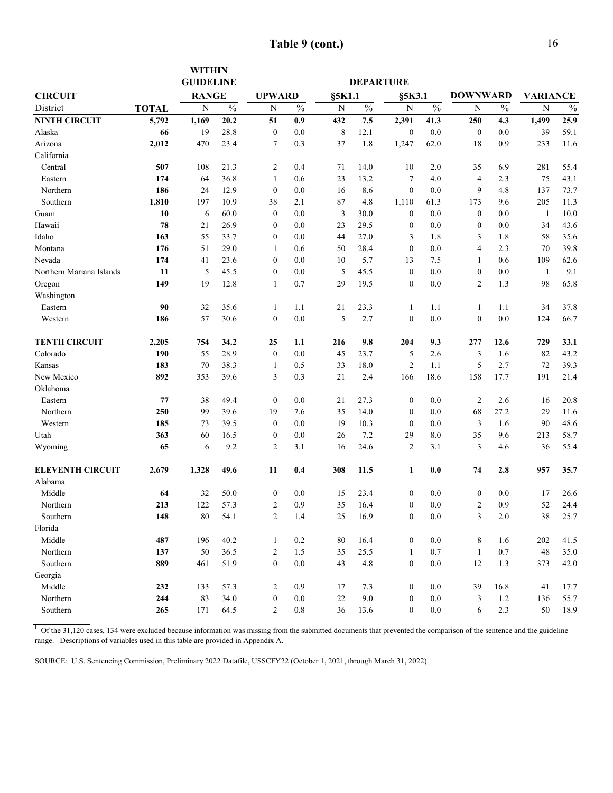| <b>Table 9 (cont.)</b> |  |  |  |  |
|------------------------|--|--|--|--|
|------------------------|--|--|--|--|

|                          |              | <b>WITHIN</b>    |               |                  |               |        |                  |                  |               |                  |               |                 |               |
|--------------------------|--------------|------------------|---------------|------------------|---------------|--------|------------------|------------------|---------------|------------------|---------------|-----------------|---------------|
|                          |              | <b>GUIDELINE</b> |               |                  |               |        | <b>DEPARTURE</b> |                  |               |                  |               |                 |               |
| <b>CIRCUIT</b>           |              | <b>RANGE</b>     |               | <b>UPWARD</b>    |               | §5K1.1 |                  | §5K3.1           |               | <b>DOWNWARD</b>  |               | <b>VARIANCE</b> |               |
| District                 | <b>TOTAL</b> | N                | $\frac{0}{0}$ | N                | $\frac{0}{0}$ | N      | $\frac{0}{0}$    | N                | $\frac{0}{0}$ | N                | $\frac{0}{0}$ | $\mathbf N$     | $\frac{0}{0}$ |
| <b>NINTH CIRCUIT</b>     | 5,792        | 1,169            | 20.2          | 51               | 0.9           | 432    | 7.5              | 2,391            | 41.3          | 250              | 4.3           | 1,499           | 25.9          |
| Alaska                   | 66           | 19               | 28.8          | $\boldsymbol{0}$ | 0.0           | 8      | 12.1             | $\mathbf{0}$     | 0.0           | $\boldsymbol{0}$ | 0.0           | 39              | 59.1          |
| Arizona                  | 2,012        | 470              | 23.4          | 7                | 0.3           | 37     | 1.8              | 1,247            | 62.0          | 18               | 0.9           | 233             | 11.6          |
| California               |              |                  |               |                  |               |        |                  |                  |               |                  |               |                 |               |
| Central                  | 507          | 108              | 21.3          | 2                | 0.4           | 71     | 14.0             | 10               | 2.0           | 35               | 6.9           | 281             | 55.4          |
| Eastern                  | 174          | 64               | 36.8          | $\mathbf{1}$     | 0.6           | 23     | 13.2             | 7                | 4.0           | 4                | 2.3           | 75              | 43.1          |
| Northern                 | 186          | 24               | 12.9          | $\boldsymbol{0}$ | 0.0           | 16     | 8.6              | $\mathbf{0}$     | 0.0           | 9                | 4.8           | 137             | 73.7          |
| Southern                 | 1,810        | 197              | 10.9          | 38               | 2.1           | 87     | 4.8              | 1,110            | 61.3          | 173              | 9.6           | 205             | 11.3          |
| Guam                     | 10           | 6                | 60.0          | $\boldsymbol{0}$ | 0.0           | 3      | 30.0             | $\boldsymbol{0}$ | 0.0           | $\boldsymbol{0}$ | 0.0           | $\mathbf{1}$    | 10.0          |
| Hawaii                   | 78           | 21               | 26.9          | $\boldsymbol{0}$ | 0.0           | 23     | 29.5             | $\boldsymbol{0}$ | 0.0           | $\boldsymbol{0}$ | 0.0           | 34              | 43.6          |
| Idaho                    | 163          | 55               | 33.7          | 0                | 0.0           | 44     | 27.0             | 3                | 1.8           | 3                | 1.8           | 58              | 35.6          |
| Montana                  | 176          | 51               | 29.0          | $\mathbf{1}$     | 0.6           | 50     | 28.4             | $\boldsymbol{0}$ | 0.0           | 4                | 2.3           | 70              | 39.8          |
| Nevada                   | 174          | 41               | 23.6          | $\mathbf{0}$     | 0.0           | 10     | 5.7              | 13               | 7.5           | 1                | 0.6           | 109             | 62.6          |
| Northern Mariana Islands | 11           | 5                | 45.5          | $\boldsymbol{0}$ | 0.0           | 5      | 45.5             | $\boldsymbol{0}$ | 0.0           | $\boldsymbol{0}$ | 0.0           | $\mathbf{1}$    | 9.1           |
| Oregon                   | 149          | 19               | 12.8          | $\mathbf{1}$     | 0.7           | 29     | 19.5             | $\mathbf{0}$     | 0.0           | $\overline{2}$   | 1.3           | 98              | 65.8          |
| Washington               |              |                  |               |                  |               |        |                  |                  |               |                  |               |                 |               |
| Eastern                  | 90           | 32               | 35.6          | 1                | 1.1           | 21     | 23.3             | 1                | 1.1           | 1                | 1.1           | 34              | 37.8          |
| Western                  | 186          | 57               | 30.6          | $\mathbf{0}$     | 0.0           | 5      | 2.7              | $\mathbf{0}$     | 0.0           | $\mathbf{0}$     | 0.0           | 124             | 66.7          |
| <b>TENTH CIRCUIT</b>     | 2,205        | 754              | 34.2          | 25               | 1.1           | 216    | 9.8              | 204              | 9.3           | 277              | 12.6          | 729             | 33.1          |
| Colorado                 | 190          | 55               | 28.9          | $\boldsymbol{0}$ | 0.0           | 45     | 23.7             | 5                | 2.6           | 3                | 1.6           | 82              | 43.2          |
| Kansas                   | 183          | 70               | 38.3          | 1                | 0.5           | 33     | 18.0             | $\overline{2}$   | 1.1           | 5                | 2.7           | 72              | 39.3          |
| New Mexico               | 892          | 353              | 39.6          | 3                | 0.3           | 21     | 2.4              | 166              | 18.6          | 158              | 17.7          | 191             | 21.4          |
| Oklahoma                 |              |                  |               |                  |               |        |                  |                  |               |                  |               |                 |               |
| Eastern                  | 77           | 38               | 49.4          | $\boldsymbol{0}$ | 0.0           | 21     | 27.3             | $\boldsymbol{0}$ | 0.0           | 2                | 2.6           | 16              | 20.8          |
| Northern                 | 250          | 99               | 39.6          | 19               | 7.6           | 35     | 14.0             | $\boldsymbol{0}$ | 0.0           | 68               | 27.2          | 29              | 11.6          |
| Western                  | 185          | 73               | 39.5          | $\boldsymbol{0}$ | 0.0           | 19     | 10.3             | $\boldsymbol{0}$ | 0.0           | 3                | 1.6           | 90              | 48.6          |
| Utah                     | 363          | 60               | 16.5          | $\boldsymbol{0}$ | 0.0           | 26     | 7.2              | 29               | 8.0           | 35               | 9.6           | 213             | 58.7          |
| Wyoming                  | 65           | 6                | 9.2           | $\overline{c}$   | 3.1           | 16     | 24.6             | $\sqrt{2}$       | 3.1           | 3                | 4.6           | 36              | 55.4          |
| <b>ELEVENTH CIRCUIT</b>  | 2,679        | 1,328            | 49.6          | 11               | 0.4           | 308    | 11.5             | 1                | 0.0           | 74               | 2.8           | 957             | 35.7          |
| Alabama                  |              |                  |               |                  |               |        |                  |                  |               |                  |               |                 |               |
| Middle                   | 64           | 32               | 50.0          | $\boldsymbol{0}$ | 0.0           | 15     | 23.4             | $\boldsymbol{0}$ | 0.0           | $\boldsymbol{0}$ | 0.0           | 17              | 26.6          |
| Northern                 | 213          | 122              | 57.3          | 2                | 0.9           | 35     | 16.4             | $\mathbf{0}$     | 0.0           | $\overline{c}$   | 0.9           | 52              | 24.4          |
| Southern                 | 148          | $80\,$           | 54.1          | 2                | 1.4           | 25     | 16.9             | $\boldsymbol{0}$ | $0.0\,$       | 3                | $2.0\,$       | $38\,$          | 25.7          |
| Florida                  |              |                  |               |                  |               |        |                  |                  |               |                  |               |                 |               |
| Middle                   | 487          | 196              | 40.2          | $\mathbf{1}$     | 0.2           | 80     | 16.4             | $\boldsymbol{0}$ | $0.0\,$       | 8                | 1.6           | 202             | 41.5          |
| Northern                 | 137          | 50               | 36.5          | 2                | 1.5           | 35     | 25.5             | $\mathbf{1}$     | 0.7           | $\mathbf{1}$     | 0.7           | $48\,$          | 35.0          |
| Southern                 | 889          | 461              | 51.9          | $\boldsymbol{0}$ | $0.0\,$       | 43     | 4.8              | $\boldsymbol{0}$ | $0.0\,$       | 12               | 1.3           | 373             | 42.0          |
| Georgia                  |              |                  |               |                  |               |        |                  |                  |               |                  |               |                 |               |
| Middle                   | 232          | 133              | 57.3          | 2                | 0.9           | 17     | 7.3              | $\bf{0}$         | 0.0           | 39               | 16.8          | 41              | 17.7          |
| Northern                 | 244          | 83               | 34.0          | $\boldsymbol{0}$ | $0.0\,$       | 22     | 9.0              | $\boldsymbol{0}$ | $0.0\,$       | 3                | 1.2           | 136             | 55.7          |
| Southern                 | 265          | 171              | 64.5          | $\overline{c}$   | $0.8\,$       | 36     | 13.6             | $\boldsymbol{0}$ | 0.0           | 6                | 2.3           | 50              | 18.9          |

 $1$  Of the 31,120 cases, 134 were excluded because information was missing from the submitted documents that prevented the comparison of the sentence and the guideline range. Descriptions of variables used in this table are provided in Appendix A.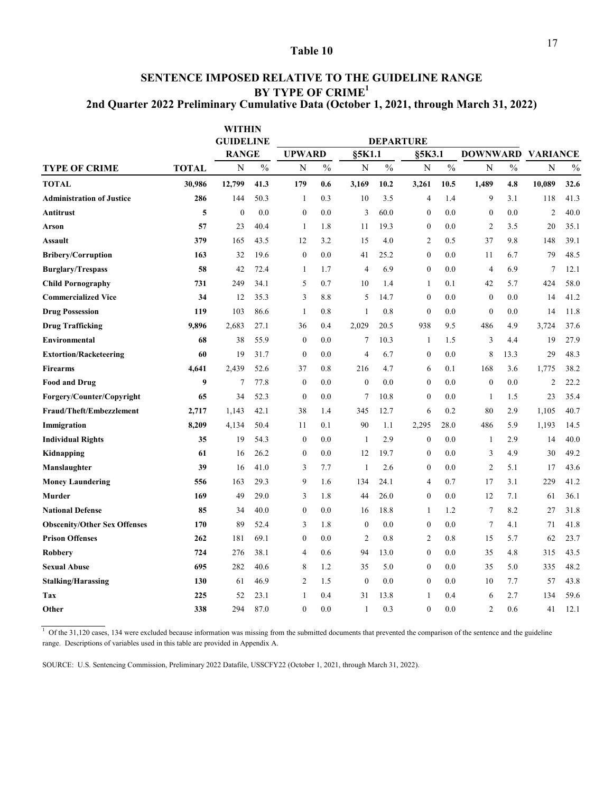### **SENTENCE IMPOSED RELATIVE TO THE GUIDELINE RANGE BY TYPE OF CRIME1 2nd Quarter 2022 Preliminary Cumulative Data (October 1, 2021, through March 31, 2022)**

|                                     | <b>WITHIN</b><br><b>GUIDELINE</b> |              |               |                  |               | <b>DEPARTURE</b> |               |                  |               |                  |               |                 |               |
|-------------------------------------|-----------------------------------|--------------|---------------|------------------|---------------|------------------|---------------|------------------|---------------|------------------|---------------|-----------------|---------------|
|                                     |                                   | <b>RANGE</b> |               | <b>UPWARD</b>    |               | §5K1.1           |               | §5K3.1           |               | <b>DOWNWARD</b>  |               | <b>VARIANCE</b> |               |
| <b>TYPE OF CRIME</b>                | <b>TOTAL</b>                      | N            | $\frac{0}{0}$ | $\mathbf N$      | $\frac{0}{0}$ | N                | $\frac{0}{0}$ | N                | $\frac{0}{0}$ | $\overline{N}$   | $\frac{0}{0}$ | N               | $\frac{0}{0}$ |
| <b>TOTAL</b>                        | 30,986                            | 12,799       | 41.3          | 179              | 0.6           | 3,169            | 10.2          | 3,261            | 10.5          | 1,489            | 4.8           | 10,089          | 32.6          |
| <b>Administration of Justice</b>    | 286                               | 144          | 50.3          | 1                | 0.3           | 10               | 3.5           | $\overline{4}$   | 1.4           | 9                | 3.1           | 118             | 41.3          |
| Antitrust                           | 5                                 | $\mathbf{0}$ | 0.0           | $\boldsymbol{0}$ | 0.0           | 3                | 60.0          | $\mathbf{0}$     | 0.0           | $\boldsymbol{0}$ | 0.0           | $\overline{2}$  | 40.0          |
| Arson                               | 57                                | 23           | 40.4          | 1                | 1.8           | 11               | 19.3          | $\mathbf{0}$     | 0.0           | 2                | 3.5           | 20              | 35.1          |
| Assault                             | 379                               | 165          | 43.5          | 12               | 3.2           | 15               | 4.0           | $\overline{2}$   | 0.5           | 37               | 9.8           | 148             | 39.1          |
| <b>Bribery/Corruption</b>           | 163                               | 32           | 19.6          | $\boldsymbol{0}$ | 0.0           | 41               | 25.2          | $\mathbf{0}$     | 0.0           | 11               | 6.7           | 79              | 48.5          |
| <b>Burglary/Trespass</b>            | 58                                | 42           | 72.4          | $\mathbf{1}$     | 1.7           | $\overline{4}$   | 6.9           | $\mathbf{0}$     | 0.0           | $\overline{4}$   | 6.9           | $\tau$          | 12.1          |
| <b>Child Pornography</b>            | 731                               | 249          | 34.1          | 5                | 0.7           | 10               | 1.4           | $\mathbf{1}$     | 0.1           | 42               | 5.7           | 424             | 58.0          |
| <b>Commercialized Vice</b>          | 34                                | 12           | 35.3          | 3                | 8.8           | 5                | 14.7          | $\boldsymbol{0}$ | 0.0           | $\boldsymbol{0}$ | 0.0           | 14              | 41.2          |
| <b>Drug Possession</b>              | 119                               | 103          | 86.6          | 1                | 0.8           | 1                | 0.8           | $\mathbf{0}$     | 0.0           | $\mathbf{0}$     | 0.0           | 14              | 11.8          |
| <b>Drug Trafficking</b>             | 9,896                             | 2,683        | 27.1          | 36               | 0.4           | 2,029            | 20.5          | 938              | 9.5           | 486              | 4.9           | 3,724           | 37.6          |
| <b>Environmental</b>                | 68                                | 38           | 55.9          | $\boldsymbol{0}$ | 0.0           | 7                | 10.3          | 1                | 1.5           | 3                | 4.4           | 19              | 27.9          |
| <b>Extortion/Racketeering</b>       | 60                                | 19           | 31.7          | $\boldsymbol{0}$ | 0.0           | $\overline{4}$   | 6.7           | $\mathbf{0}$     | 0.0           | 8                | 13.3          | 29              | 48.3          |
| <b>Firearms</b>                     | 4,641                             | 2,439        | 52.6          | 37               | 0.8           | 216              | 4.7           | 6                | 0.1           | 168              | 3.6           | 1,775           | 38.2          |
| <b>Food and Drug</b>                | 9                                 | 7            | 77.8          | $\boldsymbol{0}$ | 0.0           | $\mathbf{0}$     | 0.0           | $\mathbf{0}$     | 0.0           | $\boldsymbol{0}$ | 0.0           | $\overline{2}$  | 22.2          |
| Forgery/Counter/Copyright           | 65                                | 34           | 52.3          | $\boldsymbol{0}$ | 0.0           | 7                | 10.8          | $\mathbf{0}$     | 0.0           | 1                | 1.5           | 23              | 35.4          |
| Fraud/Theft/Embezzlement            | 2,717                             | 1,143        | 42.1          | 38               | 1.4           | 345              | 12.7          | 6                | 0.2           | 80               | 2.9           | 1,105           | 40.7          |
| Immigration                         | 8,209                             | 4,134        | 50.4          | 11               | 0.1           | 90               | 1.1           | 2,295            | 28.0          | 486              | 5.9           | 1,193           | 14.5          |
| <b>Individual Rights</b>            | 35                                | 19           | 54.3          | $\boldsymbol{0}$ | 0.0           | 1                | 2.9           | $\boldsymbol{0}$ | 0.0           | 1                | 2.9           | 14              | 40.0          |
| Kidnapping                          | 61                                | 16           | 26.2          | $\boldsymbol{0}$ | 0.0           | 12               | 19.7          | $\mathbf{0}$     | 0.0           | 3                | 4.9           | 30              | 49.2          |
| Manslaughter                        | 39                                | 16           | 41.0          | 3                | 7.7           | 1                | 2.6           | $\boldsymbol{0}$ | 0.0           | $\overline{c}$   | 5.1           | 17              | 43.6          |
| <b>Money Laundering</b>             | 556                               | 163          | 29.3          | 9                | 1.6           | 134              | 24.1          | 4                | 0.7           | 17               | 3.1           | 229             | 41.2          |
| Murder                              | 169                               | 49           | 29.0          | 3                | 1.8           | 44               | 26.0          | $\boldsymbol{0}$ | 0.0           | 12               | 7.1           | 61              | 36.1          |
| <b>National Defense</b>             | 85                                | 34           | 40.0          | $\boldsymbol{0}$ | 0.0           | 16               | 18.8          | 1                | 1.2           | 7                | 8.2           | 27              | 31.8          |
| <b>Obscenity/Other Sex Offenses</b> | 170                               | 89           | 52.4          | 3                | 1.8           | $\boldsymbol{0}$ | 0.0           | $\boldsymbol{0}$ | 0.0           | $\tau$           | 4.1           | 71              | 41.8          |
| <b>Prison Offenses</b>              | 262                               | 181          | 69.1          | $\boldsymbol{0}$ | 0.0           | 2                | 0.8           | $\overline{2}$   | 0.8           | 15               | 5.7           | 62              | 23.7          |
| Robbery                             | 724                               | 276          | 38.1          | 4                | 0.6           | 94               | 13.0          | $\boldsymbol{0}$ | 0.0           | 35               | 4.8           | 315             | 43.5          |
| <b>Sexual Abuse</b>                 | 695                               | 282          | 40.6          | 8                | 1.2           | 35               | 5.0           | $\mathbf{0}$     | 0.0           | 35               | 5.0           | 335             | 48.2          |
| <b>Stalking/Harassing</b>           | 130                               | 61           | 46.9          | 2                | 1.5           | $\boldsymbol{0}$ | 0.0           | $\boldsymbol{0}$ | 0.0           | 10               | 7.7           | 57              | 43.8          |
| Tax                                 | 225                               | 52           | 23.1          | 1                | 0.4           | 31               | 13.8          | 1                | 0.4           | 6                | 2.7           | 134             | 59.6          |
| Other                               | 338                               | 294          | 87.0          | $\theta$         | 0.0           | $\mathbf{1}$     | 0.3           | $\theta$         | 0.0           | $\overline{2}$   | 0.6           | 41              | 12.1          |

 $1$  Of the 31,120 cases, 134 were excluded because information was missing from the submitted documents that prevented the comparison of the sentence and the guideline range. Descriptions of variables used in this table are provided in Appendix A.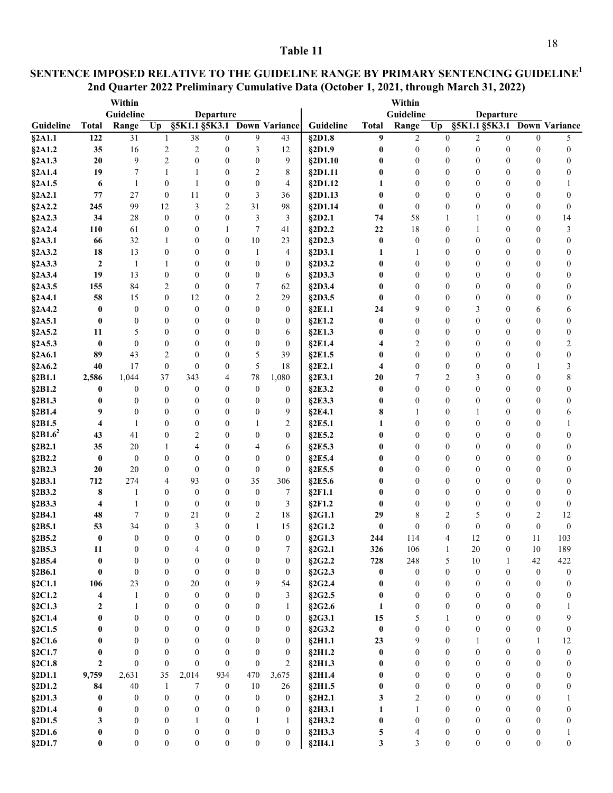### **2nd Quarter 2022 Preliminary Cumulative Data (October 1, 2021, through March 31, 2022) SENTENCE IMPOSED RELATIVE TO THE GUIDELINE RANGE BY PRIMARY SENTENCING GUIDELINE<sup>1</sup>**

|                         |                  | Within           |                                      |                  |                      |                  |                             |                  |                      | Within                |                                  |                       |                                      |                   |                             |
|-------------------------|------------------|------------------|--------------------------------------|------------------|----------------------|------------------|-----------------------------|------------------|----------------------|-----------------------|----------------------------------|-----------------------|--------------------------------------|-------------------|-----------------------------|
|                         |                  | Guideline        |                                      |                  | Departure            |                  |                             |                  |                      | Guideline             |                                  |                       | <b>Departure</b>                     |                   |                             |
| Guideline               | <b>Total</b>     | Range            | Up                                   |                  |                      |                  | §5K1.1 §5K3.1 Down Variance | Guideline        | <b>Total</b>         | Range                 | Up                               |                       |                                      |                   | §5K1.1 §5K3.1 Down Variance |
| §2A1.1                  | 122              | 31               | 1                                    | 38               | $\mathbf{0}$         | 9                | 43                          | §2D1.8           | 9                    | $\overline{2}$        | $\mathbf{0}$                     | 2                     | $\theta$                             | $\Omega$          | 5                           |
| §2A1.2                  | 35               | 16               | 2                                    | $\overline{2}$   | $\boldsymbol{0}$     | 3                | 12                          | §2D1.9           | $\boldsymbol{0}$     | $\boldsymbol{0}$      | $\boldsymbol{0}$                 | $\boldsymbol{0}$      | $\boldsymbol{0}$                     | $\boldsymbol{0}$  | $\boldsymbol{0}$            |
| §2A1.3                  | 20               | 9                | $\overline{c}$                       | $\theta$         | $\theta$             | $\boldsymbol{0}$ | 9                           | §2D1.10          | $\bf{0}$             | $\boldsymbol{0}$      | $\mathbf{0}$                     | $\mathbf{0}$          | $\boldsymbol{0}$                     | $\boldsymbol{0}$  | $\theta$                    |
| §2A1.4                  | 19               | 7                | 1                                    | 1                | $\boldsymbol{0}$     | 2                | 8                           | §2D1.11          | $\bf{0}$             | $\boldsymbol{0}$      | $\mathbf{0}$                     | $\mathbf{0}$          | $\boldsymbol{0}$                     | $\theta$          | $\theta$                    |
| §2A1.5                  | 6                | $\mathbf{1}$     | $\boldsymbol{0}$                     | $\mathbf{1}$     | $\theta$             | $\boldsymbol{0}$ | 4                           | §2D1.12          | 1                    | $\mathbf{0}$          | $\mathbf{0}$                     | $\theta$              | $\theta$                             | $\theta$          |                             |
| §2A2.1                  | 77               | 27               | $\boldsymbol{0}$                     | 11               | 0                    | 3                | 36                          | §2D1.13          | $\bf{0}$             | $\mathbf{0}$          | $\mathbf{0}$                     | $\mathbf{0}$          | $\boldsymbol{0}$                     | $\theta$          | $\theta$                    |
| §2A2.2                  | 245              | 99               | 12                                   | 3                | 2                    | 31               | 98                          | §2D1.14          | $\bf{0}$             | $\boldsymbol{0}$      | $\mathbf{0}$                     | $\mathbf{0}$          | $\boldsymbol{0}$                     | 0                 | $\boldsymbol{0}$            |
| §2A2.3                  | 34               | 28               | $\boldsymbol{0}$                     | $\boldsymbol{0}$ | $\mathbf{0}$         | 3                | 3                           | §2D2.1           | 74                   | 58                    | 1                                | 1                     | $\boldsymbol{0}$                     | 0                 | 14                          |
| §2A2.4                  | 110              | 61               | $\boldsymbol{0}$                     | $\boldsymbol{0}$ | 1                    | 7                | 41                          | §2D2.2           | 22                   | 18                    | $\boldsymbol{0}$                 | 1                     | $\boldsymbol{0}$                     | 0                 | 3                           |
| §2A3.1                  | 66               | 32               | $\mathbf{1}$                         | $\boldsymbol{0}$ | $\boldsymbol{0}$     | 10               | 23                          | §2D2.3           | $\bf{0}$             | $\boldsymbol{0}$      | $\mathbf{0}$                     | $\boldsymbol{0}$      | $\boldsymbol{0}$                     | $\boldsymbol{0}$  | $\boldsymbol{0}$            |
| §2A3.2                  | 18               | 13               | $\boldsymbol{0}$                     | $\boldsymbol{0}$ | 0                    | 1                | 4                           | §2D3.1           | 1                    | $\mathbf{1}$          | $\boldsymbol{0}$                 | $\boldsymbol{0}$      | 0                                    | 0                 | $\theta$                    |
| §2A3.3                  | $\boldsymbol{2}$ | $\mathbf{1}$     | 1                                    | $\boldsymbol{0}$ | $\boldsymbol{0}$     | 0                | $\boldsymbol{0}$            | §2D3.2           | 0                    | $\boldsymbol{0}$      | $\boldsymbol{0}$                 | $\mathbf{0}$          | $\boldsymbol{0}$                     | 0                 | $\boldsymbol{0}$            |
| §2A3.4                  | 19               | 13               | $\boldsymbol{0}$                     | $\boldsymbol{0}$ | $\theta$             | 0                | 6                           | §2D3.3           | 0                    | $\boldsymbol{0}$      | $\mathbf{0}$                     | $\mathbf{0}$          | $\boldsymbol{0}$                     | $\theta$          | $\theta$                    |
| §2A3.5                  | 155              | 84               | 2                                    | $\mathbf{0}$     | $\theta$             | 7                | 62                          | §2D3.4           | 0                    | $\boldsymbol{0}$      | $\theta$                         | $\boldsymbol{0}$      | $\boldsymbol{0}$                     | $\theta$          | $\theta$                    |
| §2A4.1                  | 58               | 15               | $\boldsymbol{0}$                     | 12               | $\boldsymbol{0}$     | 2                | 29                          | §2D3.5           | $\bf{0}$             | $\boldsymbol{0}$      | $\mathbf{0}$                     | $\boldsymbol{0}$      | $\theta$                             | $\theta$          | $\theta$                    |
| §2A4.2                  | $\bf{0}$         | $\boldsymbol{0}$ | $\mathbf{0}$                         | $\mathbf{0}$     | $\theta$             | $\mathbf{0}$     | $\boldsymbol{0}$            | §2E1.1           | 24                   | 9                     | $\theta$                         | 3                     | $\boldsymbol{0}$                     | 6                 | 6                           |
| §2A5.1                  | $\bf{0}$         | $\boldsymbol{0}$ | $\boldsymbol{0}$                     | $\boldsymbol{0}$ | $\theta$             | 0                | $\boldsymbol{0}$            | §2E1.2           | 0                    | $\boldsymbol{0}$      | $\theta$                         | $\mathbf{0}$          | $\boldsymbol{0}$                     | $\boldsymbol{0}$  | $\theta$                    |
| §2A5.2                  | 11               | 5                | $\boldsymbol{0}$                     | $\boldsymbol{0}$ | $\overline{0}$       | $\boldsymbol{0}$ | 6                           | §2E1.3           | 0                    | $\boldsymbol{0}$      | $\mathbf{0}$                     | $\mathbf{0}$          | $\boldsymbol{0}$                     | $\theta$          | $\mathbf{0}$                |
| §2A5.3                  | $\bf{0}$         | $\boldsymbol{0}$ | $\boldsymbol{0}$                     | $\boldsymbol{0}$ | $\boldsymbol{0}$     | $\boldsymbol{0}$ | $\boldsymbol{0}$            | §2E1.4           | 4                    | 2                     | $\boldsymbol{0}$                 | $\boldsymbol{0}$      | $\boldsymbol{0}$                     | $\boldsymbol{0}$  | 2                           |
| §2A6.1                  | 89               | 43               | 2                                    | $\boldsymbol{0}$ | $\boldsymbol{0}$     | 5                | 39                          | §2E1.5           | 0                    | $\boldsymbol{0}$      | $\boldsymbol{0}$                 | $\boldsymbol{0}$      | 0                                    | $\theta$          | $\boldsymbol{0}$            |
| §2A6.2                  | 40               | 17               | $\boldsymbol{0}$                     | $\theta$         | $\overline{0}$       | 5                | 18                          | §2E2.1           | 4                    | $\boldsymbol{0}$      | $\boldsymbol{0}$                 | $\theta$              | 0                                    | 1                 | 3                           |
| §2B1.1                  | 2,586            | 1,044            | 37                                   | 343              | 4                    | 78               | 1,080                       | §2E3.1           | 20                   | 7                     | $\overline{2}$                   | 3                     | 0                                    | $\boldsymbol{0}$  | 8                           |
| §2B1.2                  | 0                | $\boldsymbol{0}$ | $\boldsymbol{0}$                     | $\boldsymbol{0}$ | $\theta$             | 0                | $\boldsymbol{0}$            | §2E3.2           | 0                    | $\mathbf{0}$          | $\mathbf{0}$                     | $\theta$              | $\theta$                             | $\theta$          | 0                           |
| §2B1.3                  | 0                | $\boldsymbol{0}$ | $\boldsymbol{0}$                     | $\boldsymbol{0}$ | 0                    | 0                | $\boldsymbol{0}$            | §2E3.3           | 0                    | $\boldsymbol{0}$      | $\mathbf{0}$                     | $\mathbf{0}$          | $\boldsymbol{0}$                     | $\theta$          | $\boldsymbol{0}$            |
| §2B1.4                  | 9                | $\boldsymbol{0}$ | $\boldsymbol{0}$                     | $\theta$         | $\overline{0}$       | $\boldsymbol{0}$ | 9                           | §2E4.1           | 8                    | 1                     | $\mathbf{0}$                     | 1                     | $\theta$                             | $\theta$          | 6                           |
| §2B1.5                  | 4                | $\mathbf{1}$     | $\mathbf{0}$                         | $\mathbf{0}$     | 0                    | 1                | 2                           | §2E5.1           | 1                    | $\mathbf{0}$          | $\mathbf{0}$                     | $\mathbf{0}$          | $\boldsymbol{0}$                     | $\theta$          | 1                           |
| $\S$ 2B1.6 <sup>2</sup> | 43               | 41               | $\mathbf{0}$                         | $\overline{c}$   | 0                    | $\mathbf{0}$     | $\boldsymbol{0}$            | §2E5.2           | 0                    | $\mathbf{0}$          | $\theta$                         | $\mathbf{0}$          | $\boldsymbol{0}$                     | $\theta$          | $\theta$                    |
| §2B2.1                  | 35               | 20               | 1                                    | 4                | $\boldsymbol{0}$     | 4                | 6                           | §2E5.3           | 0                    | $\boldsymbol{0}$      | $\boldsymbol{0}$                 | $\boldsymbol{0}$      | $\boldsymbol{0}$                     | $\boldsymbol{0}$  | $\theta$                    |
| §2B2.2                  | $\bf{0}$         | $\boldsymbol{0}$ | $\boldsymbol{0}$                     | $\boldsymbol{0}$ | $\boldsymbol{0}$     | $\boldsymbol{0}$ | $\boldsymbol{0}$            | §2E5.4           | 0                    | 0                     | $\theta$                         | $\boldsymbol{0}$      | $\boldsymbol{0}$                     | $\boldsymbol{0}$  | $\theta$                    |
| §2B2.3                  | 20               | 20               | $\boldsymbol{0}$                     | $\boldsymbol{0}$ | $\boldsymbol{0}$     | $\boldsymbol{0}$ | $\boldsymbol{0}$            | §2E5.5           | 0                    | $\boldsymbol{0}$      | $\boldsymbol{0}$                 | $\boldsymbol{0}$      | $\mathbf{0}$                         | $\boldsymbol{0}$  | $\boldsymbol{0}$            |
| §2B3.1                  | 712              | 274              | 4                                    | 93               | $\boldsymbol{0}$     | 35               | 306                         | §2E5.6           | 0                    | $\boldsymbol{0}$      | $\boldsymbol{0}$                 | $\boldsymbol{0}$      | 0                                    | $\boldsymbol{0}$  | $\boldsymbol{0}$            |
| §2B3.2                  | 8                | 1                | $\boldsymbol{0}$                     | $\boldsymbol{0}$ | $\boldsymbol{0}$     | 0                | 7                           | §2F1.1           | $\bf{0}$<br>$\bf{0}$ | 0                     | $\boldsymbol{0}$<br>$\mathbf{0}$ | $\theta$              | $\boldsymbol{0}$                     | 0                 | $\theta$                    |
| §2B3.3                  | 4                | 1                | $\boldsymbol{0}$                     | $\boldsymbol{0}$ | $\boldsymbol{0}$     | 0                | 3                           | §2F1.2           | 29                   | $\boldsymbol{0}$      |                                  | $\boldsymbol{0}$<br>5 | $\boldsymbol{0}$                     | 0                 | $\boldsymbol{0}$            |
| §2B4.1<br>§2B5.1        | 48<br>53         | 7<br>34          | $\boldsymbol{0}$<br>$\boldsymbol{0}$ | 21<br>3          | $\theta$<br>$\theta$ | 2<br>1           | 18<br>15                    | §2G1.1<br>§2G1.2 | $\bf{0}$             | 8<br>$\boldsymbol{0}$ | 2<br>$\boldsymbol{0}$            | $\boldsymbol{0}$      | $\boldsymbol{0}$<br>$\boldsymbol{0}$ | 2<br>$\mathbf{0}$ | 12<br>$\boldsymbol{0}$      |
|                         | $\bf{0}$         | $\boldsymbol{0}$ | $\boldsymbol{0}$                     | $\theta$         | $\boldsymbol{0}$     | $\boldsymbol{0}$ | $\mathbf{0}$                | §2G1.3           |                      | 114                   | 4                                | 12                    | $\mathbf{0}$                         |                   |                             |
| §2B5.2                  |                  | $\boldsymbol{0}$ | $\boldsymbol{0}$                     | 4                | $\boldsymbol{0}$     | 0                | 7                           |                  | 244                  |                       |                                  |                       | $\bf{0}$                             | 11                | 103                         |
| §2B5.3<br>§2B5.4        | 11<br>$\pmb{0}$  | $\boldsymbol{0}$ | $\boldsymbol{0}$                     | $\boldsymbol{0}$ | $\boldsymbol{0}$     | $\boldsymbol{0}$ | $\boldsymbol{0}$            | §2G2.1<br>§2G2.2 | 326<br>728           | 106<br>248            | $\mathbf{1}$<br>5                | 20<br>$10\,$          | 1                                    | 10<br>42          | 189<br>422                  |
| §2B6.1                  | $\pmb{0}$        | $\boldsymbol{0}$ | $\boldsymbol{0}$                     | $\boldsymbol{0}$ | $\boldsymbol{0}$     | $\boldsymbol{0}$ | $\boldsymbol{0}$            | §2G2.3           | $\bf{0}$             | $\boldsymbol{0}$      | $\boldsymbol{0}$                 | $\boldsymbol{0}$      | $\boldsymbol{0}$                     | $\boldsymbol{0}$  | $\boldsymbol{0}$            |
| §2C1.1                  | 106              | 23               | $\boldsymbol{0}$                     | 20               | $\boldsymbol{0}$     | 9                | 54                          | §2G2.4           | $\bf{0}$             | $\boldsymbol{0}$      | $\boldsymbol{0}$                 | $\boldsymbol{0}$      | $\boldsymbol{0}$                     | $\boldsymbol{0}$  | $\boldsymbol{0}$            |
| §2C1.2                  | 4                | $\mathbf{1}$     | $\boldsymbol{0}$                     | $\boldsymbol{0}$ | $\boldsymbol{0}$     | $\boldsymbol{0}$ | 3                           | §2G2.5           | $\bf{0}$             | $\boldsymbol{0}$      | $\boldsymbol{0}$                 | $\boldsymbol{0}$      | $\boldsymbol{0}$                     | $\mathbf{0}$      | $\boldsymbol{0}$            |
| §2C1.3                  | $\boldsymbol{2}$ | $\mathbf{1}$     | $\boldsymbol{0}$                     | $\boldsymbol{0}$ | $\boldsymbol{0}$     | 0                | 1                           | §2G2.6           | $\mathbf{1}$         | $\boldsymbol{0}$      | $\boldsymbol{0}$                 | $\boldsymbol{0}$      | 0                                    | 0                 | 1                           |
| §2C1.4                  | $\bf{0}$         | $\boldsymbol{0}$ | $\boldsymbol{0}$                     | $\boldsymbol{0}$ | $\boldsymbol{0}$     | 0                | $\boldsymbol{0}$            | §2G3.1           | 15                   | 5                     | 1                                | $\boldsymbol{0}$      | $\boldsymbol{0}$                     | 0                 | 9                           |
| §2C1.5                  | 0                | $\boldsymbol{0}$ | $\boldsymbol{0}$                     | $\boldsymbol{0}$ | $\boldsymbol{0}$     | 0                | $\boldsymbol{0}$            | §2G3.2           | $\bf{0}$             | $\boldsymbol{0}$      | $\mathbf{0}$                     | $\boldsymbol{0}$      | $\mathbf{0}$                         | 0                 | $\boldsymbol{0}$            |
| §2C1.6                  | $\bf{0}$         | $\boldsymbol{0}$ | $\mathbf{0}$                         | $\theta$         | $\mathbf{0}$         | $\boldsymbol{0}$ | $\mathbf{0}$                | §2H1.1           | 23                   | 9                     | $\mathbf{0}$                     | 1                     | $\mathbf{0}$                         | 1                 | 12                          |
| §2C1.7                  | 0                | $\boldsymbol{0}$ | $\boldsymbol{0}$                     | $\theta$         | $\mathbf{0}$         | $\boldsymbol{0}$ | $\boldsymbol{0}$            | §2H1.2           | $\bf{0}$             | $\boldsymbol{0}$      | $\mathbf{0}$                     | $\mathbf{0}$          | $\mathbf{0}$                         | $\theta$          | $\boldsymbol{0}$            |
| §2C1.8                  | $\overline{2}$   | $\overline{0}$   | $\mathbf{0}$                         | $\mathbf{0}$     | $\mathbf{0}$         | $\mathbf{0}$     | 2                           | §2H1.3           | $\bf{0}$             | $\boldsymbol{0}$      | $\mathbf{0}$                     | $\mathbf{0}$          | $\mathbf{0}$                         | 0                 | $\boldsymbol{0}$            |
| §2D1.1                  | 9,759            | 2,631            | 35                                   | 2,014            | 934                  | 470              | 3,675                       | §2H1.4           | 0                    | $\boldsymbol{0}$      | $\mathbf{0}$                     | $\boldsymbol{0}$      | $\boldsymbol{0}$                     | $\mathbf{0}$      | $\boldsymbol{0}$            |
| §2D1.2                  | 84               | 40               | $\mathbf{1}$                         | $\tau$           | $\boldsymbol{0}$     | $10\,$           | 26                          | §2H1.5           | 0                    | $\boldsymbol{0}$      | $\boldsymbol{0}$                 | $\boldsymbol{0}$      | $\boldsymbol{0}$                     | $\mathbf{0}$      | 0                           |
| §2D1.3                  | $\bf{0}$         | $\boldsymbol{0}$ | $\boldsymbol{0}$                     | $\boldsymbol{0}$ | $\boldsymbol{0}$     | $\boldsymbol{0}$ | $\mathbf{0}$                | §2H2.1           | 3                    | $\overline{2}$        | $\boldsymbol{0}$                 | $\boldsymbol{0}$      | $\boldsymbol{0}$                     | $\boldsymbol{0}$  | 1                           |
| §2D1.4                  | 0                | $\boldsymbol{0}$ | $\boldsymbol{0}$                     | $\boldsymbol{0}$ | $\boldsymbol{0}$     | $\boldsymbol{0}$ | $\boldsymbol{0}$            | §2H3.1           | 1                    | $\mathbf{1}$          | $\boldsymbol{0}$                 | $\boldsymbol{0}$      | $\boldsymbol{0}$                     | $\mathbf{0}$      | $\boldsymbol{0}$            |
| §2D1.5                  | 3                | $\boldsymbol{0}$ | $\boldsymbol{0}$                     | 1                | $\boldsymbol{0}$     | 1                | 1                           | §2H3.2           | $\pmb{0}$            | $\boldsymbol{0}$      | $\boldsymbol{0}$                 | $\boldsymbol{0}$      | $\boldsymbol{0}$                     | 0                 | 0                           |
| §2D1.6                  | 0                | $\boldsymbol{0}$ | $\boldsymbol{0}$                     | $\boldsymbol{0}$ | $\boldsymbol{0}$     | $\boldsymbol{0}$ | $\boldsymbol{0}$            | §2H3.3           | 5                    | 4                     | $\boldsymbol{0}$                 | $\boldsymbol{0}$      | 0                                    | 0                 | 1                           |
| §2D1.7                  | $\bf{0}$         | $\boldsymbol{0}$ | $\boldsymbol{0}$                     | $\boldsymbol{0}$ | $\overline{0}$       | $\boldsymbol{0}$ | $\overline{0}$              | §2H4.1           | 3                    | 3                     | $\boldsymbol{0}$                 | $\boldsymbol{0}$      | $\boldsymbol{0}$                     | $\boldsymbol{0}$  | $\boldsymbol{0}$            |
|                         |                  |                  |                                      |                  |                      |                  |                             |                  |                      |                       |                                  |                       |                                      |                   |                             |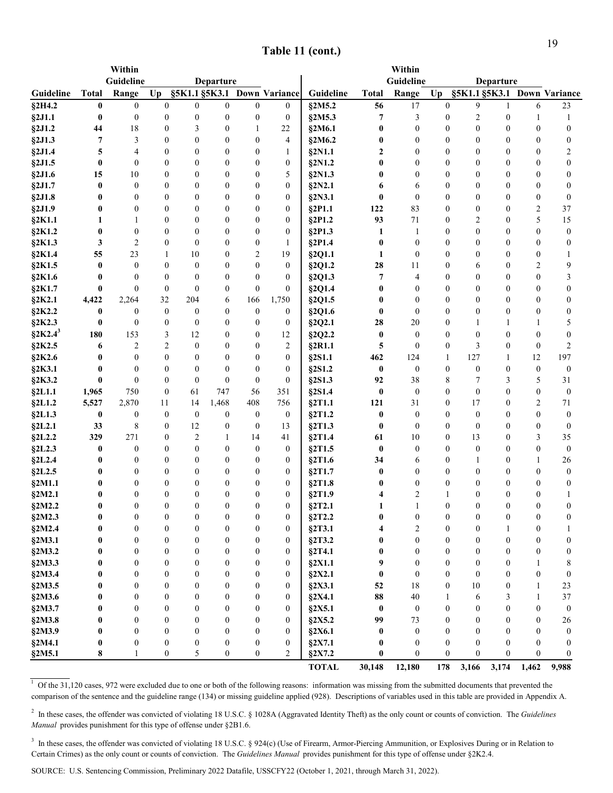| Guideline<br>Guideline<br>Departure<br>Departure<br>§5K1.1 §5K3.1<br>§5K1.1 §5K3.1<br>Guideline<br><b>Total</b><br>Range<br>$U_{p}$<br><b>Down Variance</b><br>Guideline<br>Range<br>$U_{p}$<br><b>Down Variance</b><br><b>Total</b><br>9<br>$\mathbf{0}$<br>§2M5.2<br>$17\,$<br>§2H4.2<br>$\bf{0}$<br>$\boldsymbol{0}$<br>$\mathbf{0}$<br>$\mathbf{0}$<br>$\mathbf{0}$<br>$\overline{0}$<br>56<br>$\mathbf{0}$<br>6<br>23<br>1<br>$\overline{7}$<br>§2J1.1<br>$\bf{0}$<br>$\boldsymbol{0}$<br>$\boldsymbol{0}$<br>$\boldsymbol{0}$<br>$\boldsymbol{0}$<br>$\boldsymbol{0}$<br>§2M5.3<br>3<br>$\boldsymbol{0}$<br>2<br>$\boldsymbol{0}$<br>$\boldsymbol{0}$<br>1<br>1<br>18<br>§2J1.2<br>$\boldsymbol{0}$<br>0<br>$\boldsymbol{0}$<br>$\mathbf{0}$<br>$\mathbf{0}$<br>44<br>3<br>$\boldsymbol{0}$<br>22<br>§2M6.1<br>$\mathbf{0}$<br>0<br>$\mathbf{0}$<br>1<br>§2J1.3<br>7<br>3<br>$\mathbf{0}$<br>$\mathbf{0}$<br>0<br>$\boldsymbol{0}$<br>$\mathbf{0}$<br>$\mathbf{0}$<br>$\theta$<br>$\boldsymbol{0}$<br>4<br>§2M6.2<br>$\theta$<br>$\theta$<br>0<br>5<br>$\theta$<br>$\mathbf{0}$<br>$\theta$<br>2<br>$\mathbf{0}$<br>$\theta$<br>2<br>§2J1.4<br>4<br>$\theta$<br>§2N1.1<br>$\mathbf{0}$<br>$\theta$<br>$\theta$<br>1<br>$\bf{0}$<br>§2J1.5<br>$\mathbf{0}$<br>$\theta$<br>$\boldsymbol{0}$<br>$\theta$<br>$\theta$<br>0<br>§2N1.2<br>0<br>$\mathbf{0}$<br>$\mathbf{0}$<br>$\theta$<br>$\theta$<br>$\theta$<br>0<br>§2J1.6<br>15<br>10<br>$\boldsymbol{0}$<br>$\boldsymbol{0}$<br>$\boldsymbol{0}$<br>$\boldsymbol{0}$<br>5<br>§2N1.3<br>$\boldsymbol{0}$<br>0<br>0<br>$\theta$<br>$\theta$<br>$\boldsymbol{0}$<br>0<br>§2J1.7<br>$\bf{0}$<br>$\boldsymbol{0}$<br>$\boldsymbol{0}$<br>$\boldsymbol{0}$<br>$\boldsymbol{0}$<br>$\mathbf{0}$<br>$\boldsymbol{0}$<br>$\boldsymbol{0}$<br>§2N2.1<br>$\theta$<br>$\theta$<br>$\boldsymbol{0}$<br>0<br>6<br>6<br>$\boldsymbol{0}$<br>§2J1.8<br>$\bf{0}$<br>$\boldsymbol{0}$<br>$\boldsymbol{0}$<br>$\boldsymbol{0}$<br>$\boldsymbol{0}$<br>$\boldsymbol{0}$<br>§2N3.1<br>$\bf{0}$<br>$\mathbf{0}$<br>$\mathbf{0}$<br>$\boldsymbol{0}$<br>$\boldsymbol{0}$<br>$\boldsymbol{0}$<br>$\boldsymbol{0}$<br>§2J1.9<br>$\bf{0}$<br>$\boldsymbol{0}$<br>$\boldsymbol{0}$<br>$\boldsymbol{0}$<br>$\theta$<br>$\boldsymbol{0}$<br>§2P1.1<br>83<br>$\mathbf{0}$<br>$\mathbf{0}$<br>$\mathbf{0}$<br>2<br>37<br>0<br>122<br>71<br>5<br>§2K1.1<br>$\boldsymbol{0}$<br>$\boldsymbol{0}$<br>93<br>2<br>1<br>1<br>$\theta$<br>$\mathbf{0}$<br>0<br>§2P1.2<br>$\mathbf{0}$<br>$\theta$<br>15<br>§2K1.2<br>$\bf{0}$<br>$\boldsymbol{0}$<br>$\boldsymbol{0}$<br>$\boldsymbol{0}$<br>§2P1.3<br>$\boldsymbol{0}$<br>$\mathbf{0}$<br>$\theta$<br>$\boldsymbol{0}$<br>0<br>1<br>1<br>$\theta$<br>0<br>0<br>$\overline{2}$<br>§2K1.3<br>3<br>$\boldsymbol{0}$<br>$\theta$<br>$\bf{0}$<br>$\boldsymbol{0}$<br>$\theta$<br>$\boldsymbol{0}$<br>§2P1.4<br>$\mathbf{0}$<br>$\theta$<br>$\theta$<br>$\mathbf{0}$<br>1<br>0<br>§2K1.4<br>55<br>23<br>2<br>19<br>$\boldsymbol{0}$<br>$\mathbf{0}$<br>10<br>$\mathbf{0}$<br>§2Q1.1<br>1<br>$\theta$<br>$\theta$<br>$\boldsymbol{0}$<br>1 |
|------------------------------------------------------------------------------------------------------------------------------------------------------------------------------------------------------------------------------------------------------------------------------------------------------------------------------------------------------------------------------------------------------------------------------------------------------------------------------------------------------------------------------------------------------------------------------------------------------------------------------------------------------------------------------------------------------------------------------------------------------------------------------------------------------------------------------------------------------------------------------------------------------------------------------------------------------------------------------------------------------------------------------------------------------------------------------------------------------------------------------------------------------------------------------------------------------------------------------------------------------------------------------------------------------------------------------------------------------------------------------------------------------------------------------------------------------------------------------------------------------------------------------------------------------------------------------------------------------------------------------------------------------------------------------------------------------------------------------------------------------------------------------------------------------------------------------------------------------------------------------------------------------------------------------------------------------------------------------------------------------------------------------------------------------------------------------------------------------------------------------------------------------------------------------------------------------------------------------------------------------------------------------------------------------------------------------------------------------------------------------------------------------------------------------------------------------------------------------------------------------------------------------------------------------------------------------------------------------------------------------------------------------------------------------------------------------------------------------------------------------------------------------------------------------------------------------------------------------------------------------------------------------------------------------------------------------------------------------------------------------------------------------------------------------------------------------------------------------|
|                                                                                                                                                                                                                                                                                                                                                                                                                                                                                                                                                                                                                                                                                                                                                                                                                                                                                                                                                                                                                                                                                                                                                                                                                                                                                                                                                                                                                                                                                                                                                                                                                                                                                                                                                                                                                                                                                                                                                                                                                                                                                                                                                                                                                                                                                                                                                                                                                                                                                                                                                                                                                                                                                                                                                                                                                                                                                                                                                                                                                                                                                                      |
|                                                                                                                                                                                                                                                                                                                                                                                                                                                                                                                                                                                                                                                                                                                                                                                                                                                                                                                                                                                                                                                                                                                                                                                                                                                                                                                                                                                                                                                                                                                                                                                                                                                                                                                                                                                                                                                                                                                                                                                                                                                                                                                                                                                                                                                                                                                                                                                                                                                                                                                                                                                                                                                                                                                                                                                                                                                                                                                                                                                                                                                                                                      |
|                                                                                                                                                                                                                                                                                                                                                                                                                                                                                                                                                                                                                                                                                                                                                                                                                                                                                                                                                                                                                                                                                                                                                                                                                                                                                                                                                                                                                                                                                                                                                                                                                                                                                                                                                                                                                                                                                                                                                                                                                                                                                                                                                                                                                                                                                                                                                                                                                                                                                                                                                                                                                                                                                                                                                                                                                                                                                                                                                                                                                                                                                                      |
|                                                                                                                                                                                                                                                                                                                                                                                                                                                                                                                                                                                                                                                                                                                                                                                                                                                                                                                                                                                                                                                                                                                                                                                                                                                                                                                                                                                                                                                                                                                                                                                                                                                                                                                                                                                                                                                                                                                                                                                                                                                                                                                                                                                                                                                                                                                                                                                                                                                                                                                                                                                                                                                                                                                                                                                                                                                                                                                                                                                                                                                                                                      |
|                                                                                                                                                                                                                                                                                                                                                                                                                                                                                                                                                                                                                                                                                                                                                                                                                                                                                                                                                                                                                                                                                                                                                                                                                                                                                                                                                                                                                                                                                                                                                                                                                                                                                                                                                                                                                                                                                                                                                                                                                                                                                                                                                                                                                                                                                                                                                                                                                                                                                                                                                                                                                                                                                                                                                                                                                                                                                                                                                                                                                                                                                                      |
|                                                                                                                                                                                                                                                                                                                                                                                                                                                                                                                                                                                                                                                                                                                                                                                                                                                                                                                                                                                                                                                                                                                                                                                                                                                                                                                                                                                                                                                                                                                                                                                                                                                                                                                                                                                                                                                                                                                                                                                                                                                                                                                                                                                                                                                                                                                                                                                                                                                                                                                                                                                                                                                                                                                                                                                                                                                                                                                                                                                                                                                                                                      |
|                                                                                                                                                                                                                                                                                                                                                                                                                                                                                                                                                                                                                                                                                                                                                                                                                                                                                                                                                                                                                                                                                                                                                                                                                                                                                                                                                                                                                                                                                                                                                                                                                                                                                                                                                                                                                                                                                                                                                                                                                                                                                                                                                                                                                                                                                                                                                                                                                                                                                                                                                                                                                                                                                                                                                                                                                                                                                                                                                                                                                                                                                                      |
|                                                                                                                                                                                                                                                                                                                                                                                                                                                                                                                                                                                                                                                                                                                                                                                                                                                                                                                                                                                                                                                                                                                                                                                                                                                                                                                                                                                                                                                                                                                                                                                                                                                                                                                                                                                                                                                                                                                                                                                                                                                                                                                                                                                                                                                                                                                                                                                                                                                                                                                                                                                                                                                                                                                                                                                                                                                                                                                                                                                                                                                                                                      |
|                                                                                                                                                                                                                                                                                                                                                                                                                                                                                                                                                                                                                                                                                                                                                                                                                                                                                                                                                                                                                                                                                                                                                                                                                                                                                                                                                                                                                                                                                                                                                                                                                                                                                                                                                                                                                                                                                                                                                                                                                                                                                                                                                                                                                                                                                                                                                                                                                                                                                                                                                                                                                                                                                                                                                                                                                                                                                                                                                                                                                                                                                                      |
|                                                                                                                                                                                                                                                                                                                                                                                                                                                                                                                                                                                                                                                                                                                                                                                                                                                                                                                                                                                                                                                                                                                                                                                                                                                                                                                                                                                                                                                                                                                                                                                                                                                                                                                                                                                                                                                                                                                                                                                                                                                                                                                                                                                                                                                                                                                                                                                                                                                                                                                                                                                                                                                                                                                                                                                                                                                                                                                                                                                                                                                                                                      |
|                                                                                                                                                                                                                                                                                                                                                                                                                                                                                                                                                                                                                                                                                                                                                                                                                                                                                                                                                                                                                                                                                                                                                                                                                                                                                                                                                                                                                                                                                                                                                                                                                                                                                                                                                                                                                                                                                                                                                                                                                                                                                                                                                                                                                                                                                                                                                                                                                                                                                                                                                                                                                                                                                                                                                                                                                                                                                                                                                                                                                                                                                                      |
|                                                                                                                                                                                                                                                                                                                                                                                                                                                                                                                                                                                                                                                                                                                                                                                                                                                                                                                                                                                                                                                                                                                                                                                                                                                                                                                                                                                                                                                                                                                                                                                                                                                                                                                                                                                                                                                                                                                                                                                                                                                                                                                                                                                                                                                                                                                                                                                                                                                                                                                                                                                                                                                                                                                                                                                                                                                                                                                                                                                                                                                                                                      |
|                                                                                                                                                                                                                                                                                                                                                                                                                                                                                                                                                                                                                                                                                                                                                                                                                                                                                                                                                                                                                                                                                                                                                                                                                                                                                                                                                                                                                                                                                                                                                                                                                                                                                                                                                                                                                                                                                                                                                                                                                                                                                                                                                                                                                                                                                                                                                                                                                                                                                                                                                                                                                                                                                                                                                                                                                                                                                                                                                                                                                                                                                                      |
|                                                                                                                                                                                                                                                                                                                                                                                                                                                                                                                                                                                                                                                                                                                                                                                                                                                                                                                                                                                                                                                                                                                                                                                                                                                                                                                                                                                                                                                                                                                                                                                                                                                                                                                                                                                                                                                                                                                                                                                                                                                                                                                                                                                                                                                                                                                                                                                                                                                                                                                                                                                                                                                                                                                                                                                                                                                                                                                                                                                                                                                                                                      |
|                                                                                                                                                                                                                                                                                                                                                                                                                                                                                                                                                                                                                                                                                                                                                                                                                                                                                                                                                                                                                                                                                                                                                                                                                                                                                                                                                                                                                                                                                                                                                                                                                                                                                                                                                                                                                                                                                                                                                                                                                                                                                                                                                                                                                                                                                                                                                                                                                                                                                                                                                                                                                                                                                                                                                                                                                                                                                                                                                                                                                                                                                                      |
|                                                                                                                                                                                                                                                                                                                                                                                                                                                                                                                                                                                                                                                                                                                                                                                                                                                                                                                                                                                                                                                                                                                                                                                                                                                                                                                                                                                                                                                                                                                                                                                                                                                                                                                                                                                                                                                                                                                                                                                                                                                                                                                                                                                                                                                                                                                                                                                                                                                                                                                                                                                                                                                                                                                                                                                                                                                                                                                                                                                                                                                                                                      |
| §2K1.5<br>$\bf{0}$<br>$\boldsymbol{0}$<br>$\mathbf{0}$<br>$\boldsymbol{0}$<br>$\theta$<br>$\boldsymbol{0}$<br>28<br>$\Omega$<br>§2Q1.2<br>11<br>$\mathbf{0}$<br>6<br>$\theta$<br>2<br>9                                                                                                                                                                                                                                                                                                                                                                                                                                                                                                                                                                                                                                                                                                                                                                                                                                                                                                                                                                                                                                                                                                                                                                                                                                                                                                                                                                                                                                                                                                                                                                                                                                                                                                                                                                                                                                                                                                                                                                                                                                                                                                                                                                                                                                                                                                                                                                                                                                                                                                                                                                                                                                                                                                                                                                                                                                                                                                              |
| $\mathbf{0}$<br>7<br>§2K1.6<br>$\bf{0}$<br>$\mathbf{0}$<br>$\mathbf{0}$<br>$\mathbf{0}$<br>$\theta$<br>$\mathbf{0}$<br>§2Q1.3<br>4<br>$\mathbf{0}$<br>$\theta$<br>$\theta$<br>$\mathbf{0}$<br>3                                                                                                                                                                                                                                                                                                                                                                                                                                                                                                                                                                                                                                                                                                                                                                                                                                                                                                                                                                                                                                                                                                                                                                                                                                                                                                                                                                                                                                                                                                                                                                                                                                                                                                                                                                                                                                                                                                                                                                                                                                                                                                                                                                                                                                                                                                                                                                                                                                                                                                                                                                                                                                                                                                                                                                                                                                                                                                      |
| $\boldsymbol{0}$<br>$\boldsymbol{0}$<br>§2K1.7<br>$\bf{0}$<br>$\boldsymbol{0}$<br>$\boldsymbol{0}$<br>$\mathbf{0}$<br>$\boldsymbol{0}$<br>$\boldsymbol{0}$<br>§2Q1.4<br>$\boldsymbol{0}$<br>0<br>$\theta$<br>$\theta$<br>$\boldsymbol{0}$<br>0                                                                                                                                                                                                                                                                                                                                                                                                                                                                                                                                                                                                                                                                                                                                                                                                                                                                                                                                                                                                                                                                                                                                                                                                                                                                                                                                                                                                                                                                                                                                                                                                                                                                                                                                                                                                                                                                                                                                                                                                                                                                                                                                                                                                                                                                                                                                                                                                                                                                                                                                                                                                                                                                                                                                                                                                                                                       |
| 32<br>§2K2.1<br>204<br>§2Q1.5<br>$\boldsymbol{0}$<br>$\mathbf{0}$<br>$\mathbf{0}$<br>4,422<br>2,264<br>6<br>166<br>1,750<br>$\theta$<br>$\mathbf{0}$<br>0<br>0                                                                                                                                                                                                                                                                                                                                                                                                                                                                                                                                                                                                                                                                                                                                                                                                                                                                                                                                                                                                                                                                                                                                                                                                                                                                                                                                                                                                                                                                                                                                                                                                                                                                                                                                                                                                                                                                                                                                                                                                                                                                                                                                                                                                                                                                                                                                                                                                                                                                                                                                                                                                                                                                                                                                                                                                                                                                                                                                       |
| $\boldsymbol{0}$<br>$\boldsymbol{0}$<br>§2K2.2<br>$\bf{0}$<br>$\boldsymbol{0}$<br>$\boldsymbol{0}$<br>$\boldsymbol{0}$<br>$\boldsymbol{0}$<br>§2Q1.6<br>$\bf{0}$<br>$\mathbf{0}$<br>$\boldsymbol{0}$<br>$\boldsymbol{0}$<br>0<br>$\boldsymbol{0}$<br>0                                                                                                                                                                                                                                                                                                                                                                                                                                                                                                                                                                                                                                                                                                                                                                                                                                                                                                                                                                                                                                                                                                                                                                                                                                                                                                                                                                                                                                                                                                                                                                                                                                                                                                                                                                                                                                                                                                                                                                                                                                                                                                                                                                                                                                                                                                                                                                                                                                                                                                                                                                                                                                                                                                                                                                                                                                               |
| §2K2.3<br>$\bf{0}$<br>$\boldsymbol{0}$<br>$\boldsymbol{0}$<br>$\theta$<br>$\theta$<br>$\boldsymbol{0}$<br>$\boldsymbol{0}$<br>§2Q2.1<br>20<br>$\mathbf{0}$<br>5<br>28<br>1<br>1<br>1                                                                                                                                                                                                                                                                                                                                                                                                                                                                                                                                                                                                                                                                                                                                                                                                                                                                                                                                                                                                                                                                                                                                                                                                                                                                                                                                                                                                                                                                                                                                                                                                                                                                                                                                                                                                                                                                                                                                                                                                                                                                                                                                                                                                                                                                                                                                                                                                                                                                                                                                                                                                                                                                                                                                                                                                                                                                                                                 |
| $\S 2K2.4^3$<br>180<br>153<br>3<br>12<br>§2Q2.2<br>$\bf{0}$<br>$\boldsymbol{0}$<br>$\mathbf{0}$<br>$\mathbf{0}$<br>$\mathbf{0}$<br>$\theta$<br>$\boldsymbol{0}$<br>12<br>$\theta$<br>$\theta$                                                                                                                                                                                                                                                                                                                                                                                                                                                                                                                                                                                                                                                                                                                                                                                                                                                                                                                                                                                                                                                                                                                                                                                                                                                                                                                                                                                                                                                                                                                                                                                                                                                                                                                                                                                                                                                                                                                                                                                                                                                                                                                                                                                                                                                                                                                                                                                                                                                                                                                                                                                                                                                                                                                                                                                                                                                                                                        |
| §2K2.5<br>$\overline{c}$<br>5<br>3<br>$\overline{c}$<br>$\boldsymbol{0}$<br>2<br>§2R1.1<br>$\boldsymbol{0}$<br>$\boldsymbol{0}$<br>$\theta$<br>$\boldsymbol{0}$<br>2<br>$\theta$<br>$\boldsymbol{0}$<br>6                                                                                                                                                                                                                                                                                                                                                                                                                                                                                                                                                                                                                                                                                                                                                                                                                                                                                                                                                                                                                                                                                                                                                                                                                                                                                                                                                                                                                                                                                                                                                                                                                                                                                                                                                                                                                                                                                                                                                                                                                                                                                                                                                                                                                                                                                                                                                                                                                                                                                                                                                                                                                                                                                                                                                                                                                                                                                            |
| §2K2.6<br>$\bf{0}$<br>$\boldsymbol{0}$<br>$\boldsymbol{0}$<br>$\boldsymbol{0}$<br>§2S1.1<br>462<br>124<br>$\mathbf{1}$<br>127<br>12<br>197<br>$\theta$<br>$\boldsymbol{0}$<br>0<br>1                                                                                                                                                                                                                                                                                                                                                                                                                                                                                                                                                                                                                                                                                                                                                                                                                                                                                                                                                                                                                                                                                                                                                                                                                                                                                                                                                                                                                                                                                                                                                                                                                                                                                                                                                                                                                                                                                                                                                                                                                                                                                                                                                                                                                                                                                                                                                                                                                                                                                                                                                                                                                                                                                                                                                                                                                                                                                                                 |
| §2K3.1<br>$\bf{0}$<br>$\boldsymbol{0}$<br>$\mathbf{0}$<br>$\boldsymbol{0}$<br>§2S1.2<br>$\boldsymbol{0}$<br>$\mathbf{0}$<br>$\boldsymbol{0}$<br>$\theta$<br>$\theta$<br>$\mathbf{0}$<br>$\bf{0}$<br>$\mathbf{0}$<br>$\bf{0}$<br>$\mathbf{0}$                                                                                                                                                                                                                                                                                                                                                                                                                                                                                                                                                                                                                                                                                                                                                                                                                                                                                                                                                                                                                                                                                                                                                                                                                                                                                                                                                                                                                                                                                                                                                                                                                                                                                                                                                                                                                                                                                                                                                                                                                                                                                                                                                                                                                                                                                                                                                                                                                                                                                                                                                                                                                                                                                                                                                                                                                                                         |
| $\bf{0}$<br>$\boldsymbol{0}$<br>$\boldsymbol{0}$<br>$\mathbf{0}$<br>§2K3.2<br>$\boldsymbol{0}$<br>$\boldsymbol{0}$<br>$\boldsymbol{0}$<br>§2S1.3<br>92<br>38<br>8<br>7<br>5<br>31<br>3                                                                                                                                                                                                                                                                                                                                                                                                                                                                                                                                                                                                                                                                                                                                                                                                                                                                                                                                                                                                                                                                                                                                                                                                                                                                                                                                                                                                                                                                                                                                                                                                                                                                                                                                                                                                                                                                                                                                                                                                                                                                                                                                                                                                                                                                                                                                                                                                                                                                                                                                                                                                                                                                                                                                                                                                                                                                                                               |
| $\boldsymbol{0}$<br>§2L1.1<br>750<br>61<br>747<br>$\boldsymbol{0}$<br>$\boldsymbol{0}$<br>$\mathbf{0}$<br>$\mathbf{0}$<br>$\mathbf{0}$<br>$\mathbf{0}$<br>1,965<br>56<br>351<br>§2S1.4<br>$\theta$                                                                                                                                                                                                                                                                                                                                                                                                                                                                                                                                                                                                                                                                                                                                                                                                                                                                                                                                                                                                                                                                                                                                                                                                                                                                                                                                                                                                                                                                                                                                                                                                                                                                                                                                                                                                                                                                                                                                                                                                                                                                                                                                                                                                                                                                                                                                                                                                                                                                                                                                                                                                                                                                                                                                                                                                                                                                                                   |
| 1,468<br>$\S2L1.2$<br>5,527<br>2,870<br>11<br>14<br>408<br>756<br>121<br>31<br>$\boldsymbol{0}$<br>17<br>2<br>71<br>§2T1.1<br>$\mathbf{0}$                                                                                                                                                                                                                                                                                                                                                                                                                                                                                                                                                                                                                                                                                                                                                                                                                                                                                                                                                                                                                                                                                                                                                                                                                                                                                                                                                                                                                                                                                                                                                                                                                                                                                                                                                                                                                                                                                                                                                                                                                                                                                                                                                                                                                                                                                                                                                                                                                                                                                                                                                                                                                                                                                                                                                                                                                                                                                                                                                           |
| §2L1.3<br>$\bf{0}$<br>$\boldsymbol{0}$<br>$\boldsymbol{0}$<br>$\boldsymbol{0}$<br>$\boldsymbol{0}$<br>$\boldsymbol{0}$<br>$\boldsymbol{0}$<br>§2T1.2<br>$\boldsymbol{0}$<br>$\boldsymbol{0}$<br>$\boldsymbol{0}$<br>$\boldsymbol{0}$<br>$\theta$<br>0<br>$\boldsymbol{0}$                                                                                                                                                                                                                                                                                                                                                                                                                                                                                                                                                                                                                                                                                                                                                                                                                                                                                                                                                                                                                                                                                                                                                                                                                                                                                                                                                                                                                                                                                                                                                                                                                                                                                                                                                                                                                                                                                                                                                                                                                                                                                                                                                                                                                                                                                                                                                                                                                                                                                                                                                                                                                                                                                                                                                                                                                            |
| $\,8\,$<br>$\boldsymbol{0}$<br>$\boldsymbol{0}$<br>§2L2.1<br>33<br>12<br>$\boldsymbol{0}$<br>$\boldsymbol{0}$<br>§2T1.3<br>$\mathbf{0}$<br>$\boldsymbol{0}$<br>$\mathbf{0}$<br>$\mathbf{0}$<br>13<br>$\bf{0}$<br>$\mathbf{0}$                                                                                                                                                                                                                                                                                                                                                                                                                                                                                                                                                                                                                                                                                                                                                                                                                                                                                                                                                                                                                                                                                                                                                                                                                                                                                                                                                                                                                                                                                                                                                                                                                                                                                                                                                                                                                                                                                                                                                                                                                                                                                                                                                                                                                                                                                                                                                                                                                                                                                                                                                                                                                                                                                                                                                                                                                                                                        |
| §2L2.2<br>329<br>271<br>$\boldsymbol{0}$<br>2<br>$\mathbf{1}$<br>§2T1.4<br>10<br>$\boldsymbol{0}$<br>13<br>$\boldsymbol{0}$<br>3<br>35<br>14<br>41<br>61                                                                                                                                                                                                                                                                                                                                                                                                                                                                                                                                                                                                                                                                                                                                                                                                                                                                                                                                                                                                                                                                                                                                                                                                                                                                                                                                                                                                                                                                                                                                                                                                                                                                                                                                                                                                                                                                                                                                                                                                                                                                                                                                                                                                                                                                                                                                                                                                                                                                                                                                                                                                                                                                                                                                                                                                                                                                                                                                             |
| §2L2.3<br>$\boldsymbol{0}$<br>$\boldsymbol{0}$<br>$\theta$<br>$\boldsymbol{0}$<br>§2T1.5<br>$\bf{0}$<br>$\boldsymbol{0}$<br>$\mathbf{0}$<br>$\boldsymbol{0}$<br>$\bf{0}$<br>$\boldsymbol{0}$<br>$\bf{0}$<br>$\theta$<br>$\overline{0}$<br>$\mathbf{0}$                                                                                                                                                                                                                                                                                                                                                                                                                                                                                                                                                                                                                                                                                                                                                                                                                                                                                                                                                                                                                                                                                                                                                                                                                                                                                                                                                                                                                                                                                                                                                                                                                                                                                                                                                                                                                                                                                                                                                                                                                                                                                                                                                                                                                                                                                                                                                                                                                                                                                                                                                                                                                                                                                                                                                                                                                                               |
| $\S2L2.4$<br>$\boldsymbol{0}$<br>$\boldsymbol{0}$<br>$\boldsymbol{0}$<br>26<br>$\bf{0}$<br>$\boldsymbol{0}$<br>$\theta$<br>$\boldsymbol{0}$<br>0<br>§2T1.6<br>34<br>$\theta$<br>6<br>1<br>1                                                                                                                                                                                                                                                                                                                                                                                                                                                                                                                                                                                                                                                                                                                                                                                                                                                                                                                                                                                                                                                                                                                                                                                                                                                                                                                                                                                                                                                                                                                                                                                                                                                                                                                                                                                                                                                                                                                                                                                                                                                                                                                                                                                                                                                                                                                                                                                                                                                                                                                                                                                                                                                                                                                                                                                                                                                                                                          |
| §2L2.5<br>$\bf{0}$<br>$\boldsymbol{0}$<br>$\boldsymbol{0}$<br>$\boldsymbol{0}$<br>§2T1.7<br>$\bf{0}$<br>$\boldsymbol{0}$<br>$\mathbf{0}$<br>$\mathbf{0}$<br>$\theta$<br>$\boldsymbol{0}$<br>0<br>$\theta$<br>0<br>0<br>$\bf{0}$<br>$\boldsymbol{0}$<br>0<br>$\boldsymbol{0}$<br>$\theta$<br>$\theta$<br>0<br>$\mathbf{0}$<br>$\theta$<br>$\theta$                                                                                                                                                                                                                                                                                                                                                                                                                                                                                                                                                                                                                                                                                                                                                                                                                                                                                                                                                                                                                                                                                                                                                                                                                                                                                                                                                                                                                                                                                                                                                                                                                                                                                                                                                                                                                                                                                                                                                                                                                                                                                                                                                                                                                                                                                                                                                                                                                                                                                                                                                                                                                                                                                                                                                    |
| §2M1.1<br>$\bf{0}$<br>0<br>§2T1.8<br>0<br>0<br>$\bf{0}$<br>$\boldsymbol{0}$<br>$\mathbf{0}$<br>2<br>$\mathbf{1}$<br>$\mathbf{0}$<br>$\mathbf{0}$<br>$\theta$<br>$\theta$<br>0<br>§2T1.9<br>4<br>$\theta$<br>0                                                                                                                                                                                                                                                                                                                                                                                                                                                                                                                                                                                                                                                                                                                                                                                                                                                                                                                                                                                                                                                                                                                                                                                                                                                                                                                                                                                                                                                                                                                                                                                                                                                                                                                                                                                                                                                                                                                                                                                                                                                                                                                                                                                                                                                                                                                                                                                                                                                                                                                                                                                                                                                                                                                                                                                                                                                                                        |
| §2M2.1<br>$\mathbf{0}$<br>$\bf{0}$<br>$\mathbf{0}$<br>$\mathbf{0}$<br>$\mathbf{0}$<br>$\theta$<br>$\theta$<br>$\boldsymbol{0}$<br>§2T2.1<br>$\mathbf{1}$<br>$\theta$<br>$\theta$<br>$\theta$<br>§2M2.2<br>1<br>$\theta$                                                                                                                                                                                                                                                                                                                                                                                                                                                                                                                                                                                                                                                                                                                                                                                                                                                                                                                                                                                                                                                                                                                                                                                                                                                                                                                                                                                                                                                                                                                                                                                                                                                                                                                                                                                                                                                                                                                                                                                                                                                                                                                                                                                                                                                                                                                                                                                                                                                                                                                                                                                                                                                                                                                                                                                                                                                                              |
| $\boldsymbol{0}$<br>$\bf{0}$<br>$\theta$<br>$\bf{0}$<br>$\bf{0}$<br>$\theta$<br>0<br>$\bf{0}$<br>$\bf{0}$<br>$\bf{0}$<br>$\bf{0}$<br>$\bf{0}$<br>$\theta$<br>$\bf{0}$                                                                                                                                                                                                                                                                                                                                                                                                                                                                                                                                                                                                                                                                                                                                                                                                                                                                                                                                                                                                                                                                                                                                                                                                                                                                                                                                                                                                                                                                                                                                                                                                                                                                                                                                                                                                                                                                                                                                                                                                                                                                                                                                                                                                                                                                                                                                                                                                                                                                                                                                                                                                                                                                                                                                                                                                                                                                                                                                |
| $\S2M2.3$<br>§2T2.2<br>§2M2.4<br>$\bf{0}$<br>$\boldsymbol{0}$<br>$\boldsymbol{0}$<br>$\boldsymbol{0}$<br>$\boldsymbol{0}$<br>$\boldsymbol{0}$<br>$\boldsymbol{0}$<br>§2T3.1<br>2<br>$\boldsymbol{0}$<br>0<br>$\bf{0}$<br>4<br>1<br>1                                                                                                                                                                                                                                                                                                                                                                                                                                                                                                                                                                                                                                                                                                                                                                                                                                                                                                                                                                                                                                                                                                                                                                                                                                                                                                                                                                                                                                                                                                                                                                                                                                                                                                                                                                                                                                                                                                                                                                                                                                                                                                                                                                                                                                                                                                                                                                                                                                                                                                                                                                                                                                                                                                                                                                                                                                                                 |
| §2M3.1<br>$\boldsymbol{0}$<br>$\boldsymbol{0}$<br>$\boldsymbol{0}$<br>$\bf{0}$<br>$\boldsymbol{0}$<br>$\boldsymbol{0}$<br>$\boldsymbol{0}$<br>§2T3.2<br>$\boldsymbol{0}$<br>$\boldsymbol{0}$<br>$\boldsymbol{0}$<br>$\boldsymbol{0}$<br>$\boldsymbol{0}$<br>0<br>0                                                                                                                                                                                                                                                                                                                                                                                                                                                                                                                                                                                                                                                                                                                                                                                                                                                                                                                                                                                                                                                                                                                                                                                                                                                                                                                                                                                                                                                                                                                                                                                                                                                                                                                                                                                                                                                                                                                                                                                                                                                                                                                                                                                                                                                                                                                                                                                                                                                                                                                                                                                                                                                                                                                                                                                                                                   |
| §2M3.2<br>$\bf{0}$<br>$\boldsymbol{0}$<br>$\boldsymbol{0}$<br>$\boldsymbol{0}$<br>$\boldsymbol{0}$<br>$\boldsymbol{0}$<br>§2T4.1<br>$\bf{0}$<br>$\boldsymbol{0}$<br>$\boldsymbol{0}$<br>$\boldsymbol{0}$<br>$\boldsymbol{0}$<br>$\boldsymbol{0}$<br>0<br>0                                                                                                                                                                                                                                                                                                                                                                                                                                                                                                                                                                                                                                                                                                                                                                                                                                                                                                                                                                                                                                                                                                                                                                                                                                                                                                                                                                                                                                                                                                                                                                                                                                                                                                                                                                                                                                                                                                                                                                                                                                                                                                                                                                                                                                                                                                                                                                                                                                                                                                                                                                                                                                                                                                                                                                                                                                           |
| §2M3.3<br>$\boldsymbol{0}$<br>$\boldsymbol{0}$<br>$\boldsymbol{0}$<br>$\boldsymbol{0}$<br>$\boldsymbol{0}$<br>§2X1.1<br>9<br>$\boldsymbol{0}$<br>$\boldsymbol{0}$<br>$\mathbf{0}$<br>$\boldsymbol{0}$<br>0<br>0<br>8<br>1                                                                                                                                                                                                                                                                                                                                                                                                                                                                                                                                                                                                                                                                                                                                                                                                                                                                                                                                                                                                                                                                                                                                                                                                                                                                                                                                                                                                                                                                                                                                                                                                                                                                                                                                                                                                                                                                                                                                                                                                                                                                                                                                                                                                                                                                                                                                                                                                                                                                                                                                                                                                                                                                                                                                                                                                                                                                            |
| §2M3.4<br>$\bf{0}$<br>$\boldsymbol{0}$<br>$\boldsymbol{0}$<br>$\boldsymbol{0}$<br>$\boldsymbol{0}$<br>$\boldsymbol{0}$<br>§2X2.1<br>$\bf{0}$<br>$\boldsymbol{0}$<br>$\boldsymbol{0}$<br>$\mathbf{0}$<br>$\boldsymbol{0}$<br>0<br>$\mathbf{0}$<br>0                                                                                                                                                                                                                                                                                                                                                                                                                                                                                                                                                                                                                                                                                                                                                                                                                                                                                                                                                                                                                                                                                                                                                                                                                                                                                                                                                                                                                                                                                                                                                                                                                                                                                                                                                                                                                                                                                                                                                                                                                                                                                                                                                                                                                                                                                                                                                                                                                                                                                                                                                                                                                                                                                                                                                                                                                                                   |
| §2M3.5<br>$18\,$<br>$\bf{0}$<br>$\boldsymbol{0}$<br>$\boldsymbol{0}$<br>$\boldsymbol{0}$<br>$\boldsymbol{0}$<br>§2X3.1<br>52<br>$\boldsymbol{0}$<br>10<br>$\boldsymbol{0}$<br>23<br>$\boldsymbol{0}$<br>0<br>1                                                                                                                                                                                                                                                                                                                                                                                                                                                                                                                                                                                                                                                                                                                                                                                                                                                                                                                                                                                                                                                                                                                                                                                                                                                                                                                                                                                                                                                                                                                                                                                                                                                                                                                                                                                                                                                                                                                                                                                                                                                                                                                                                                                                                                                                                                                                                                                                                                                                                                                                                                                                                                                                                                                                                                                                                                                                                       |
| §2M3.6<br>88<br>40<br>$\bf{0}$<br>$\boldsymbol{0}$<br>$\boldsymbol{0}$<br>$\boldsymbol{0}$<br>§2X4.1<br>37<br>$\boldsymbol{0}$<br>$\boldsymbol{0}$<br>0<br>1<br>6<br>3<br>1                                                                                                                                                                                                                                                                                                                                                                                                                                                                                                                                                                                                                                                                                                                                                                                                                                                                                                                                                                                                                                                                                                                                                                                                                                                                                                                                                                                                                                                                                                                                                                                                                                                                                                                                                                                                                                                                                                                                                                                                                                                                                                                                                                                                                                                                                                                                                                                                                                                                                                                                                                                                                                                                                                                                                                                                                                                                                                                          |
| §2M3.7<br>$\boldsymbol{0}$<br>$\boldsymbol{0}$<br>$\boldsymbol{0}$<br>$\boldsymbol{0}$<br>$\boldsymbol{0}$<br>§2X5.1<br>$\bf{0}$<br>$\boldsymbol{0}$<br>$\boldsymbol{0}$<br>$\mathbf{0}$<br>$\theta$<br>0<br>0<br>$\mathbf{0}$<br>$\boldsymbol{0}$                                                                                                                                                                                                                                                                                                                                                                                                                                                                                                                                                                                                                                                                                                                                                                                                                                                                                                                                                                                                                                                                                                                                                                                                                                                                                                                                                                                                                                                                                                                                                                                                                                                                                                                                                                                                                                                                                                                                                                                                                                                                                                                                                                                                                                                                                                                                                                                                                                                                                                                                                                                                                                                                                                                                                                                                                                                   |
| §2M3.8<br>$\boldsymbol{0}$<br>$\mathbf{0}$<br>$\mathbf{0}$<br>$\theta$<br>$\theta$<br>§2X5.2<br>99<br>73<br>$\mathbf{0}$<br>$\mathbf{0}$<br>0<br>0<br>$\mathbf{0}$<br>$\overline{0}$<br>26                                                                                                                                                                                                                                                                                                                                                                                                                                                                                                                                                                                                                                                                                                                                                                                                                                                                                                                                                                                                                                                                                                                                                                                                                                                                                                                                                                                                                                                                                                                                                                                                                                                                                                                                                                                                                                                                                                                                                                                                                                                                                                                                                                                                                                                                                                                                                                                                                                                                                                                                                                                                                                                                                                                                                                                                                                                                                                           |
| $\boldsymbol{0}$<br>$\boldsymbol{0}$<br>§2M3.9<br>$\bf{0}$<br>$\boldsymbol{0}$<br>$\theta$<br>$\theta$<br>§2X6.1<br>$\boldsymbol{0}$<br>$\mathbf{0}$<br>$\mathbf{0}$<br>$\theta$<br>0<br>$\bf{0}$<br>$\mathbf{0}$<br>0                                                                                                                                                                                                                                                                                                                                                                                                                                                                                                                                                                                                                                                                                                                                                                                                                                                                                                                                                                                                                                                                                                                                                                                                                                                                                                                                                                                                                                                                                                                                                                                                                                                                                                                                                                                                                                                                                                                                                                                                                                                                                                                                                                                                                                                                                                                                                                                                                                                                                                                                                                                                                                                                                                                                                                                                                                                                               |
| §2M4.1<br>$\bf{0}$<br>$\boldsymbol{0}$<br>$\boldsymbol{0}$<br>$\boldsymbol{0}$<br>$\boldsymbol{0}$<br>$\boldsymbol{0}$<br>§2X7.1<br>$\boldsymbol{0}$<br>$\boldsymbol{0}$<br>$\mathbf{0}$<br>0<br>$\boldsymbol{0}$<br>$\boldsymbol{0}$<br>$\boldsymbol{0}$<br>$\boldsymbol{0}$                                                                                                                                                                                                                                                                                                                                                                                                                                                                                                                                                                                                                                                                                                                                                                                                                                                                                                                                                                                                                                                                                                                                                                                                                                                                                                                                                                                                                                                                                                                                                                                                                                                                                                                                                                                                                                                                                                                                                                                                                                                                                                                                                                                                                                                                                                                                                                                                                                                                                                                                                                                                                                                                                                                                                                                                                        |
| $\boldsymbol{0}$<br>5<br>§2M5.1<br>8<br>$\mathbf{1}$<br>$\boldsymbol{0}$<br>$\mathbf{0}$<br>2<br>§2X7.2<br>$\bf{0}$<br>$\boldsymbol{0}$<br>$\mathbf{0}$<br>$\theta$<br>$\theta$<br>0<br>$\mathbf{0}$                                                                                                                                                                                                                                                                                                                                                                                                                                                                                                                                                                                                                                                                                                                                                                                                                                                                                                                                                                                                                                                                                                                                                                                                                                                                                                                                                                                                                                                                                                                                                                                                                                                                                                                                                                                                                                                                                                                                                                                                                                                                                                                                                                                                                                                                                                                                                                                                                                                                                                                                                                                                                                                                                                                                                                                                                                                                                                 |
| <b>TOTAL</b><br>30,148<br>12,180<br>178<br>3,174<br>1,462<br>9,988<br>3,166                                                                                                                                                                                                                                                                                                                                                                                                                                                                                                                                                                                                                                                                                                                                                                                                                                                                                                                                                                                                                                                                                                                                                                                                                                                                                                                                                                                                                                                                                                                                                                                                                                                                                                                                                                                                                                                                                                                                                                                                                                                                                                                                                                                                                                                                                                                                                                                                                                                                                                                                                                                                                                                                                                                                                                                                                                                                                                                                                                                                                          |

 $1$  Of the 31,120 cases, 972 were excluded due to one or both of the following reasons: information was missing from the submitted documents that prevented the comparison of the sentence and the guideline range (134) or missing guideline applied (928). Descriptions of variables used in this table are provided in Appendix A.

<sup>2</sup> In these cases, the offender was convicted of violating 18 U.S.C. § 1028A (Aggravated Identity Theft) as the only count or counts of conviction. The *Guidelines Manual* provides punishment for this type of offense under §2B1.6.

 $3\,$  In these cases, the offender was convicted of violating 18 U.S.C. § 924(c) (Use of Firearm, Armor-Piercing Ammunition, or Explosives During or in Relation to Certain Crimes) as the only count or counts of conviction. The *Guidelines Manual* provides punishment for this type of offense under §2K2.4.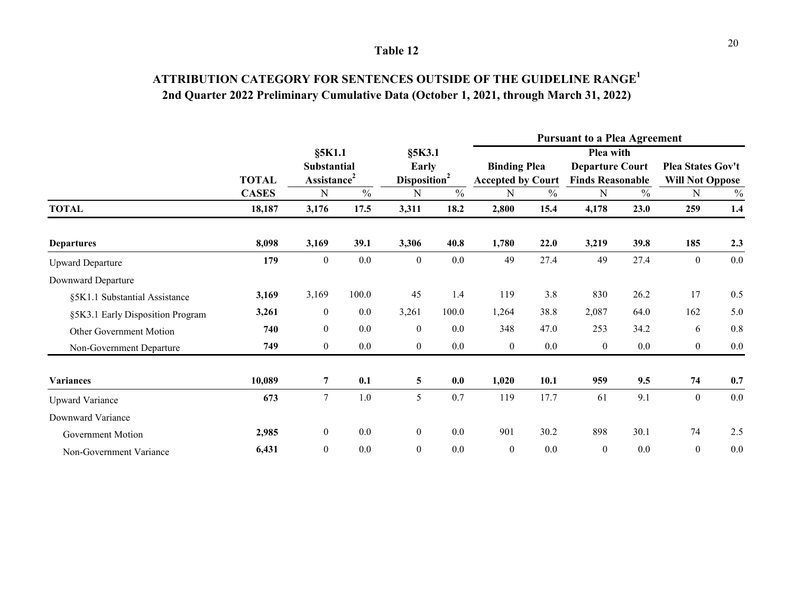# **ATTRIBUTION CATEGORY FOR SENTENCES OUTSIDE OF THE GUIDELINE RANGE<sup>1</sup> 2nd Quarter 2022 Preliminary Cumulative Data (October 1, 2021, through March 31, 2022)**

|                                  |              |                                                         |               |                                                   |               |                                                 |               | <b>Pursuant to a Plea Agreement</b>                            |               |                                             |               |
|----------------------------------|--------------|---------------------------------------------------------|---------------|---------------------------------------------------|---------------|-------------------------------------------------|---------------|----------------------------------------------------------------|---------------|---------------------------------------------|---------------|
|                                  | <b>TOTAL</b> | §5K1.1<br><b>Substantial</b><br>Assistance <sup>2</sup> |               | $§$ 5 $K3.1$<br>Early<br>Disposition <sup>2</sup> |               | <b>Binding Plea</b><br><b>Accepted by Court</b> |               | Plea with<br><b>Departure Court</b><br><b>Finds Reasonable</b> |               | Plea States Gov't<br><b>Will Not Oppose</b> |               |
|                                  | <b>CASES</b> | ${\bf N}$                                               | $\frac{0}{0}$ | N                                                 | $\frac{0}{0}$ | N                                               | $\frac{0}{0}$ | ${\bf N}$                                                      | $\frac{0}{0}$ | N                                           | $\frac{0}{0}$ |
| <b>TOTAL</b>                     | 18,187       | 3,176                                                   | 17.5          | 3,311                                             | 18.2          | 2,800                                           | 15.4          | 4,178                                                          | 23.0          | 259                                         | 1.4           |
| <b>Departures</b>                | 8,098        | 3,169                                                   | 39.1          | 3,306                                             | 40.8          | 1,780                                           | 22.0          | 3,219                                                          | 39.8          | 185                                         | 2.3           |
| <b>Upward Departure</b>          | 179          | $\boldsymbol{0}$                                        | 0.0           | $\boldsymbol{0}$                                  | $0.0\,$       | 49                                              | 27.4          | 49                                                             | 27.4          | $\mathbf{0}$                                | 0.0           |
| Downward Departure               |              |                                                         |               |                                                   |               |                                                 |               |                                                                |               |                                             |               |
| §5K1.1 Substantial Assistance    | 3,169        | 3,169                                                   | 100.0         | 45                                                | 1.4           | 119                                             | 3.8           | 830                                                            | 26.2          | 17                                          | 0.5           |
| §5K3.1 Early Disposition Program | 3,261        | $\boldsymbol{0}$                                        | 0.0           | 3,261                                             | 100.0         | 1,264                                           | 38.8          | 2,087                                                          | 64.0          | 162                                         | 5.0           |
| Other Government Motion          | 740          | $\mathbf{0}$                                            | 0.0           | $\overline{0}$                                    | 0.0           | 348                                             | 47.0          | 253                                                            | 34.2          | 6                                           | 0.8           |
| Non-Government Departure         | 749          | $\boldsymbol{0}$                                        | 0.0           | $\boldsymbol{0}$                                  | $0.0\,$       | $\boldsymbol{0}$                                | 0.0           | $\boldsymbol{0}$                                               | $0.0\,$       | $\mathbf{0}$                                | $0.0\,$       |
| <b>Variances</b>                 | 10,089       | $\overline{7}$                                          | 0.1           | $\overline{\mathbf{5}}$                           | 0.0           | 1,020                                           | 10.1          | 959                                                            | 9.5           | 74                                          | 0.7           |
| <b>Upward Variance</b>           | 673          | $\tau$                                                  | $1.0\,$       | 5                                                 | 0.7           | 119                                             | 17.7          | 61                                                             | 9.1           | $\mathbf{0}$                                | 0.0           |
| Downward Variance                |              |                                                         |               |                                                   |               |                                                 |               |                                                                |               |                                             |               |
| Government Motion                | 2,985        | $\boldsymbol{0}$                                        | 0.0           | $\boldsymbol{0}$                                  | $0.0\,$       | 901                                             | 30.2          | 898                                                            | 30.1          | 74                                          | 2.5           |
| Non-Government Variance          | 6,431        | $\boldsymbol{0}$                                        | 0.0           | $\boldsymbol{0}$                                  | 0.0           | $\boldsymbol{0}$                                | 0.0           | $\boldsymbol{0}$                                               | 0.0           | $\mathbf{0}$                                | 0.0           |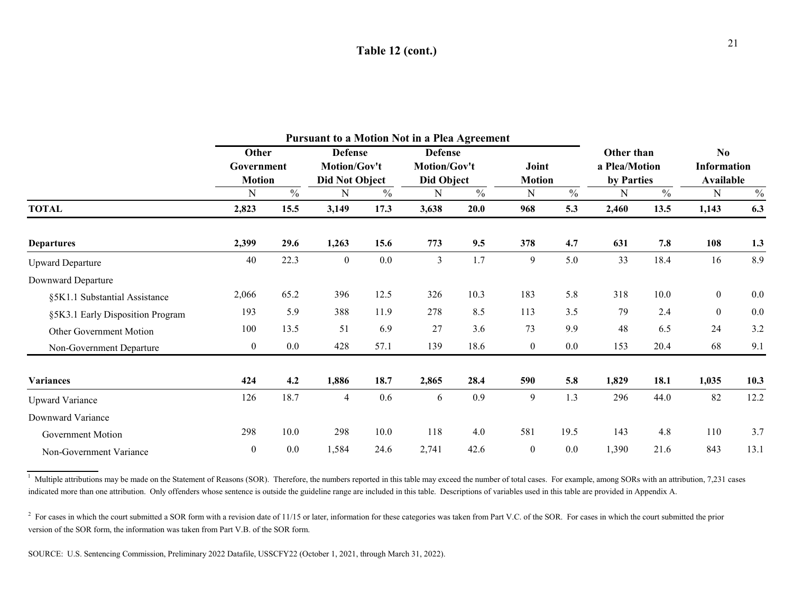### **Table 12 (cont.)**

|                                  |                     |               | Pursuant to a Motion Not in a Plea Agreement |               |                                |      |                  |               |                             |      |                                      |               |
|----------------------------------|---------------------|---------------|----------------------------------------------|---------------|--------------------------------|------|------------------|---------------|-----------------------------|------|--------------------------------------|---------------|
|                                  | Other<br>Government |               | <b>Defense</b><br>Motion/Gov't               |               | <b>Defense</b><br>Motion/Gov't |      | Joint            |               | Other than<br>a Plea/Motion |      | N <sub>0</sub><br><b>Information</b> |               |
|                                  | <b>Motion</b>       |               | <b>Did Not Object</b>                        |               | Did Object                     |      | <b>Motion</b>    |               | by Parties                  |      | <b>Available</b>                     |               |
|                                  | N                   | $\frac{0}{0}$ | N                                            | $\frac{0}{0}$ | N                              | $\%$ | N                | $\frac{0}{0}$ | N                           | $\%$ | N                                    | $\frac{0}{0}$ |
| <b>TOTAL</b>                     | 2,823               | 15.5          | 3,149                                        | 17.3          | 3,638                          | 20.0 | 968              | 5.3           | 2,460                       | 13.5 | 1,143                                | 6.3           |
| <b>Departures</b>                | 2,399               | 29.6          | 1,263                                        | 15.6          | 773                            | 9.5  | 378              | 4.7           | 631                         | 7.8  | 108                                  | 1.3           |
| <b>Upward Departure</b>          | 40                  | 22.3          | $\boldsymbol{0}$                             | 0.0           | 3                              | 1.7  | 9                | 5.0           | 33                          | 18.4 | 16                                   | 8.9           |
| Downward Departure               |                     |               |                                              |               |                                |      |                  |               |                             |      |                                      |               |
| §5K1.1 Substantial Assistance    | 2,066               | 65.2          | 396                                          | 12.5          | 326                            | 10.3 | 183              | 5.8           | 318                         | 10.0 | $\boldsymbol{0}$                     | 0.0           |
| §5K3.1 Early Disposition Program | 193                 | 5.9           | 388                                          | 11.9          | 278                            | 8.5  | 113              | 3.5           | 79                          | 2.4  | $\boldsymbol{0}$                     | 0.0           |
| Other Government Motion          | 100                 | 13.5          | 51                                           | 6.9           | 27                             | 3.6  | 73               | 9.9           | 48                          | 6.5  | 24                                   | 3.2           |
| Non-Government Departure         | $\boldsymbol{0}$    | 0.0           | 428                                          | 57.1          | 139                            | 18.6 | $\boldsymbol{0}$ | 0.0           | 153                         | 20.4 | 68                                   | 9.1           |
| <b>Variances</b>                 | 424                 | 4.2           | 1,886                                        | 18.7          | 2,865                          | 28.4 | 590              | 5.8           | 1,829                       | 18.1 | 1,035                                | 10.3          |
| <b>Upward Variance</b>           | 126                 | 18.7          | $\overline{4}$                               | 0.6           | 6                              | 0.9  | 9                | 1.3           | 296                         | 44.0 | 82                                   | 12.2          |
| Downward Variance                |                     |               |                                              |               |                                |      |                  |               |                             |      |                                      |               |
| Government Motion                | 298                 | 10.0          | 298                                          | 10.0          | 118                            | 4.0  | 581              | 19.5          | 143                         | 4.8  | 110                                  | 3.7           |
| Non-Government Variance          | $\boldsymbol{0}$    | 0.0           | 1,584                                        | 24.6          | 2,741                          | 42.6 | $\overline{0}$   | 0.0           | 1,390                       | 21.6 | 843                                  | 13.1          |

 $\frac{1}{1}$  Multiple attributions may be made on the Statement of Reasons (SOR). Therefore, the numbers reported in this table may exceed the number of total cases. For example, among SORs with an attribution, 7,231 cases indicated more than one attribution. Only offenders whose sentence is outside the guideline range are included in this table. Descriptions of variables used in this table are provided in Appendix A.

 $2$  For cases in which the court submitted a SOR form with a revision date of 11/15 or later, information for these categories was taken from Part V.C. of the SOR. For cases in which the court submitted the prior version of the SOR form, the information was taken from Part V.B. of the SOR form.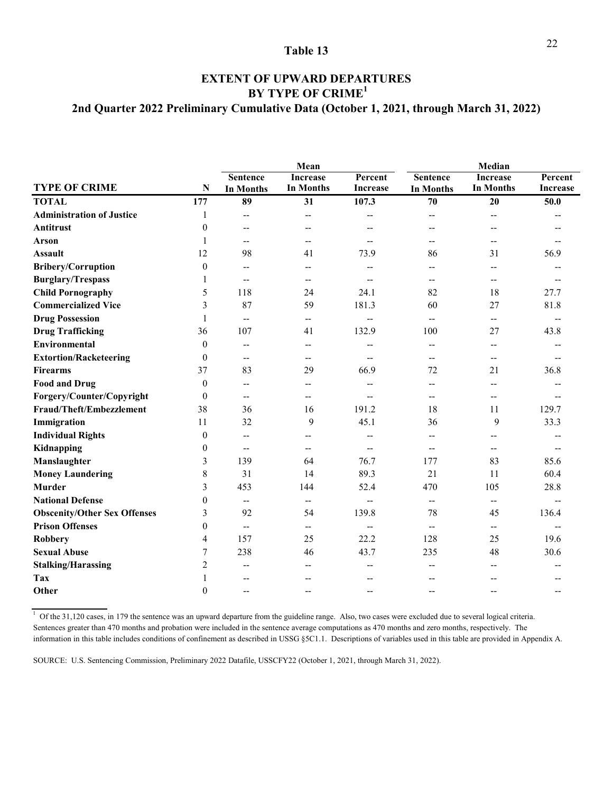### **2nd Quarter 2022 Preliminary Cumulative Data (October 1, 2021, through March 31, 2022) BY TYPE OF CRIME<sup>1</sup> EXTENT OF UPWARD DEPARTURES**

|                                     |                  |                                                     | Mean                     |                 |                  | Median                   |                 |
|-------------------------------------|------------------|-----------------------------------------------------|--------------------------|-----------------|------------------|--------------------------|-----------------|
|                                     |                  | <b>Sentence</b>                                     | <b>Increase</b>          | Percent         | <b>Sentence</b>  | <b>Increase</b>          | Percent         |
| <b>TYPE OF CRIME</b>                | $\mathbf N$      | <b>In Months</b>                                    | <b>In Months</b>         | <b>Increase</b> | <b>In Months</b> | <b>In Months</b>         | <b>Increase</b> |
| <b>TOTAL</b>                        | 177              | 89                                                  | 31                       | 107.3           | 70               | 20                       | 50.0            |
| <b>Administration of Justice</b>    | 1                | $\overline{\phantom{a}}$                            | $\overline{\phantom{m}}$ | --              | --               | $-$                      |                 |
| <b>Antitrust</b>                    | $\theta$         | $\overline{\phantom{m}}$                            | --                       |                 |                  | $-$                      |                 |
| Arson                               | 1                | $\overline{\phantom{a}}$                            | $-$                      | $-$             | --               | $-$                      |                 |
| <b>Assault</b>                      | 12               | 98                                                  | 41                       | 73.9            | 86               | 31                       | 56.9            |
| <b>Bribery/Corruption</b>           | $\theta$         | $\overline{\phantom{a}}$                            | $-$                      |                 |                  | $-$                      |                 |
| <b>Burglary/Trespass</b>            | 1                | $\overline{\phantom{a}}$                            | $\overline{\phantom{a}}$ |                 | $-$              | $\overline{\phantom{m}}$ |                 |
| <b>Child Pornography</b>            | 5                | 118                                                 | 24                       | 24.1            | 82               | 18                       | 27.7            |
| <b>Commercialized Vice</b>          | 3                | 87                                                  | 59                       | 181.3           | 60               | 27                       | 81.8            |
| <b>Drug Possession</b>              | $\mathbf{1}$     | $\overline{\phantom{a}}$                            | $\overline{\phantom{a}}$ | $-$             | $-$              | $-$                      |                 |
| <b>Drug Trafficking</b>             | 36               | 107                                                 | 41                       | 132.9           | 100              | 27                       | 43.8            |
| <b>Environmental</b>                | $\theta$         | $\overline{\phantom{a}}$                            | $\overline{\phantom{m}}$ |                 | $-$              | $-$                      |                 |
| <b>Extortion/Racketeering</b>       | $\theta$         | $\overline{\phantom{a}}$                            | --                       | --              | --               | $\overline{\phantom{a}}$ |                 |
| <b>Firearms</b>                     | 37               | 83                                                  | 29                       | 66.9            | 72               | 21                       | 36.8            |
| <b>Food and Drug</b>                | $\theta$         | $\overline{\phantom{a}}$                            | $-$                      | $-$             | --               | $-$                      |                 |
| Forgery/Counter/Copyright           | $\theta$         | $\hspace{0.05cm} -\hspace{0.05cm} -\hspace{0.05cm}$ | $-$                      |                 | --               | --                       |                 |
| Fraud/Theft/Embezzlement            | 38               | 36                                                  | 16                       | 191.2           | 18               | 11                       | 129.7           |
| Immigration                         | 11               | 32                                                  | 9                        | 45.1            | 36               | 9                        | 33.3            |
| <b>Individual Rights</b>            | $\boldsymbol{0}$ | $\overline{\phantom{a}}$                            |                          |                 |                  | --                       |                 |
| Kidnapping                          | $\boldsymbol{0}$ | $\overline{\phantom{m}}$                            |                          |                 |                  | $-$                      |                 |
| Manslaughter                        | 3                | 139                                                 | 64                       | 76.7            | 177              | 83                       | 85.6            |
| <b>Money Laundering</b>             | 8                | 31                                                  | 14                       | 89.3            | 21               | 11                       | 60.4            |
| <b>Murder</b>                       | 3                | 453                                                 | 144                      | 52.4            | 470              | 105                      | 28.8            |
| <b>National Defense</b>             | $\overline{0}$   | $\overline{\phantom{a}}$                            | $\overline{\phantom{a}}$ | $-$             | --               | $\overline{\phantom{a}}$ |                 |
| <b>Obscenity/Other Sex Offenses</b> | 3                | 92                                                  | 54                       | 139.8           | 78               | 45                       | 136.4           |
| <b>Prison Offenses</b>              | $\boldsymbol{0}$ | $\hspace{0.05cm} -\hspace{0.05cm} -\hspace{0.05cm}$ | $\overline{\phantom{m}}$ | --              | --               | $\overline{\phantom{a}}$ |                 |
| <b>Robbery</b>                      | $\overline{4}$   | 157                                                 | 25                       | 22.2            | 128              | 25                       | 19.6            |
| <b>Sexual Abuse</b>                 | 7                | 238                                                 | 46                       | 43.7            | 235              | 48                       | 30.6            |
| <b>Stalking/Harassing</b>           | $\overline{c}$   | $\overline{\phantom{a}}$                            | --                       |                 |                  |                          |                 |
| Tax                                 | 1                | $\overline{\phantom{a}}$                            |                          |                 |                  |                          |                 |
| Other                               | $\theta$         | $\overline{\phantom{a}}$                            | $-$                      |                 |                  |                          |                 |
|                                     |                  |                                                     |                          |                 |                  |                          |                 |

 $1$  Of the 31,120 cases, in 179 the sentence was an upward departure from the guideline range. Also, two cases were excluded due to several logical criteria. Sentences greater than 470 months and probation were included in the sentence average computations as 470 months and zero months, respectively. The information in this table includes conditions of confinement as described in USSG §5C1.1. Descriptions of variables used in this table are provided in Appendix A.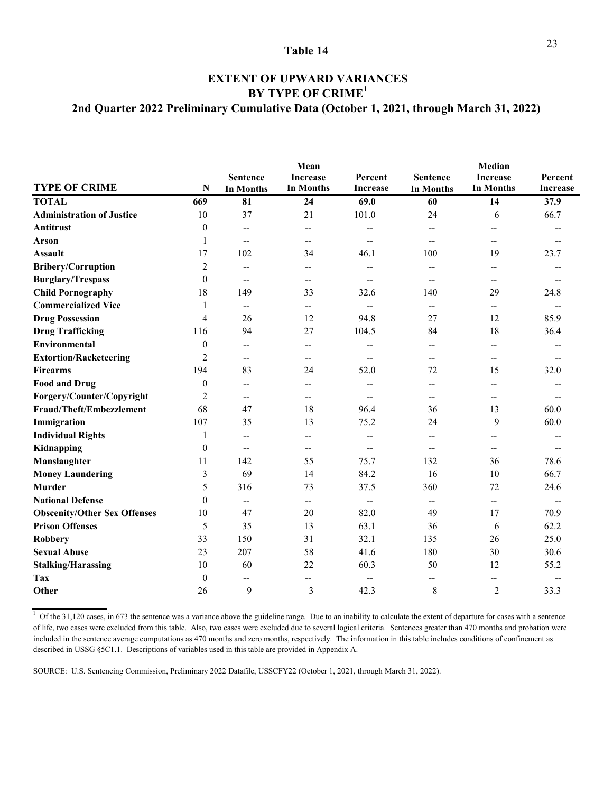### **2nd Quarter 2022 Preliminary Cumulative Data (October 1, 2021, through March 31, 2022) EXTENT OF UPWARD VARIANCES BY TYPE OF CRIME<sup>1</sup>**

|                                                                  | Mean                     |                                                      | Median                   |                          |
|------------------------------------------------------------------|--------------------------|------------------------------------------------------|--------------------------|--------------------------|
| <b>Sentence</b>                                                  | <b>Increase</b>          | Percent<br><b>Sentence</b>                           | <b>Increase</b>          | Percent                  |
| <b>TYPE OF CRIME</b><br>$\mathbf N$<br><b>In Months</b>          | <b>In Months</b>         | <b>Increase</b><br><b>In Months</b>                  | <b>In Months</b>         | <b>Increase</b>          |
| <b>TOTAL</b><br>669<br>81                                        | 69.0<br>24               | 60                                                   | 14                       | 37.9                     |
| <b>Administration of Justice</b><br>10<br>37                     | 21<br>101.0              | 24                                                   | 6                        | 66.7                     |
| <b>Antitrust</b><br>$\mathbf{0}$<br>-−                           | $-$                      |                                                      |                          |                          |
| <b>Arson</b><br>1<br>$\overline{\phantom{m}}$                    | $\overline{\phantom{a}}$ | $-$<br>$-$                                           | $\overline{\phantom{a}}$ |                          |
| 17<br>102<br><b>Assault</b>                                      | 46.1<br>34               | 100                                                  | 19                       | 23.7                     |
| $\overline{2}$<br><b>Bribery/Corruption</b><br>-−                | $-$                      | $-$<br>$-$                                           | $-$                      |                          |
| <b>Burglary/Trespass</b><br>$\theta$<br>$\overline{\phantom{a}}$ | $-$                      | $-$<br>$-$                                           | $-$                      |                          |
| <b>Child Pornography</b><br>18<br>149                            | 33<br>32.6               | 140                                                  | 29                       | 24.8                     |
| <b>Commercialized Vice</b><br>1<br>$\overline{a}$                | $-$                      | $-$<br>$\overline{\phantom{a}}$                      | $\overline{a}$           | $\overline{\phantom{a}}$ |
| <b>Drug Possession</b><br>4<br>26                                | 94.8<br>12               | 27                                                   | 12                       | 85.9                     |
| 94<br><b>Drug Trafficking</b><br>116                             | 27<br>104.5              | 84                                                   | 18                       | 36.4                     |
| Environmental<br>$\theta$<br>--                                  | --                       | $-$<br>--                                            | $-$                      |                          |
| <b>Extortion/Racketeering</b><br>$\overline{c}$<br>--            | $\overline{\phantom{a}}$ | $\overline{\phantom{a}}$<br>$-$                      | $-$                      |                          |
| 194<br>83<br><b>Firearms</b>                                     | 52.0<br>24               | 72                                                   | 15                       | 32.0                     |
| <b>Food and Drug</b><br>$\mathbf{0}$<br>$-$                      | $-$                      | $-$<br>--                                            | --                       |                          |
| $\overline{c}$<br>Forgery/Counter/Copyright<br>$\overline{a}$    | $-$                      | $-$                                                  | $\overline{\phantom{a}}$ |                          |
| Fraud/Theft/Embezzlement<br>68<br>47                             | 18<br>96.4               | 36                                                   | 13                       | 60.0                     |
| 107<br>Immigration<br>35                                         | 13<br>75.2               | 24                                                   | 9                        | 60.0                     |
| <b>Individual Rights</b><br>1<br>--                              | --                       |                                                      | --                       |                          |
| Kidnapping<br>$\theta$<br>$-$                                    | $-$                      | $-$<br>--                                            | $-$                      |                          |
| Manslaughter<br>142<br>11                                        | 55<br>75.7               | 132                                                  | 36                       | 78.6                     |
| <b>Money Laundering</b><br>3<br>69                               | 84.2<br>14               | 16                                                   | 10                       | 66.7                     |
| <b>Murder</b><br>5<br>316                                        | 73<br>37.5               | 360                                                  | 72                       | 24.6                     |
| <b>National Defense</b><br>$\Omega$<br>-−                        | --                       | $\overline{\phantom{a}}$<br>$\overline{\phantom{a}}$ | $\overline{\phantom{a}}$ |                          |
| <b>Obscenity/Other Sex Offenses</b><br>10<br>47                  | 20<br>82.0               | 49                                                   | 17                       | 70.9                     |
| <b>Prison Offenses</b><br>35<br>5                                | 13<br>63.1               | 36                                                   | 6                        | 62.2                     |
| Robbery<br>33<br>150                                             | 31<br>32.1               | 135                                                  | 26                       | 25.0                     |
| <b>Sexual Abuse</b><br>23<br>207                                 | 58<br>41.6               | 180                                                  | 30                       | 30.6                     |
| <b>Stalking/Harassing</b><br>10<br>60                            | 22<br>60.3               | 50                                                   | 12                       | 55.2                     |
| $\mathbf{0}$<br>Tax<br>$-$                                       | $-$                      |                                                      | $-$                      |                          |
| 9<br>Other<br>26                                                 | 3<br>42.3                | $\,$ 8 $\,$                                          | $\overline{2}$           | 33.3                     |

 $1$  Of the 31,120 cases, in 673 the sentence was a variance above the guideline range. Due to an inability to calculate the extent of departure for cases with a sentence of life, two cases were excluded from this table. Also, two cases were excluded due to several logical criteria. Sentences greater than 470 months and probation were included in the sentence average computations as 470 months and zero months, respectively. The information in this table includes conditions of confinement as described in USSG §5C1.1. Descriptions of variables used in this table are provided in Appendix A.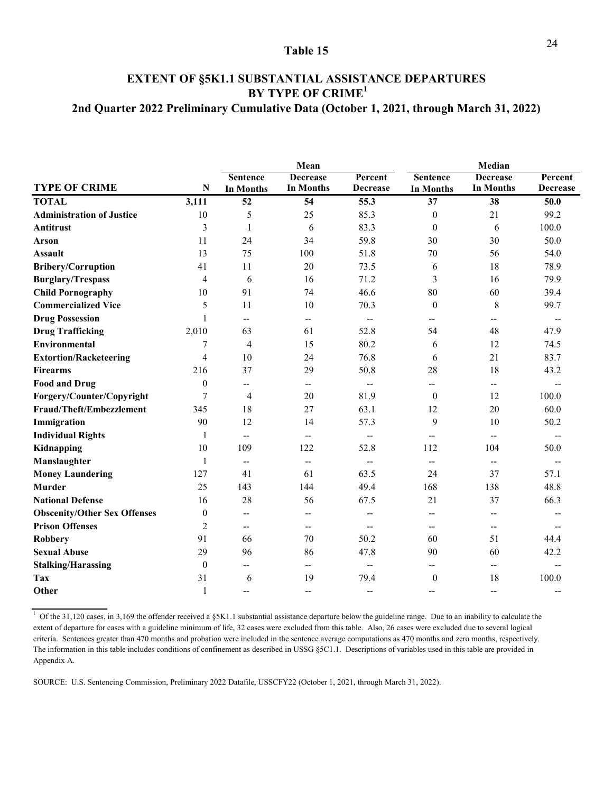### **EXTENT OF §5K1.1 SUBSTANTIAL ASSISTANCE DEPARTURES BY TYPE OF CRIME<sup>1</sup> 2nd Quarter 2022 Preliminary Cumulative Data (October 1, 2021, through March 31, 2022)**

|                                     |                | Mean                     |                          |                          | Median                   |                          |                 |
|-------------------------------------|----------------|--------------------------|--------------------------|--------------------------|--------------------------|--------------------------|-----------------|
|                                     |                | <b>Sentence</b>          | <b>Decrease</b>          | Percent                  | <b>Sentence</b>          | <b>Decrease</b>          | Percent         |
| <b>TYPE OF CRIME</b>                | N              | <b>In Months</b>         | In Months                | <b>Decrease</b>          | <b>In Months</b>         | <b>In Months</b>         | <b>Decrease</b> |
| <b>TOTAL</b>                        | 3,111          | 52                       | 54                       | 55.3                     | 37                       | 38                       | 50.0            |
| <b>Administration of Justice</b>    | 10             | 5                        | 25                       | 85.3                     | $\mathbf{0}$             | 21                       | 99.2            |
| <b>Antitrust</b>                    | 3              | $\mathbf{1}$             | 6                        | 83.3                     | $\mathbf{0}$             | 6                        | 100.0           |
| <b>Arson</b>                        | 11             | 24                       | 34                       | 59.8                     | 30                       | 30                       | 50.0            |
| <b>Assault</b>                      | 13             | 75                       | 100                      | 51.8                     | 70                       | 56                       | 54.0            |
| <b>Bribery/Corruption</b>           | 41             | 11                       | 20                       | 73.5                     | 6                        | 18                       | 78.9            |
| <b>Burglary/Trespass</b>            | 4              | 6                        | 16                       | 71.2                     | 3                        | 16                       | 79.9            |
| <b>Child Pornography</b>            | 10             | 91                       | 74                       | 46.6                     | 80                       | 60                       | 39.4            |
| <b>Commercialized Vice</b>          | 5              | 11                       | 10                       | 70.3                     | $\theta$                 | 8                        | 99.7            |
| <b>Drug Possession</b>              | $\mathbf{1}$   | $\overline{\phantom{a}}$ | $\overline{\phantom{a}}$ | $- -$                    |                          | --                       |                 |
| <b>Drug Trafficking</b>             | 2,010          | 63                       | 61                       | 52.8                     | 54                       | 48                       | 47.9            |
| <b>Environmental</b>                | 7              | $\overline{4}$           | 15                       | 80.2                     | 6                        | 12                       | 74.5            |
| <b>Extortion/Racketeering</b>       | $\overline{4}$ | 10                       | 24                       | 76.8                     | 6                        | 21                       | 83.7            |
| <b>Firearms</b>                     | 216            | 37                       | 29                       | 50.8                     | 28                       | 18                       | 43.2            |
| <b>Food and Drug</b>                | $\theta$       | $\overline{\phantom{a}}$ | $\overline{\phantom{m}}$ | $\overline{\phantom{a}}$ | --                       | $\overline{\phantom{m}}$ |                 |
| Forgery/Counter/Copyright           | 7              | $\overline{4}$           | 20                       | 81.9                     | $\mathbf{0}$             | 12                       | 100.0           |
| Fraud/Theft/Embezzlement            | 345            | 18                       | 27                       | 63.1                     | 12                       | 20                       | 60.0            |
| Immigration                         | 90             | 12                       | 14                       | 57.3                     | 9                        | 10                       | 50.2            |
| <b>Individual Rights</b>            | 1              | $\mathbf{L}$             | $\qquad \qquad -$        | $\overline{\phantom{a}}$ | $\overline{\phantom{0}}$ | $\overline{\phantom{a}}$ |                 |
| Kidnapping                          | 10             | 109                      | 122                      | 52.8                     | 112                      | 104                      | 50.0            |
| Manslaughter                        | 1              | $\overline{\phantom{a}}$ | $\overline{\phantom{m}}$ |                          | --                       | $\overline{\phantom{a}}$ |                 |
| <b>Money Laundering</b>             | 127            | 41                       | 61                       | 63.5                     | 24                       | 37                       | 57.1            |
| <b>Murder</b>                       | 25             | 143                      | 144                      | 49.4                     | 168                      | 138                      | 48.8            |
| <b>National Defense</b>             | 16             | 28                       | 56                       | 67.5                     | 21                       | 37                       | 66.3            |
| <b>Obscenity/Other Sex Offenses</b> | $\theta$       | $\overline{\phantom{a}}$ | $-$                      | --                       |                          | $\overline{\phantom{a}}$ |                 |
| <b>Prison Offenses</b>              | 2              | $\overline{\phantom{a}}$ | $\overline{\phantom{m}}$ | $-$                      | $-$                      | $\overline{\phantom{m}}$ |                 |
| <b>Robbery</b>                      | 91             | 66                       | 70                       | 50.2                     | 60                       | 51                       | 44.4            |
| <b>Sexual Abuse</b>                 | 29             | 96                       | 86                       | 47.8                     | 90                       | 60                       | 42.2            |
| <b>Stalking/Harassing</b>           | $\theta$       | $\overline{\phantom{a}}$ | --                       | $-$                      |                          | $\overline{\phantom{m}}$ |                 |
| Tax                                 | 31             | 6                        | 19                       | 79.4                     | $\overline{0}$           | 18                       | 100.0           |
| Other                               | $\mathbf{1}$   | $\overline{\phantom{a}}$ | $\overline{\phantom{a}}$ | $-$                      | $-$                      | $\overline{\phantom{a}}$ |                 |

 $1$  Of the 31,120 cases, in 3,169 the offender received a §5K1.1 substantial assistance departure below the guideline range. Due to an inability to calculate the extent of departure for cases with a guideline minimum of life, 32 cases were excluded from this table. Also, 26 cases were excluded due to several logical criteria. Sentences greater than 470 months and probation were included in the sentence average computations as 470 months and zero months, respectively. The information in this table includes conditions of confinement as described in USSG §5C1.1. Descriptions of variables used in this table are provided in Appendix A.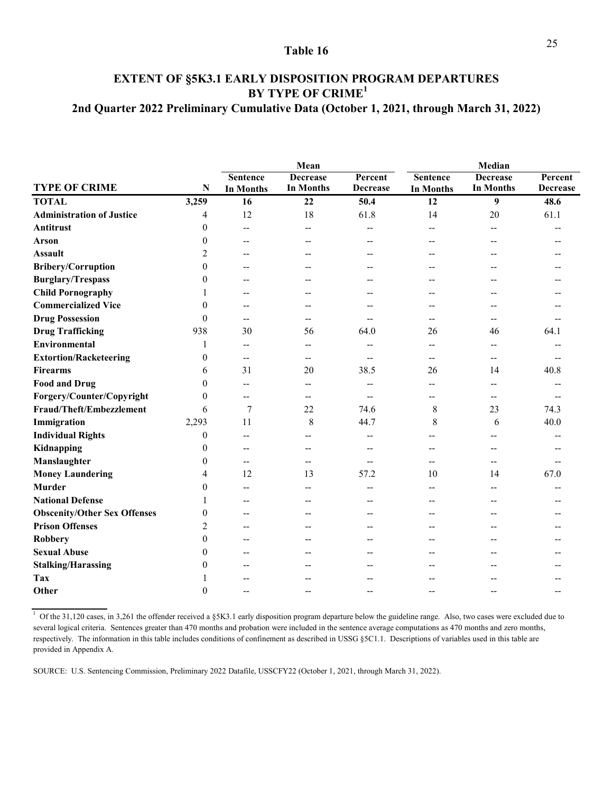### **BY TYPE OF CRIME<sup>1</sup> EXTENT OF §5K3.1 EARLY DISPOSITION PROGRAM DEPARTURES 2nd Quarter 2022 Preliminary Cumulative Data (October 1, 2021, through March 31, 2022)**

|                                     |                | Mean                     |                  |                 | Median           |                  |                 |  |
|-------------------------------------|----------------|--------------------------|------------------|-----------------|------------------|------------------|-----------------|--|
|                                     |                | <b>Sentence</b>          | <b>Decrease</b>  | Percent         | <b>Sentence</b>  | <b>Decrease</b>  | Percent         |  |
| <b>TYPE OF CRIME</b>                | N              | <b>In Months</b>         | <b>In Months</b> | <b>Decrease</b> | <b>In Months</b> | <b>In Months</b> | <b>Decrease</b> |  |
| <b>TOTAL</b>                        | 3,259          | 16                       | 22               | 50.4            | 12               | 9                | 48.6            |  |
| <b>Administration of Justice</b>    | 4              | 12                       | 18               | 61.8            | 14               | 20               | 61.1            |  |
| <b>Antitrust</b>                    | $\theta$       | $\overline{\phantom{a}}$ | $-$              |                 |                  | --               |                 |  |
| <b>Arson</b>                        | $\theta$       | $\overline{\phantom{a}}$ |                  |                 |                  |                  |                 |  |
| <b>Assault</b>                      | 2              | $-$                      |                  |                 |                  |                  |                 |  |
| Bribery/Corruption                  | $\overline{0}$ | $-$                      |                  | --              |                  | --               |                 |  |
| <b>Burglary/Trespass</b>            | 0              | $\overline{\phantom{a}}$ |                  |                 |                  |                  |                 |  |
| <b>Child Pornography</b>            |                | $\overline{\phantom{a}}$ |                  |                 |                  |                  |                 |  |
| <b>Commercialized Vice</b>          | 0              | --                       |                  |                 |                  |                  |                 |  |
| <b>Drug Possession</b>              | 0              | $\overline{\phantom{a}}$ |                  |                 |                  |                  |                 |  |
| <b>Drug Trafficking</b>             | 938            | 30                       | 56               | 64.0            | 26               | 46               | 64.1            |  |
| <b>Environmental</b>                |                | $\overline{\phantom{a}}$ | $-$              |                 |                  | --               |                 |  |
| <b>Extortion/Racketeering</b>       | 0              | $\overline{\phantom{a}}$ | --               |                 | --               | $-$              |                 |  |
| <b>Firearms</b>                     | 6              | 31                       | 20               | 38.5            | 26               | 14               | 40.8            |  |
| <b>Food and Drug</b>                | $\theta$       | $\overline{\phantom{a}}$ | $-$              | --              |                  | $-$              |                 |  |
| Forgery/Counter/Copyright           | $\theta$       | $\overline{\phantom{a}}$ | $-$              |                 | --               | $-$              |                 |  |
| Fraud/Theft/Embezzlement            | 6              | 7                        | 22               | 74.6            | 8                | 23               | 74.3            |  |
| Immigration                         | 2,293          | 11                       | 8                | 44.7            | 8                | 6                | 40.0            |  |
| <b>Individual Rights</b>            | 0              | $\overline{a}$           |                  |                 |                  |                  |                 |  |
| Kidnapping                          | 0              | $\overline{\phantom{a}}$ |                  |                 |                  |                  |                 |  |
| Manslaughter                        | 0              | $\overline{\phantom{a}}$ |                  |                 |                  | --               |                 |  |
| <b>Money Laundering</b>             | 4              | 12                       | 13               | 57.2            | 10               | 14               | 67.0            |  |
| <b>Murder</b>                       | 0              | $\overline{\phantom{a}}$ |                  | --              |                  | --               |                 |  |
| <b>National Defense</b>             | 1              | $\overline{\phantom{a}}$ |                  |                 |                  |                  |                 |  |
| <b>Obscenity/Other Sex Offenses</b> | $\theta$       | $\overline{\phantom{a}}$ |                  |                 |                  |                  |                 |  |
| <b>Prison Offenses</b>              | 2              | $-$                      |                  |                 |                  |                  |                 |  |
| <b>Robbery</b>                      | 0              | $\overline{a}$           |                  |                 |                  |                  |                 |  |
| <b>Sexual Abuse</b>                 | 0              | $\overline{a}$           |                  |                 |                  |                  |                 |  |
| <b>Stalking/Harassing</b>           | 0              | --                       |                  |                 |                  |                  |                 |  |
| Tax                                 |                |                          |                  |                 |                  |                  |                 |  |
| Other                               | $\theta$       |                          |                  |                 |                  |                  |                 |  |

 $1$  Of the 31,120 cases, in 3,261 the offender received a §5K3.1 early disposition program departure below the guideline range. Also, two cases were excluded due to several logical criteria. Sentences greater than 470 months and probation were included in the sentence average computations as 470 months and zero months, respectively. The information in this table includes conditions of confinement as described in USSG §5C1.1. Descriptions of variables used in this table are provided in Appendix A.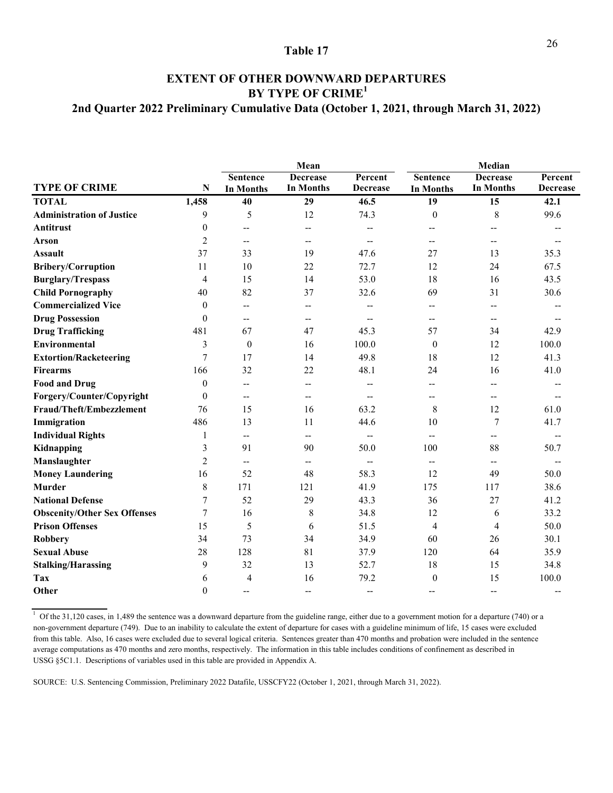### **2nd Quarter 2022 Preliminary Cumulative Data (October 1, 2021, through March 31, 2022) EXTENT OF OTHER DOWNWARD DEPARTURES BY TYPE OF CRIME<sup>1</sup>**

|                                     |                  | Mean                     |                                     |                          | Median                   |                          |                 |
|-------------------------------------|------------------|--------------------------|-------------------------------------|--------------------------|--------------------------|--------------------------|-----------------|
|                                     |                  | <b>Sentence</b>          | <b>Decrease</b>                     | Percent                  | <b>Sentence</b>          | <b>Decrease</b>          | Percent         |
| <b>TYPE OF CRIME</b>                | N                | <b>In Months</b>         | In Months                           | <b>Decrease</b>          | <b>In Months</b>         | <b>In Months</b>         | <b>Decrease</b> |
| <b>TOTAL</b>                        | 1,458            | 40                       | 29                                  | 46.5                     | 19                       | 15                       | 42.1            |
| <b>Administration of Justice</b>    | 9                | 5                        | 12                                  | 74.3                     | $\boldsymbol{0}$         | 8                        | 99.6            |
| <b>Antitrust</b>                    | $\boldsymbol{0}$ | $-$                      | $\overline{\phantom{m}}$            | --                       |                          | --                       |                 |
| Arson                               | $\overline{2}$   | $\overline{\phantom{a}}$ | $\overline{\phantom{m}}$            | $-$                      | --                       | $\overline{\phantom{m}}$ |                 |
| <b>Assault</b>                      | 37               | 33                       | 19                                  | 47.6                     | 27                       | 13                       | 35.3            |
| <b>Bribery/Corruption</b>           | 11               | 10                       | 22                                  | 72.7                     | 12                       | 24                       | 67.5            |
| <b>Burglary/Trespass</b>            | 4                | 15                       | 14                                  | 53.0                     | 18                       | 16                       | 43.5            |
| <b>Child Pornography</b>            | 40               | 82                       | 37                                  | 32.6                     | 69                       | 31                       | 30.6            |
| <b>Commercialized Vice</b>          | $\theta$         | $\overline{a}$           | --                                  |                          | --                       | $\sim$                   |                 |
| <b>Drug Possession</b>              | $\theta$         | $\overline{\phantom{a}}$ | --                                  |                          |                          | --                       |                 |
| <b>Drug Trafficking</b>             | 481              | 67                       | 47                                  | 45.3                     | 57                       | 34                       | 42.9            |
| <b>Environmental</b>                | 3                | $\theta$                 | 16                                  | 100.0                    | $\theta$                 | 12                       | 100.0           |
| <b>Extortion/Racketeering</b>       | $\overline{7}$   | 17                       | 14                                  | 49.8                     | 18                       | 12                       | 41.3            |
| <b>Firearms</b>                     | 166              | 32                       | 22                                  | 48.1                     | 24                       | 16                       | 41.0            |
| <b>Food and Drug</b>                | $\theta$         | $\overline{\phantom{a}}$ | --                                  | --                       | --                       | $-$                      |                 |
| Forgery/Counter/Copyright           | $\theta$         | $\overline{\phantom{a}}$ | $\hspace{0.05cm}$ $\hspace{0.05cm}$ |                          | --                       | --                       |                 |
| Fraud/Theft/Embezzlement            | 76               | 15                       | 16                                  | 63.2                     | 8                        | 12                       | 61.0            |
| Immigration                         | 486              | 13                       | 11                                  | 44.6                     | 10                       | $\tau$                   | 41.7            |
| <b>Individual Rights</b>            | 1                | --                       | --                                  | $-$                      | $-$                      | $-$                      |                 |
| Kidnapping                          | 3                | 91                       | 90                                  | 50.0                     | 100                      | 88                       | 50.7            |
| Manslaughter                        | $\overline{2}$   | $\overline{\phantom{a}}$ | $\overline{\phantom{a}}$            | $\overline{\phantom{a}}$ | $\overline{\phantom{a}}$ | $\overline{\phantom{a}}$ |                 |
| <b>Money Laundering</b>             | 16               | 52                       | 48                                  | 58.3                     | 12                       | 49                       | 50.0            |
| <b>Murder</b>                       | 8                | 171                      | 121                                 | 41.9                     | 175                      | 117                      | 38.6            |
| <b>National Defense</b>             | $\tau$           | 52                       | 29                                  | 43.3                     | 36                       | 27                       | 41.2            |
| <b>Obscenity/Other Sex Offenses</b> | $\tau$           | 16                       | 8                                   | 34.8                     | 12                       | 6                        | 33.2            |
| <b>Prison Offenses</b>              | 15               | 5                        | 6                                   | 51.5                     | 4                        | $\overline{4}$           | 50.0            |
| <b>Robbery</b>                      | 34               | 73                       | 34                                  | 34.9                     | 60                       | 26                       | 30.1            |
| <b>Sexual Abuse</b>                 | 28               | 128                      | 81                                  | 37.9                     | 120                      | 64                       | 35.9            |
| <b>Stalking/Harassing</b>           | 9                | 32                       | 13                                  | 52.7                     | 18                       | 15                       | 34.8            |
| Tax                                 | 6                | $\overline{4}$           | 16                                  | 79.2                     | $\boldsymbol{0}$         | 15                       | 100.0           |
| Other                               | $\boldsymbol{0}$ | $\overline{a}$           | $\overline{\phantom{a}}$            | $\overline{\phantom{a}}$ | $\overline{\phantom{a}}$ | $\overline{a}$           |                 |

 $1$  Of the 31,120 cases, in 1,489 the sentence was a downward departure from the guideline range, either due to a government motion for a departure (740) or a non-government departure (749). Due to an inability to calculate the extent of departure for cases with a guideline minimum of life, 15 cases were excluded from this table. Also, 16 cases were excluded due to several logical criteria. Sentences greater than 470 months and probation were included in the sentence average computations as 470 months and zero months, respectively. The information in this table includes conditions of confinement as described in USSG §5C1.1. Descriptions of variables used in this table are provided in Appendix A.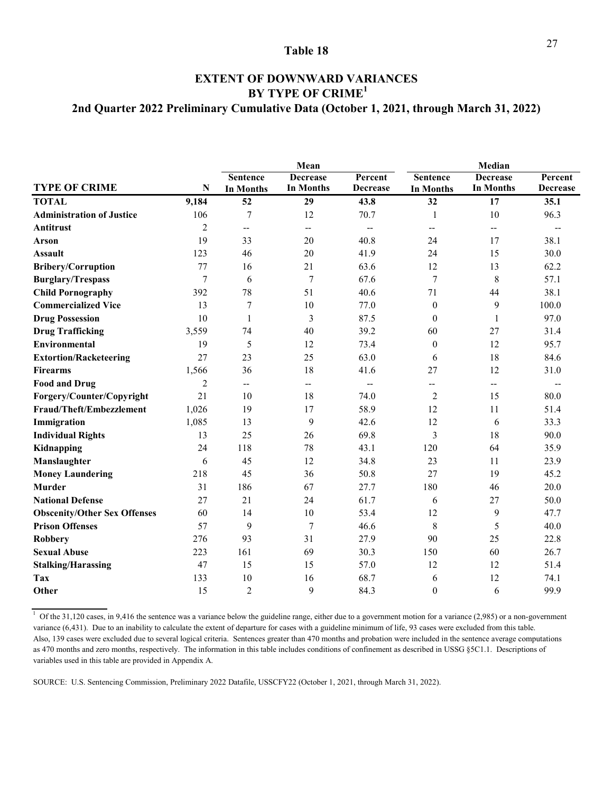### **2nd Quarter 2022 Preliminary Cumulative Data (October 1, 2021, through March 31, 2022) EXTENT OF DOWNWARD VARIANCES BY TYPE OF CRIME<sup>1</sup>**

|                                     |                | Mean                     |                          |                          | Median                   |                          |                 |  |
|-------------------------------------|----------------|--------------------------|--------------------------|--------------------------|--------------------------|--------------------------|-----------------|--|
|                                     |                | <b>Sentence</b>          | <b>Decrease</b>          | Percent                  | <b>Sentence</b>          | <b>Decrease</b>          | Percent         |  |
| <b>TYPE OF CRIME</b>                | N              | In Months                | <b>In Months</b>         | <b>Decrease</b>          | <b>In Months</b>         | <b>In Months</b>         | <b>Decrease</b> |  |
| <b>TOTAL</b>                        | 9,184          | 52                       | 29                       | 43.8                     | 32                       | 17                       | 35.1            |  |
| <b>Administration of Justice</b>    | 106            | 7                        | 12                       | 70.7                     | 1                        | 10                       | 96.3            |  |
| <b>Antitrust</b>                    | 2              | $\overline{\phantom{a}}$ | $\qquad \qquad -$        | $\overline{\phantom{a}}$ | $\overline{\phantom{m}}$ | $\overline{\phantom{a}}$ |                 |  |
| <b>Arson</b>                        | 19             | 33                       | 20                       | 40.8                     | 24                       | 17                       | 38.1            |  |
| <b>Assault</b>                      | 123            | 46                       | 20                       | 41.9                     | 24                       | 15                       | 30.0            |  |
| Bribery/Corruption                  | 77             | 16                       | 21                       | 63.6                     | 12                       | 13                       | 62.2            |  |
| <b>Burglary/Trespass</b>            | $\tau$         | 6                        | 7                        | 67.6                     | 7                        | $8\,$                    | 57.1            |  |
| <b>Child Pornography</b>            | 392            | 78                       | 51                       | 40.6                     | 71                       | 44                       | 38.1            |  |
| <b>Commercialized Vice</b>          | 13             | 7                        | 10                       | 77.0                     | $\theta$                 | 9                        | 100.0           |  |
| <b>Drug Possession</b>              | 10             | $\mathbf{1}$             | 3                        | 87.5                     | $\theta$                 | $\mathbf{1}$             | 97.0            |  |
| <b>Drug Trafficking</b>             | 3,559          | 74                       | 40                       | 39.2                     | 60                       | 27                       | 31.4            |  |
| Environmental                       | 19             | 5                        | 12                       | 73.4                     | $\Omega$                 | 12                       | 95.7            |  |
| <b>Extortion/Racketeering</b>       | 27             | 23                       | 25                       | 63.0                     | 6                        | 18                       | 84.6            |  |
| <b>Firearms</b>                     | 1,566          | 36                       | 18                       | 41.6                     | 27                       | 12                       | 31.0            |  |
| <b>Food and Drug</b>                | $\overline{c}$ | $\overline{\phantom{a}}$ | $\overline{\phantom{a}}$ | $\overline{\phantom{a}}$ | --                       | $\overline{\phantom{a}}$ |                 |  |
| Forgery/Counter/Copyright           | 21             | 10                       | 18                       | 74.0                     | $\overline{c}$           | 15                       | 80.0            |  |
| Fraud/Theft/Embezzlement            | 1,026          | 19                       | 17                       | 58.9                     | 12                       | 11                       | 51.4            |  |
| Immigration                         | 1,085          | 13                       | 9                        | 42.6                     | 12                       | 6                        | 33.3            |  |
| <b>Individual Rights</b>            | 13             | 25                       | 26                       | 69.8                     | 3                        | 18                       | 90.0            |  |
| Kidnapping                          | 24             | 118                      | 78                       | 43.1                     | 120                      | 64                       | 35.9            |  |
| Manslaughter                        | 6              | 45                       | 12                       | 34.8                     | 23                       | 11                       | 23.9            |  |
| <b>Money Laundering</b>             | 218            | 45                       | 36                       | 50.8                     | 27                       | 19                       | 45.2            |  |
| <b>Murder</b>                       | 31             | 186                      | 67                       | 27.7                     | 180                      | 46                       | 20.0            |  |
| <b>National Defense</b>             | 27             | 21                       | 24                       | 61.7                     | 6                        | 27                       | 50.0            |  |
| <b>Obscenity/Other Sex Offenses</b> | 60             | 14                       | 10                       | 53.4                     | 12                       | 9                        | 47.7            |  |
| <b>Prison Offenses</b>              | 57             | 9                        | $\overline{7}$           | 46.6                     | $8\,$                    | 5                        | 40.0            |  |
| <b>Robbery</b>                      | 276            | 93                       | 31                       | 27.9                     | 90                       | 25                       | 22.8            |  |
| <b>Sexual Abuse</b>                 | 223            | 161                      | 69                       | 30.3                     | 150                      | 60                       | 26.7            |  |
| <b>Stalking/Harassing</b>           | 47             | 15                       | 15                       | 57.0                     | 12                       | 12                       | 51.4            |  |
| Tax                                 | 133            | 10                       | 16                       | 68.7                     | 6                        | 12                       | 74.1            |  |
| Other                               | 15             | $\overline{2}$           | 9                        | 84.3                     | $\theta$                 | 6                        | 99.9            |  |

 $1$  Of the 31,120 cases, in 9,416 the sentence was a variance below the guideline range, either due to a government motion for a variance (2,985) or a non-government variance (6,431). Due to an inability to calculate the extent of departure for cases with a guideline minimum of life, 93 cases were excluded from this table. Also, 139 cases were excluded due to several logical criteria. Sentences greater than 470 months and probation were included in the sentence average computations as 470 months and zero months, respectively. The information in this table includes conditions of confinement as described in USSG §5C1.1. Descriptions of variables used in this table are provided in Appendix A.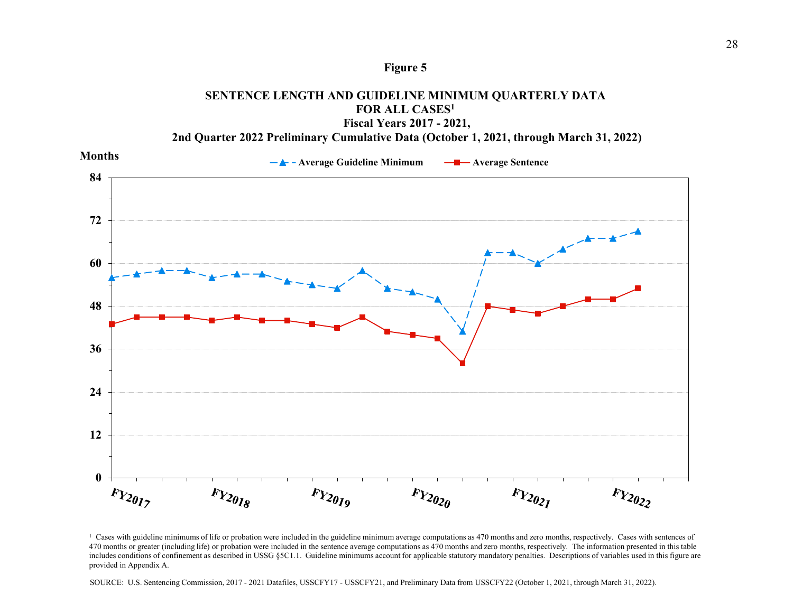### **Figure 5**





<sup>&</sup>lt;sup>1</sup> Cases with guideline minimums of life or probation were included in the guideline minimum average computations as 470 months and zero months, respectively. Cases with sentences of 470 months or greater (including life) or probation were included in the sentence average computations as 470 months and zero months, respectively. The information presented in this table includes conditions of confinement as described in USSG §5C1.1. Guideline minimums account for applicable statutory mandatory penalties. Descriptions of variables used in this figure are provided in Appendix A.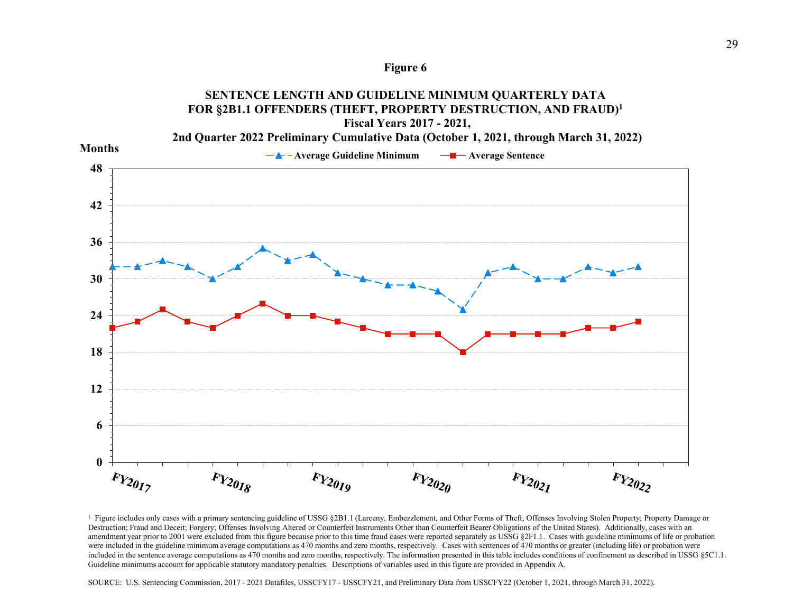



<sup>1</sup> Figure includes only cases with a primary sentencing guideline of USSG §2B1.1 (Larceny, Embezzlement, and Other Forms of Theft; Offenses Involving Stolen Property; Property Damage or Destruction; Fraud and Deceit; Forgery; Offenses Involving Altered or Counterfeit Instruments Other than Counterfeit Bearer Obligations of the United States). Additionally, cases with an amendment year prior to 2001 were excluded from this figure because prior to this time fraud cases were reported separately as USSG §2F1.1. Cases with guideline minimums of life or probation were included in the guideline minimum average computations as 470 months and zero months, respectively. Cases with sentences of 470 months or greater (including life) or probation were included in the sentence average computations as 470 months and zero months, respectively. The information presented in this table includes conditions of confinement as described in USSG §5C1.1. Guideline minimums account for applicable statutory mandatory penalties. Descriptions of variables used in this figure are provided in Appendix A.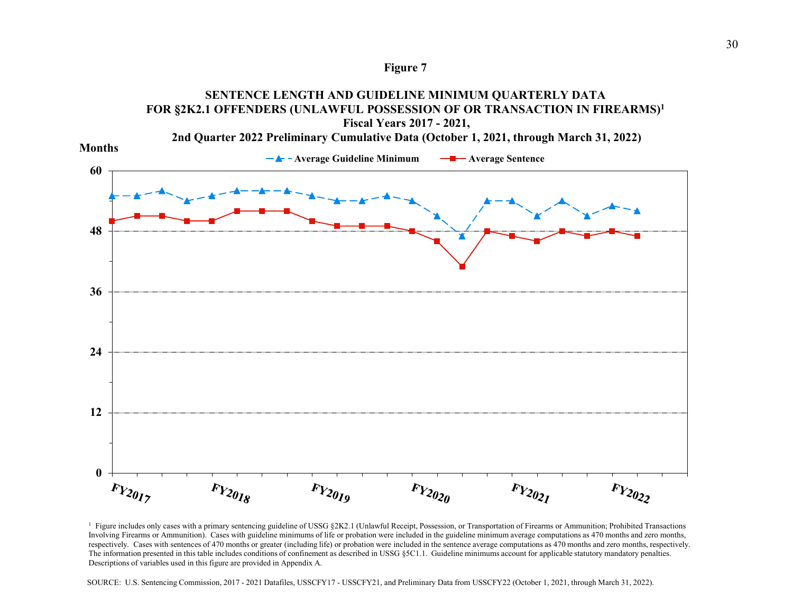



<sup>1</sup> Figure includes only cases with a primary sentencing guideline of USSG §2K2.1 (Unlawful Receipt, Possession, or Transportation of Firearms or Ammunition; Prohibited Transactions Involving Firearms or Ammunition). Cases with guideline minimums of life or probation were included in the guideline minimum average computations as 470 months and zero months, respectively. Cases with sentences of 470 months or greater (including life) or probation were included in the sentence average computations as 470 months and zero months, respectively. The information presented in this table includes conditions of confinement as described in USSG §5C1.1. Guideline minimums account for applicable statutory mandatory penalties. Descriptions of variables used in this figure are provided in Appendix A.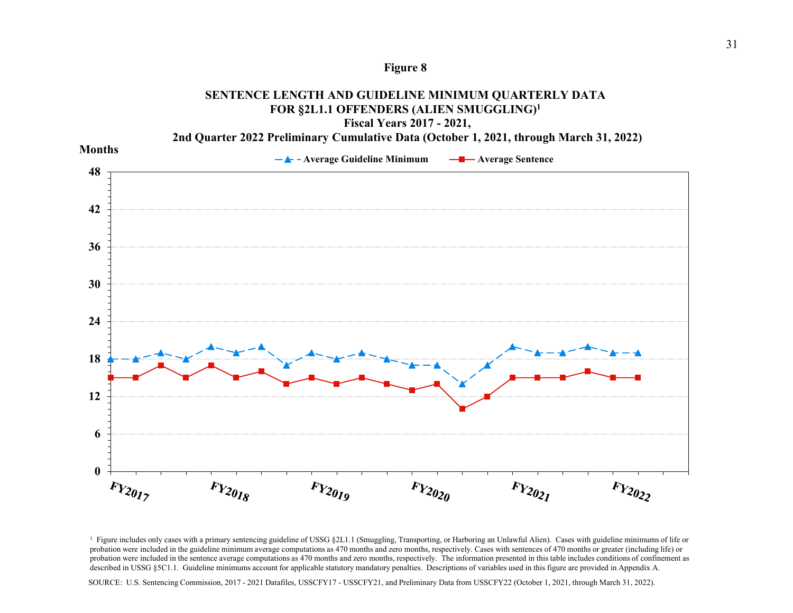



<sup>&</sup>lt;sup>1</sup> Figure includes only cases with a primary sentencing guideline of USSG §2L1.1 (Smuggling, Transporting, or Harboring an Unlawful Alien). Cases with guideline minimums of life or probation were included in the guideline minimum average computations as 470 months and zero months, respectively. Cases with sentences of 470 months or greater (including life) or probation were included in the sentence average computations as 470 months and zero months, respectively. The information presented in this table includes conditions of confinement as described in USSG §5C1.1. Guideline minimums account for applicable statutory mandatory penalties. Descriptions of variables used in this figure are provided in Appendix A.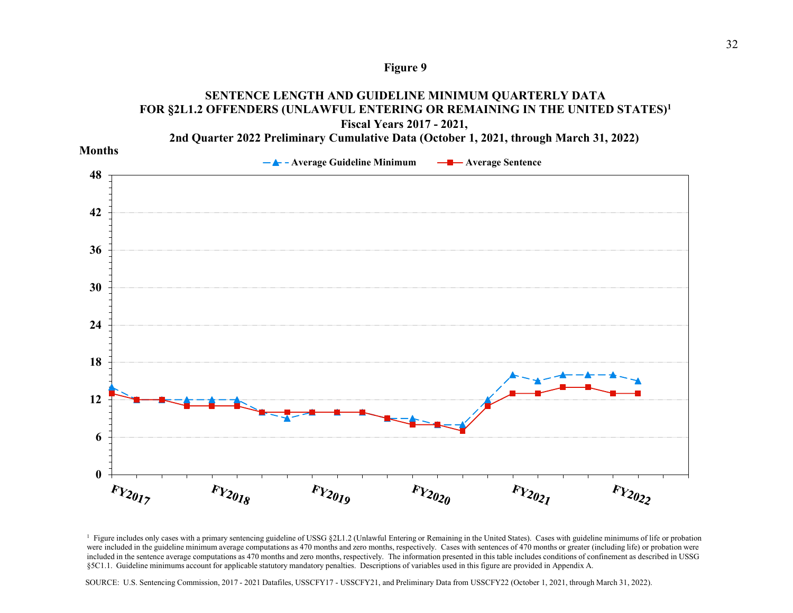



<sup>&</sup>lt;sup>1</sup> Figure includes only cases with a primary sentencing guideline of USSG §2L1.2 (Unlawful Entering or Remaining in the United States). Cases with guideline minimums of life or probation were included in the guideline minimum average computations as 470 months and zero months, respectively. Cases with sentences of 470 months or greater (including life) or probation were included in the sentence average computations as 470 months and zero months, respectively. The information presented in this table includes conditions of confinement as described in USSG §5C1.1. Guideline minimums account for applicable statutory mandatory penalties. Descriptions of variables used in this figure are provided in Appendix A.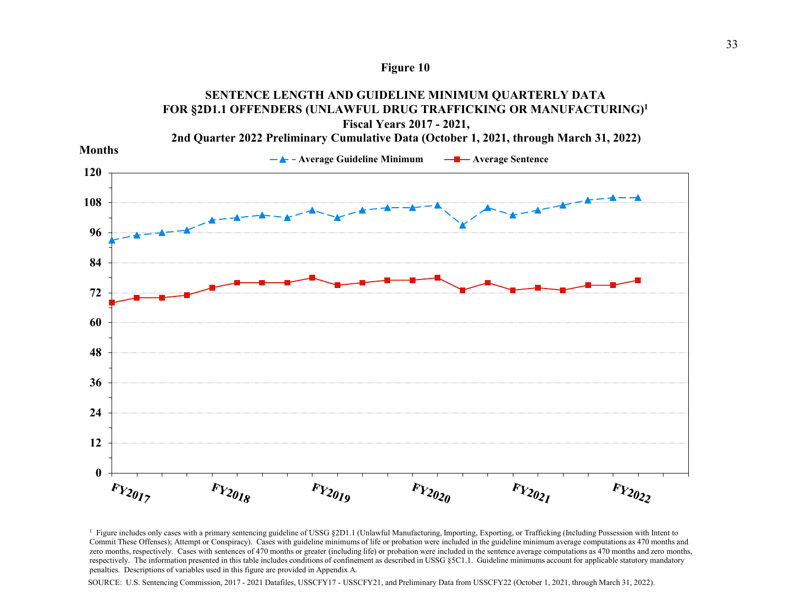



<sup>&</sup>lt;sup>1</sup> Figure includes only cases with a primary sentencing guideline of USSG §2D1.1 (Unlawful Manufacturing, Importing, Exporting, or Trafficking (Including Possession with Intent to Commit These Offenses); Attempt or Conspiracy). Cases with guideline minimums of life or probation were included in the guideline minimum average computations as 470 months and zero months, respectively. Cases with sentences of 470 months or greater (including life) or probation were included in the sentence average computations as 470 months and zero months, respectively. The information presented in this table includes conditions of confinement as described in USSG §5C1.1. Guideline minimums account for applicable statutory mandatory penalties. Descriptions of variables used in this figure are provided in Appendix A.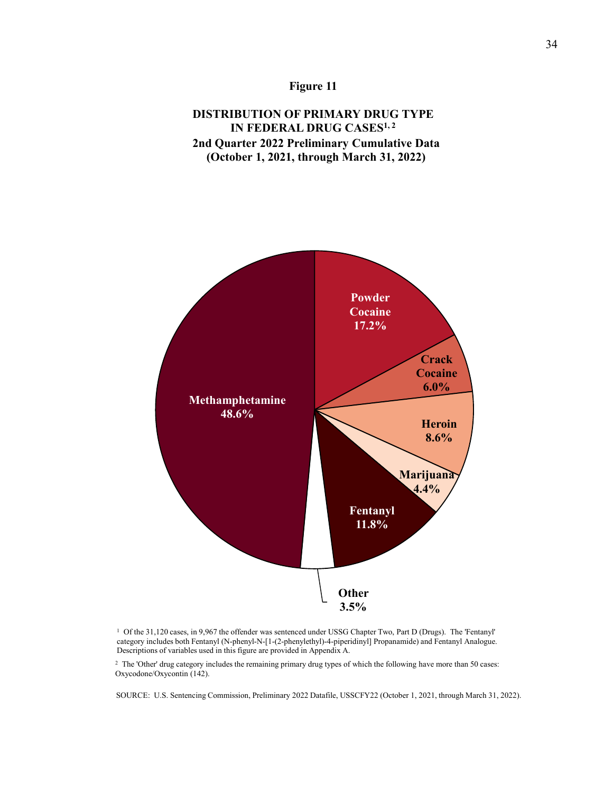### **Figure 11**

### **DISTRIBUTION OF PRIMARY DRUG TYPE IN FEDERAL DRUG CASES<sup>1,2</sup> 2nd Quarter 2022 Preliminary Cumulative Data (October 1, 2021, through March 31, 2022)**



<sup>1</sup> Of the 31,120 cases, in 9,967 the offender was sentenced under USSG Chapter Two, Part D (Drugs). The 'Fentanyl' category includes both Fentanyl (N-phenyl-N-[1-(2-phenylethyl)-4-piperidinyl] Propanamide) and Fentanyl Analogue. Descriptions of variables used in this figure are provided in Appendix A.

<sup>2</sup> The 'Other' drug category includes the remaining primary drug types of which the following have more than 50 cases: Oxycodone/Oxycontin (142).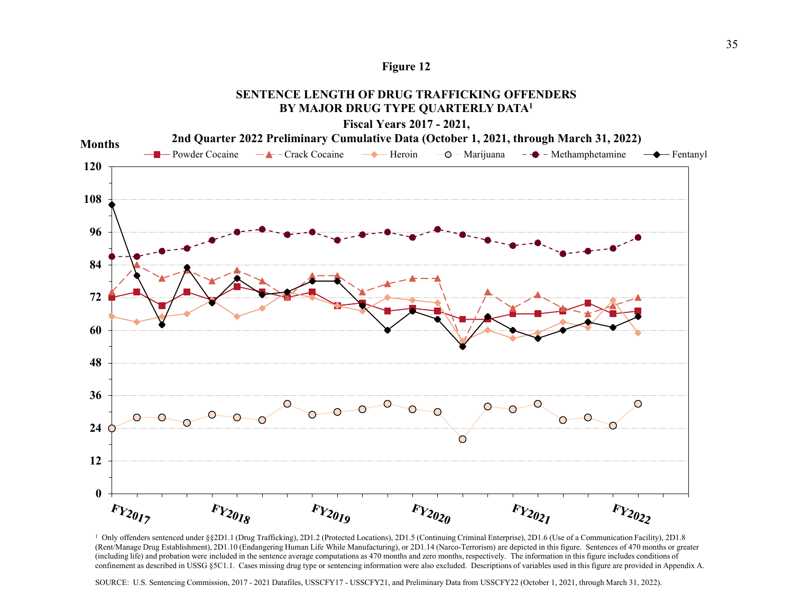

### **SENTENCE LENGTH OF DRUG TRAFFICKING OFFENDERSBY MAJOR DRUG TYPE QUARTERLY DATA1**



1 Only offenders sentenced under §§2D1.1 (Drug Trafficking), 2D1.2 (Protected Locations), 2D1.5 (Continuing Criminal Enterprise), 2D1.6 (Use of a Communication Facility), 2D1.8 (Rent/Manage Drug Establishment), 2D1.10 (Endangering Human Life While Manufacturing), or 2D1.14 (Narco-Terrorism) are depicted in this figure. Sentences of 470 months or greater (including life) and probation were included in the sentence average computations as 470 months and zero months, respectively. The information in this figure includes conditions of confinement as described in USSG §5C1.1. Cases missing drug type or sentencing information were also excluded. Descriptions of variables used in this figure are provided in Appendix A.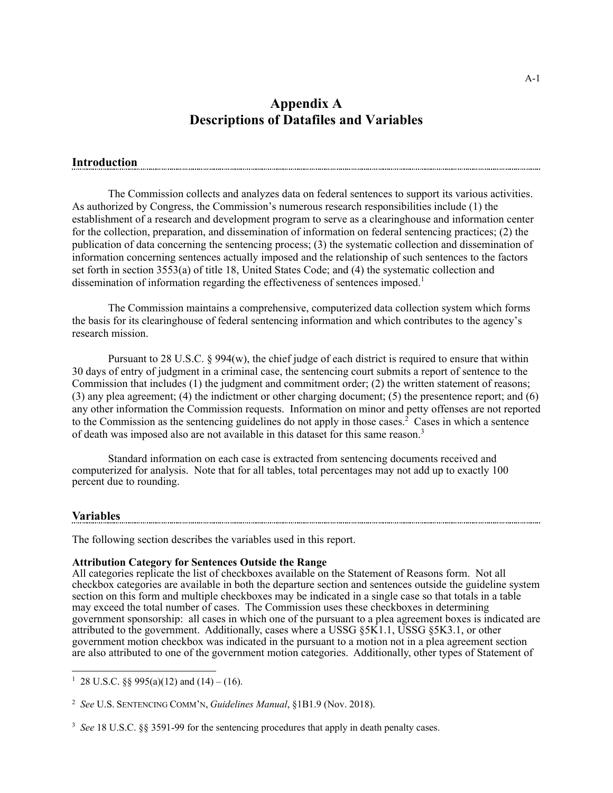### **Appendix A Descriptions of Datafiles and Variables**

### **Introduction**

 The Commission collects and analyzes data on federal sentences to support its various activities. As authorized by Congress, the Commission's numerous research responsibilities include (1) the establishment of a research and development program to serve as a clearinghouse and information center for the collection, preparation, and dissemination of information on federal sentencing practices; (2) the publication of data concerning the sentencing process; (3) the systematic collection and dissemination of information concerning sentences actually imposed and the relationship of such sentences to the factors set forth in section 3553(a) of title 18, United States Code; and (4) the systematic collection and dissemination of information regarding the effectiveness of sentences imposed.<sup>1</sup>

 The Commission maintains a comprehensive, computerized data collection system which forms the basis for its clearinghouse of federal sentencing information and which contributes to the agency's research mission.

Pursuant to 28 U.S.C. § 994(w), the chief judge of each district is required to ensure that within 30 days of entry of judgment in a criminal case, the sentencing court submits a report of sentence to the Commission that includes (1) the judgment and commitment order; (2) the written statement of reasons; (3) any plea agreement; (4) the indictment or other charging document; (5) the presentence report; and (6) any other information the Commission requests. Information on minor and petty offenses are not reported to the Commission as the sentencing guidelines do not apply in those cases.<sup>2</sup> Cases in which a sentence of death was imposed also are not available in this dataset for this same reason.<sup>3</sup>

 Standard information on each case is extracted from sentencing documents received and computerized for analysis. Note that for all tables, total percentages may not add up to exactly 100 percent due to rounding.

### **Variables**

The following section describes the variables used in this report.

### **Attribution Category for Sentences Outside the Range**

All categories replicate the list of checkboxes available on the Statement of Reasons form. Not all checkbox categories are available in both the departure section and sentences outside the guideline system section on this form and multiple checkboxes may be indicated in a single case so that totals in a table may exceed the total number of cases. The Commission uses these checkboxes in determining government sponsorship: all cases in which one of the pursuant to a plea agreement boxes is indicated are attributed to the government. Additionally, cases where a USSG §5K1.1, USSG §5K3.1, or other government motion checkbox was indicated in the pursuant to a motion not in a plea agreement section are also attributed to one of the government motion categories. Additionally, other types of Statement of

<sup>&</sup>lt;sup>1</sup> 28 U.S.C. §§ 995(a)(12) and (14) – (16).

<sup>2</sup> *See* U.S. SENTENCING COMM'N, *Guidelines Manual*, §1B1.9 (Nov. 2018).

<sup>3</sup> *See* 18 U.S.C. §§ 3591-99 for the sentencing procedures that apply in death penalty cases.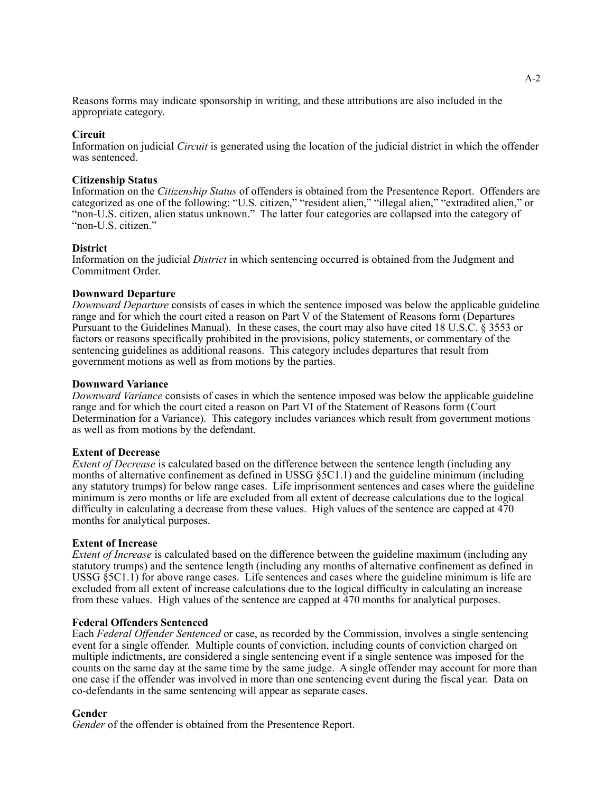Reasons forms may indicate sponsorship in writing, and these attributions are also included in the appropriate category.

#### **Circuit**

Information on judicial *Circuit* is generated using the location of the judicial district in which the offender was sentenced.

#### **Citizenship Status**

Information on the *Citizenship Status* of offenders is obtained from the Presentence Report. Offenders are categorized as one of the following: "U.S. citizen," "resident alien," "illegal alien," "extradited alien," or "non-U.S. citizen, alien status unknown." The latter four categories are collapsed into the category of "non-U.S. citizen."

#### **District**

Information on the judicial *District* in which sentencing occurred is obtained from the Judgment and Commitment Order.

#### **Downward Departure**

*Downward Departure* consists of cases in which the sentence imposed was below the applicable guideline range and for which the court cited a reason on Part V of the Statement of Reasons form (Departures Pursuant to the Guidelines Manual). In these cases, the court may also have cited 18 U.S.C. § 3553 or factors or reasons specifically prohibited in the provisions, policy statements, or commentary of the sentencing guidelines as additional reasons. This category includes departures that result from government motions as well as from motions by the parties.

#### **Downward Variance**

*Downward Variance* consists of cases in which the sentence imposed was below the applicable guideline range and for which the court cited a reason on Part VI of the Statement of Reasons form (Court Determination for a Variance). This category includes variances which result from government motions as well as from motions by the defendant.

#### **Extent of Decrease**

*Extent of Decrease* is calculated based on the difference between the sentence length (including any months of alternative confinement as defined in USSG §5C1.1) and the guideline minimum (including any statutory trumps) for below range cases. Life imprisonment sentences and cases where the guideline minimum is zero months or life are excluded from all extent of decrease calculations due to the logical difficulty in calculating a decrease from these values. High values of the sentence are capped at 470 months for analytical purposes.

#### **Extent of Increase**

*Extent of Increase* is calculated based on the difference between the guideline maximum (including any statutory trumps) and the sentence length (including any months of alternative confinement as defined in USSG §5C1.1) for above range cases. Life sentences and cases where the guideline minimum is life are excluded from all extent of increase calculations due to the logical difficulty in calculating an increase from these values. High values of the sentence are capped at 470 months for analytical purposes.

#### **Federal Offenders Sentenced**

Each *Federal Offender Sentenced* or case, as recorded by the Commission, involves a single sentencing event for a single offender. Multiple counts of conviction, including counts of conviction charged on multiple indictments, are considered a single sentencing event if a single sentence was imposed for the counts on the same day at the same time by the same judge. A single offender may account for more than one case if the offender was involved in more than one sentencing event during the fiscal year. Data on co-defendants in the same sentencing will appear as separate cases.

### **Gender**

*Gender* of the offender is obtained from the Presentence Report.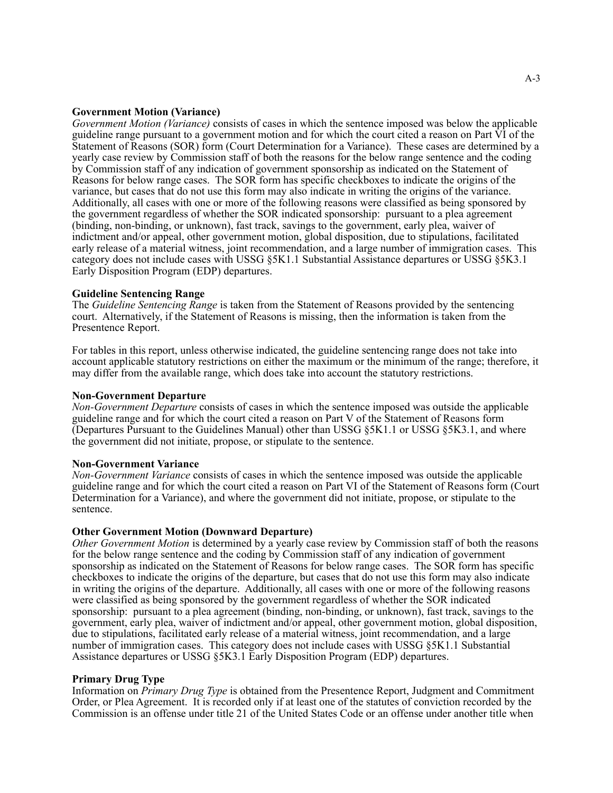#### **Government Motion (Variance)**

*Government Motion (Variance)* consists of cases in which the sentence imposed was below the applicable guideline range pursuant to a government motion and for which the court cited a reason on Part VI of the Statement of Reasons (SOR) form (Court Determination for a Variance). These cases are determined by a yearly case review by Commission staff of both the reasons for the below range sentence and the coding by Commission staff of any indication of government sponsorship as indicated on the Statement of Reasons for below range cases. The SOR form has specific checkboxes to indicate the origins of the variance, but cases that do not use this form may also indicate in writing the origins of the variance. Additionally, all cases with one or more of the following reasons were classified as being sponsored by the government regardless of whether the SOR indicated sponsorship: pursuant to a plea agreement (binding, non-binding, or unknown), fast track, savings to the government, early plea, waiver of indictment and/or appeal, other government motion, global disposition, due to stipulations, facilitated early release of a material witness, joint recommendation, and a large number of immigration cases. This category does not include cases with USSG §5K1.1 Substantial Assistance departures or USSG §5K3.1 Early Disposition Program (EDP) departures.

#### **Guideline Sentencing Range**

The *Guideline Sentencing Range* is taken from the Statement of Reasons provided by the sentencing court. Alternatively, if the Statement of Reasons is missing, then the information is taken from the Presentence Report.

For tables in this report, unless otherwise indicated, the guideline sentencing range does not take into account applicable statutory restrictions on either the maximum or the minimum of the range; therefore, it may differ from the available range, which does take into account the statutory restrictions.

#### **Non-Government Departure**

*Non-Government Departure* consists of cases in which the sentence imposed was outside the applicable guideline range and for which the court cited a reason on Part V of the Statement of Reasons form (Departures Pursuant to the Guidelines Manual) other than USSG §5K1.1 or USSG §5K3.1, and where the government did not initiate, propose, or stipulate to the sentence.

#### **Non-Government Variance**

*Non-Government Variance* consists of cases in which the sentence imposed was outside the applicable guideline range and for which the court cited a reason on Part VI of the Statement of Reasons form (Court Determination for a Variance), and where the government did not initiate, propose, or stipulate to the sentence.

#### **Other Government Motion (Downward Departure)**

*Other Government Motion* is determined by a yearly case review by Commission staff of both the reasons for the below range sentence and the coding by Commission staff of any indication of government sponsorship as indicated on the Statement of Reasons for below range cases. The SOR form has specific checkboxes to indicate the origins of the departure, but cases that do not use this form may also indicate in writing the origins of the departure. Additionally, all cases with one or more of the following reasons were classified as being sponsored by the government regardless of whether the SOR indicated sponsorship: pursuant to a plea agreement (binding, non-binding, or unknown), fast track, savings to the government, early plea, waiver of indictment and/or appeal, other government motion, global disposition, due to stipulations, facilitated early release of a material witness, joint recommendation, and a large number of immigration cases. This category does not include cases with USSG §5K1.1 Substantial Assistance departures or USSG §5K3.1 Early Disposition Program (EDP) departures.

#### **Primary Drug Type**

Information on *Primary Drug Type* is obtained from the Presentence Report, Judgment and Commitment Order, or Plea Agreement. It is recorded only if at least one of the statutes of conviction recorded by the Commission is an offense under title 21 of the United States Code or an offense under another title when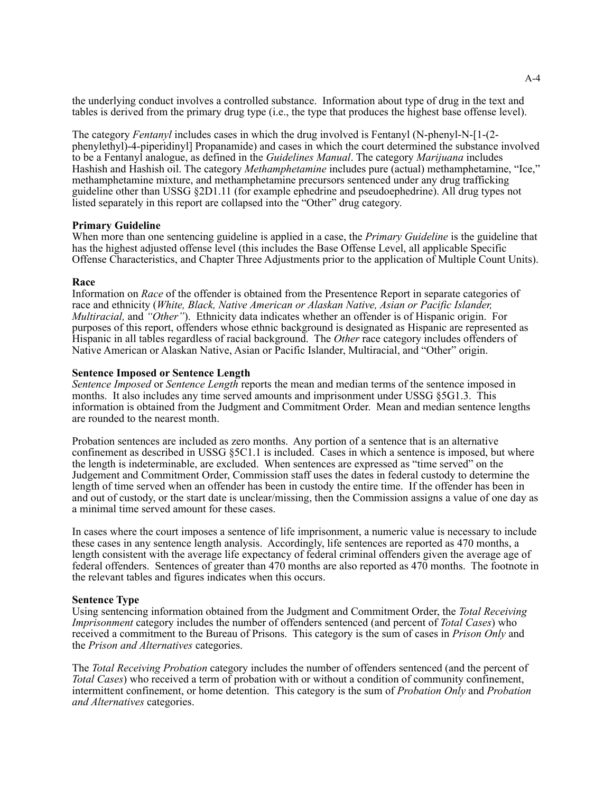the underlying conduct involves a controlled substance. Information about type of drug in the text and tables is derived from the primary drug type (i.e., the type that produces the highest base offense level).

The category *Fentanyl* includes cases in which the drug involved is Fentanyl (N-phenyl-N-[1-(2 phenylethyl)-4-piperidinyl] Propanamide) and cases in which the court determined the substance involved to be a Fentanyl analogue, as defined in the *Guidelines Manual*. The category *Marijuana* includes Hashish and Hashish oil. The category *Methamphetamine* includes pure (actual) methamphetamine, "Ice," methamphetamine mixture, and methamphetamine precursors sentenced under any drug trafficking guideline other than USSG §2D1.11 (for example ephedrine and pseudoephedrine). All drug types not listed separately in this report are collapsed into the "Other" drug category.

#### **Primary Guideline**

When more than one sentencing guideline is applied in a case, the *Primary Guideline* is the guideline that has the highest adjusted offense level (this includes the Base Offense Level, all applicable Specific Offense Characteristics, and Chapter Three Adjustments prior to the application of Multiple Count Units).

#### **Race**

Information on *Race* of the offender is obtained from the Presentence Report in separate categories of race and ethnicity (*White, Black, Native American or Alaskan Native, Asian or Pacific Islander, Multiracial,* and *"Other"*). Ethnicity data indicates whether an offender is of Hispanic origin. For purposes of this report, offenders whose ethnic background is designated as Hispanic are represented as Hispanic in all tables regardless of racial background. The *Other* race category includes offenders of Native American or Alaskan Native, Asian or Pacific Islander, Multiracial, and "Other" origin.

#### **Sentence Imposed or Sentence Length**

*Sentence Imposed* or *Sentence Length* reports the mean and median terms of the sentence imposed in months. It also includes any time served amounts and imprisonment under USSG §5G1.3. This information is obtained from the Judgment and Commitment Order. Mean and median sentence lengths are rounded to the nearest month.

Probation sentences are included as zero months. Any portion of a sentence that is an alternative confinement as described in USSG §5C1.1 is included. Cases in which a sentence is imposed, but where the length is indeterminable, are excluded. When sentences are expressed as "time served" on the Judgement and Commitment Order, Commission staff uses the dates in federal custody to determine the length of time served when an offender has been in custody the entire time. If the offender has been in and out of custody, or the start date is unclear/missing, then the Commission assigns a value of one day as a minimal time served amount for these cases.

In cases where the court imposes a sentence of life imprisonment, a numeric value is necessary to include these cases in any sentence length analysis. Accordingly, life sentences are reported as 470 months, a length consistent with the average life expectancy of federal criminal offenders given the average age of federal offenders. Sentences of greater than 470 months are also reported as 470 months. The footnote in the relevant tables and figures indicates when this occurs.

### **Sentence Type**

Using sentencing information obtained from the Judgment and Commitment Order, the *Total Receiving Imprisonment* category includes the number of offenders sentenced (and percent of *Total Cases*) who received a commitment to the Bureau of Prisons. This category is the sum of cases in *Prison Only* and the *Prison and Alternatives* categories.

The *Total Receiving Probation* category includes the number of offenders sentenced (and the percent of *Total Cases*) who received a term of probation with or without a condition of community confinement, intermittent confinement, or home detention. This category is the sum of *Probation Only* and *Probation and Alternatives* categories.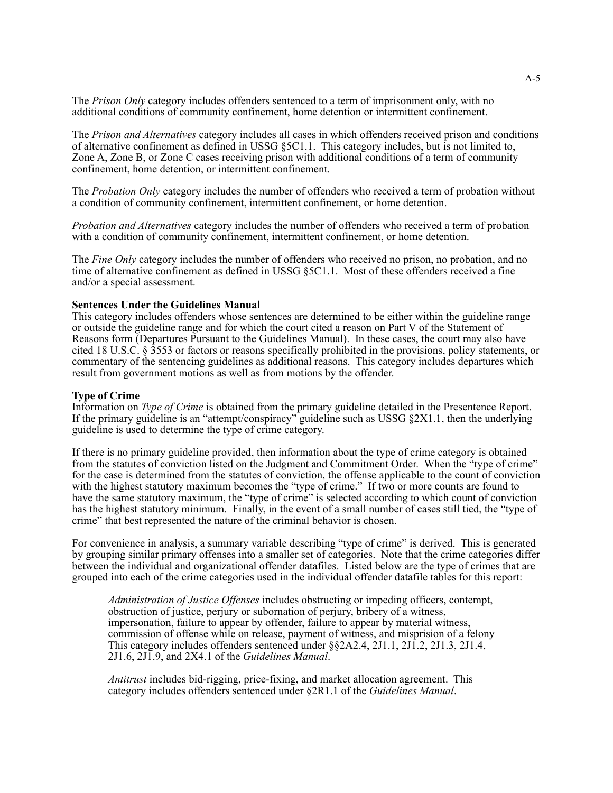The *Prison Only* category includes offenders sentenced to a term of imprisonment only, with no additional conditions of community confinement, home detention or intermittent confinement.

The *Prison and Alternatives* category includes all cases in which offenders received prison and conditions of alternative confinement as defined in USSG §5C1.1. This category includes, but is not limited to, Zone A, Zone B, or Zone C cases receiving prison with additional conditions of a term of community confinement, home detention, or intermittent confinement.

The *Probation Only* category includes the number of offenders who received a term of probation without a condition of community confinement, intermittent confinement, or home detention.

*Probation and Alternatives* category includes the number of offenders who received a term of probation with a condition of community confinement, intermittent confinement, or home detention.

The *Fine Only* category includes the number of offenders who received no prison, no probation, and no time of alternative confinement as defined in USSG §5C1.1. Most of these offenders received a fine and/or a special assessment.

#### **Sentences Under the Guidelines Manua**l

This category includes offenders whose sentences are determined to be either within the guideline range or outside the guideline range and for which the court cited a reason on Part V of the Statement of Reasons form (Departures Pursuant to the Guidelines Manual). In these cases, the court may also have cited 18 U.S.C. § 3553 or factors or reasons specifically prohibited in the provisions, policy statements, or commentary of the sentencing guidelines as additional reasons. This category includes departures which result from government motions as well as from motions by the offender.

#### **Type of Crime**

Information on *Type of Crime* is obtained from the primary guideline detailed in the Presentence Report. If the primary guideline is an "attempt/conspiracy" guideline such as USSG §2X1.1, then the underlying guideline is used to determine the type of crime category.

If there is no primary guideline provided, then information about the type of crime category is obtained from the statutes of conviction listed on the Judgment and Commitment Order. When the "type of crime" for the case is determined from the statutes of conviction, the offense applicable to the count of conviction with the highest statutory maximum becomes the "type of crime." If two or more counts are found to have the same statutory maximum, the "type of crime" is selected according to which count of conviction has the highest statutory minimum. Finally, in the event of a small number of cases still tied, the "type of crime" that best represented the nature of the criminal behavior is chosen.

For convenience in analysis, a summary variable describing "type of crime" is derived. This is generated by grouping similar primary offenses into a smaller set of categories. Note that the crime categories differ between the individual and organizational offender datafiles. Listed below are the type of crimes that are grouped into each of the crime categories used in the individual offender datafile tables for this report:

*Administration of Justice Offenses* includes obstructing or impeding officers, contempt, obstruction of justice, perjury or subornation of perjury, bribery of a witness, impersonation, failure to appear by offender, failure to appear by material witness, commission of offense while on release, payment of witness, and misprision of a felony This category includes offenders sentenced under §§2A2.4, 2J1.1, 2J1.2, 2J1.3, 2J1.4, 2J1.6, 2J1.9, and 2X4.1 of the *Guidelines Manual*.

*Antitrust* includes bid-rigging, price-fixing, and market allocation agreement. This category includes offenders sentenced under §2R1.1 of the *Guidelines Manual*.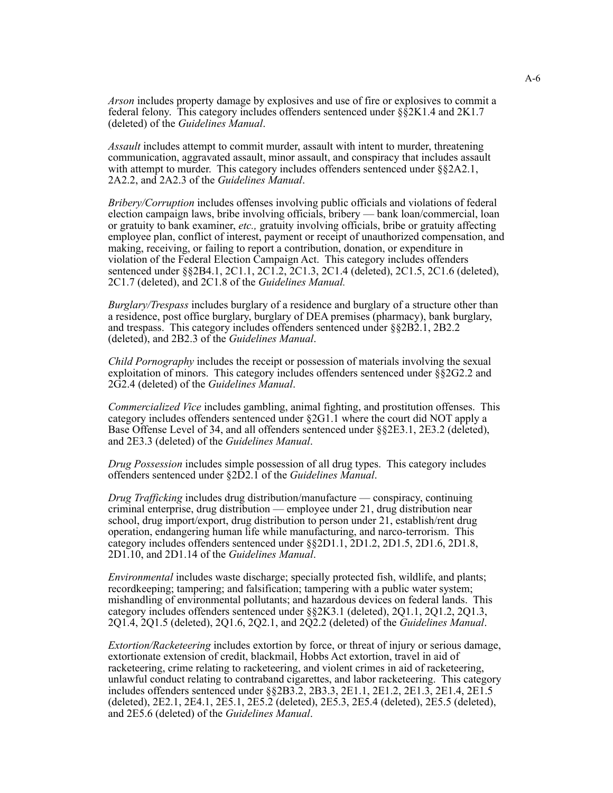*Arson* includes property damage by explosives and use of fire or explosives to commit a federal felony. This category includes offenders sentenced under §§2K1.4 and 2K1.7 (deleted) of the *Guidelines Manual*.

*Assault* includes attempt to commit murder, assault with intent to murder, threatening communication, aggravated assault, minor assault, and conspiracy that includes assault with attempt to murder. This category includes offenders sentenced under  $\S$ §2A2.1, 2A2.2, and 2A2.3 of the *Guidelines Manual*.

*Bribery/Corruption* includes offenses involving public officials and violations of federal election campaign laws, bribe involving officials, bribery — bank loan/commercial, loan or gratuity to bank examiner, *etc.,* gratuity involving officials, bribe or gratuity affecting employee plan, conflict of interest, payment or receipt of unauthorized compensation, and making, receiving, or failing to report a contribution, donation, or expenditure in violation of the Federal Election Campaign Act. This category includes offenders sentenced under §§2B4.1, 2C1.1, 2C1.2, 2C1.3, 2C1.4 (deleted), 2C1.5, 2C1.6 (deleted), 2C1.7 (deleted), and 2C1.8 of the *Guidelines Manual.*

*Burglary/Trespass* includes burglary of a residence and burglary of a structure other than a residence, post office burglary, burglary of DEA premises (pharmacy), bank burglary, and trespass. This category includes offenders sentenced under §§2B2.1, 2B2.2 (deleted), and 2B2.3 of the *Guidelines Manual*.

*Child Pornography* includes the receipt or possession of materials involving the sexual exploitation of minors. This category includes offenders sentenced under §§2G2.2 and 2G2.4 (deleted) of the *Guidelines Manual*.

*Commercialized Vice* includes gambling, animal fighting, and prostitution offenses. This category includes offenders sentenced under §2G1.1 where the court did NOT apply a Base Offense Level of 34, and all offenders sentenced under §§2E3.1, 2E3.2 (deleted), and 2E3.3 (deleted) of the *Guidelines Manual*.

*Drug Possession* includes simple possession of all drug types. This category includes offenders sentenced under §2D2.1 of the *Guidelines Manual*.

*Drug Trafficking* includes drug distribution/manufacture — conspiracy, continuing criminal enterprise, drug distribution — employee under 21, drug distribution near school, drug import/export, drug distribution to person under 21, establish/rent drug operation, endangering human life while manufacturing, and narco-terrorism. This category includes offenders sentenced under §§2D1.1, 2D1.2, 2D1.5, 2D1.6, 2D1.8, 2D1.10, and 2D1.14 of the *Guidelines Manual*.

*Environmental* includes waste discharge; specially protected fish, wildlife, and plants; recordkeeping; tampering; and falsification; tampering with a public water system; mishandling of environmental pollutants; and hazardous devices on federal lands. This category includes offenders sentenced under §§2K3.1 (deleted), 2Q1.1, 2Q1.2, 2Q1.3, 2Q1.4, 2Q1.5 (deleted), 2Q1.6, 2Q2.1, and 2Q2.2 (deleted) of the *Guidelines Manual*.

*Extortion/Racketeering* includes extortion by force, or threat of injury or serious damage, extortionate extension of credit, blackmail, Hobbs Act extortion, travel in aid of racketeering, crime relating to racketeering, and violent crimes in aid of racketeering, unlawful conduct relating to contraband cigarettes, and labor racketeering. This category includes offenders sentenced under §§2B3.2, 2B3.3, 2E1.1, 2E1.2, 2E1.3, 2E1.4, 2E1.5 (deleted), 2E2.1, 2E4.1, 2E5.1, 2E5.2 (deleted), 2E5.3, 2E5.4 (deleted), 2E5.5 (deleted), and 2E5.6 (deleted) of the *Guidelines Manual*.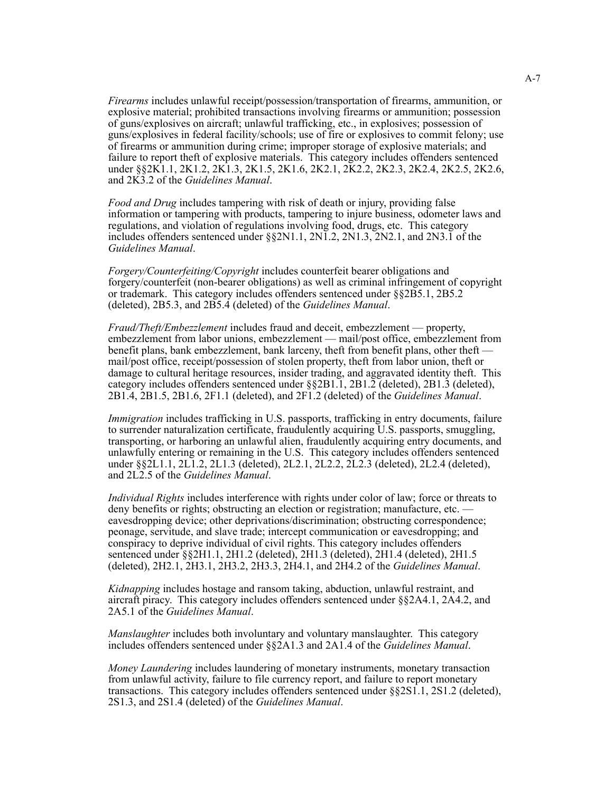*Firearms* includes unlawful receipt/possession/transportation of firearms, ammunition, or explosive material; prohibited transactions involving firearms or ammunition; possession of guns/explosives on aircraft; unlawful trafficking, etc., in explosives; possession of guns/explosives in federal facility/schools; use of fire or explosives to commit felony; use of firearms or ammunition during crime; improper storage of explosive materials; and failure to report theft of explosive materials. This category includes offenders sentenced under §§2K1.1, 2K1.2, 2K1.3, 2K1.5, 2K1.6, 2K2.1, 2K2.2, 2K2.3, 2K2.4, 2K2.5, 2K2.6, and 2K3.2 of the *Guidelines Manual*.

*Food and Drug* includes tampering with risk of death or injury, providing false information or tampering with products, tampering to injure business, odometer laws and regulations, and violation of regulations involving food, drugs, etc. This category includes offenders sentenced under §§2N1.1, 2N1.2, 2N1.3, 2N2.1, and 2N3.1 of the *Guidelines Manual*.

*Forgery/Counterfeiting/Copyright* includes counterfeit bearer obligations and forgery/counterfeit (non-bearer obligations) as well as criminal infringement of copyright or trademark. This category includes offenders sentenced under §§2B5.1, 2B5.2 (deleted), 2B5.3, and 2B5.4 (deleted) of the *Guidelines Manual*.

*Fraud/Theft/Embezzlement* includes fraud and deceit, embezzlement — property, embezzlement from labor unions, embezzlement — mail/post office, embezzlement from benefit plans, bank embezzlement, bank larceny, theft from benefit plans, other theft mail/post office, receipt/possession of stolen property, theft from labor union, theft or damage to cultural heritage resources, insider trading, and aggravated identity theft. This category includes offenders sentenced under §§2B1.1, 2B1.2 (deleted), 2B1.3 (deleted), 2B1.4, 2B1.5, 2B1.6, 2F1.1 (deleted), and 2F1.2 (deleted) of the *Guidelines Manual*.

*Immigration* includes trafficking in U.S. passports, trafficking in entry documents, failure to surrender naturalization certificate, fraudulently acquiring U.S. passports, smuggling, transporting, or harboring an unlawful alien, fraudulently acquiring entry documents, and unlawfully entering or remaining in the U.S. This category includes offenders sentenced under §§2L1.1, 2L1.2, 2L1.3 (deleted), 2L2.1, 2L2.2, 2L2.3 (deleted), 2L2.4 (deleted), and 2L2.5 of the *Guidelines Manual*.

*Individual Rights* includes interference with rights under color of law; force or threats to deny benefits or rights; obstructing an election or registration; manufacture, etc. eavesdropping device; other deprivations/discrimination; obstructing correspondence; peonage, servitude, and slave trade; intercept communication or eavesdropping; and conspiracy to deprive individual of civil rights. This category includes offenders sentenced under §§2H1.1, 2H1.2 (deleted), 2H1.3 (deleted), 2H1.4 (deleted), 2H1.5 (deleted), 2H2.1, 2H3.1, 2H3.2, 2H3.3, 2H4.1, and 2H4.2 of the *Guidelines Manual*.

*Kidnapping* includes hostage and ransom taking, abduction, unlawful restraint, and aircraft piracy. This category includes offenders sentenced under §§2A4.1, 2A4.2, and 2A5.1 of the *Guidelines Manual*.

*Manslaughter* includes both involuntary and voluntary manslaughter. This category includes offenders sentenced under §§2A1.3 and 2A1.4 of the *Guidelines Manual*.

*Money Laundering* includes laundering of monetary instruments, monetary transaction from unlawful activity, failure to file currency report, and failure to report monetary transactions. This category includes offenders sentenced under §§2S1.1, 2S1.2 (deleted), 2S1.3, and 2S1.4 (deleted) of the *Guidelines Manual*.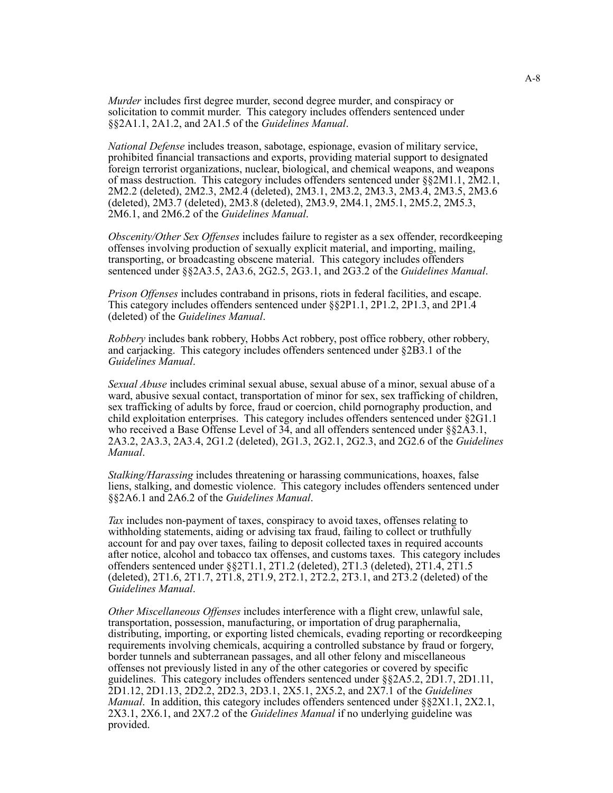*Murder* includes first degree murder, second degree murder, and conspiracy or solicitation to commit murder. This category includes offenders sentenced under §§2A1.1, 2A1.2, and 2A1.5 of the *Guidelines Manual*.

*National Defense* includes treason, sabotage, espionage, evasion of military service, prohibited financial transactions and exports, providing material support to designated foreign terrorist organizations, nuclear, biological, and chemical weapons, and weapons of mass destruction. This category includes offenders sentenced under §§2M1.1, 2M2.1, 2M2.2 (deleted), 2M2.3, 2M2.4 (deleted), 2M3.1, 2M3.2, 2M3.3, 2M3.4, 2M3.5, 2M3.6 (deleted), 2M3.7 (deleted), 2M3.8 (deleted), 2M3.9, 2M4.1, 2M5.1, 2M5.2, 2M5.3, 2M6.1, and 2M6.2 of the *Guidelines Manual*.

*Obscenity/Other Sex Offenses* includes failure to register as a sex offender, recordkeeping offenses involving production of sexually explicit material, and importing, mailing, transporting, or broadcasting obscene material. This category includes offenders sentenced under §§2A3.5, 2A3.6, 2G2.5, 2G3.1, and 2G3.2 of the *Guidelines Manual*.

*Prison Offenses* includes contraband in prisons, riots in federal facilities, and escape. This category includes offenders sentenced under §§2P1.1, 2P1.2, 2P1.3, and 2P1.4 (deleted) of the *Guidelines Manual*.

*Robbery* includes bank robbery, Hobbs Act robbery, post office robbery, other robbery, and carjacking. This category includes offenders sentenced under §2B3.1 of the *Guidelines Manual*.

*Sexual Abuse* includes criminal sexual abuse, sexual abuse of a minor, sexual abuse of a ward, abusive sexual contact, transportation of minor for sex, sex trafficking of children, sex trafficking of adults by force, fraud or coercion, child pornography production, and child exploitation enterprises. This category includes offenders sentenced under §2G1.1 who received a Base Offense Level of 34, and all offenders sentenced under §§2A3.1, 2A3.2, 2A3.3, 2A3.4, 2G1.2 (deleted), 2G1.3, 2G2.1, 2G2.3, and 2G2.6 of the *Guidelines Manual*.

*Stalking/Harassing* includes threatening or harassing communications, hoaxes, false liens, stalking, and domestic violence. This category includes offenders sentenced under §§2A6.1 and 2A6.2 of the *Guidelines Manual*.

*Tax* includes non-payment of taxes, conspiracy to avoid taxes, offenses relating to withholding statements, aiding or advising tax fraud, failing to collect or truthfully account for and pay over taxes, failing to deposit collected taxes in required accounts after notice, alcohol and tobacco tax offenses, and customs taxes. This category includes offenders sentenced under §§2T1.1, 2T1.2 (deleted), 2T1.3 (deleted), 2T1.4, 2T1.5 (deleted), 2T1.6, 2T1.7, 2T1.8, 2T1.9, 2T2.1, 2T2.2, 2T3.1, and 2T3.2 (deleted) of the *Guidelines Manual*.

*Other Miscellaneous Offenses* includes interference with a flight crew, unlawful sale, transportation, possession, manufacturing, or importation of drug paraphernalia, distributing, importing, or exporting listed chemicals, evading reporting or recordkeeping requirements involving chemicals, acquiring a controlled substance by fraud or forgery, border tunnels and subterranean passages, and all other felony and miscellaneous offenses not previously listed in any of the other categories or covered by specific guidelines. This category includes offenders sentenced under §§2A5.2, 2D1.7, 2D1.11, 2D1.12, 2D1.13, 2D2.2, 2D2.3, 2D3.1, 2X5.1, 2X5.2, and 2X7.1 of the *Guidelines Manual*. In addition, this category includes offenders sentenced under §§2X1.1, 2X2.1, 2X3.1, 2X6.1, and 2X7.2 of the *Guidelines Manual* if no underlying guideline was provided.